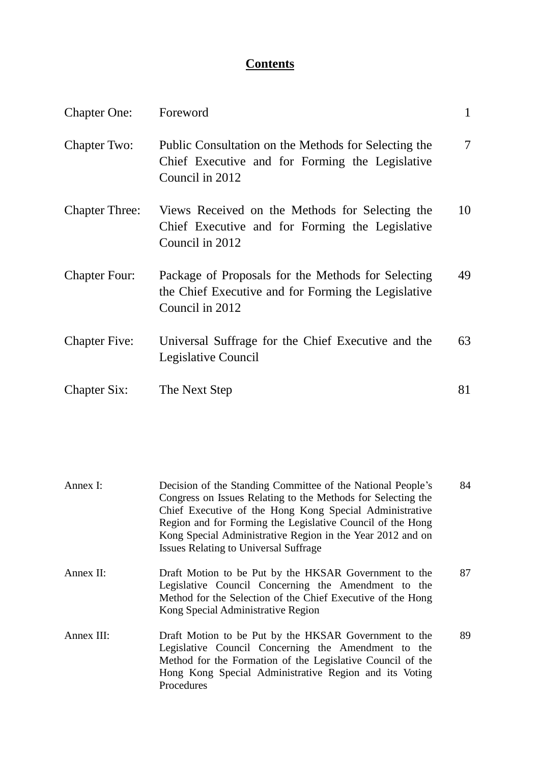# **Contents**

| <b>Chapter One:</b>   | Foreword                                                                                                                     | $\mathbf{1}$   |
|-----------------------|------------------------------------------------------------------------------------------------------------------------------|----------------|
| <b>Chapter Two:</b>   | Public Consultation on the Methods for Selecting the<br>Chief Executive and for Forming the Legislative<br>Council in 2012   | $\overline{7}$ |
| <b>Chapter Three:</b> | Views Received on the Methods for Selecting the<br>Chief Executive and for Forming the Legislative<br>Council in 2012        | 10             |
| <b>Chapter Four:</b>  | Package of Proposals for the Methods for Selecting<br>the Chief Executive and for Forming the Legislative<br>Council in 2012 | 49             |
| <b>Chapter Five:</b>  | Universal Suffrage for the Chief Executive and the<br>Legislative Council                                                    | 63             |
| <b>Chapter Six:</b>   | The Next Step                                                                                                                | 81             |

| Annex I:   | Decision of the Standing Committee of the National People's<br>Congress on Issues Relating to the Methods for Selecting the<br>Chief Executive of the Hong Kong Special Administrative<br>Region and for Forming the Legislative Council of the Hong<br>Kong Special Administrative Region in the Year 2012 and on<br><b>Issues Relating to Universal Suffrage</b> | 84 |
|------------|--------------------------------------------------------------------------------------------------------------------------------------------------------------------------------------------------------------------------------------------------------------------------------------------------------------------------------------------------------------------|----|
| Annex II:  | Draft Motion to be Put by the HKSAR Government to the<br>Legislative Council Concerning the Amendment to the<br>Method for the Selection of the Chief Executive of the Hong<br>Kong Special Administrative Region                                                                                                                                                  | 87 |
| Annex III: | Draft Motion to be Put by the HKSAR Government to the<br>Legislative Council Concerning the Amendment to the<br>Method for the Formation of the Legislative Council of the<br>Hong Kong Special Administrative Region and its Voting<br>Procedures                                                                                                                 | 89 |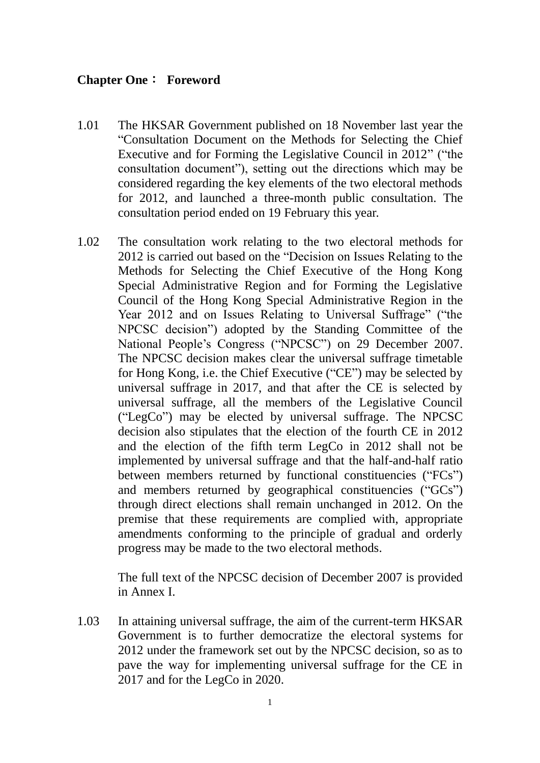#### **Chapter One**: **Foreword**

- 1.01 The HKSAR Government published on 18 November last year the "Consultation Document on the Methods for Selecting the Chief Executive and for Forming the Legislative Council in 2012" ("the consultation document"), setting out the directions which may be considered regarding the key elements of the two electoral methods for 2012, and launched a three-month public consultation. The consultation period ended on 19 February this year.
- 1.02 The consultation work relating to the two electoral methods for 2012 is carried out based on the "Decision on Issues Relating to the Methods for Selecting the Chief Executive of the Hong Kong Special Administrative Region and for Forming the Legislative Council of the Hong Kong Special Administrative Region in the Year 2012 and on Issues Relating to Universal Suffrage" ("the NPCSC decision") adopted by the Standing Committee of the National People's Congress ("NPCSC") on 29 December 2007. The NPCSC decision makes clear the universal suffrage timetable for Hong Kong, i.e. the Chief Executive ("CE") may be selected by universal suffrage in 2017, and that after the CE is selected by universal suffrage, all the members of the Legislative Council ("LegCo") may be elected by universal suffrage. The NPCSC decision also stipulates that the election of the fourth CE in 2012 and the election of the fifth term LegCo in 2012 shall not be implemented by universal suffrage and that the half-and-half ratio between members returned by functional constituencies ("FCs") and members returned by geographical constituencies ("GCs") through direct elections shall remain unchanged in 2012. On the premise that these requirements are complied with, appropriate amendments conforming to the principle of gradual and orderly progress may be made to the two electoral methods.

The full text of the NPCSC decision of December 2007 is provided in Annex I.

1.03 In attaining universal suffrage, the aim of the current-term HKSAR Government is to further democratize the electoral systems for 2012 under the framework set out by the NPCSC decision, so as to pave the way for implementing universal suffrage for the CE in 2017 and for the LegCo in 2020.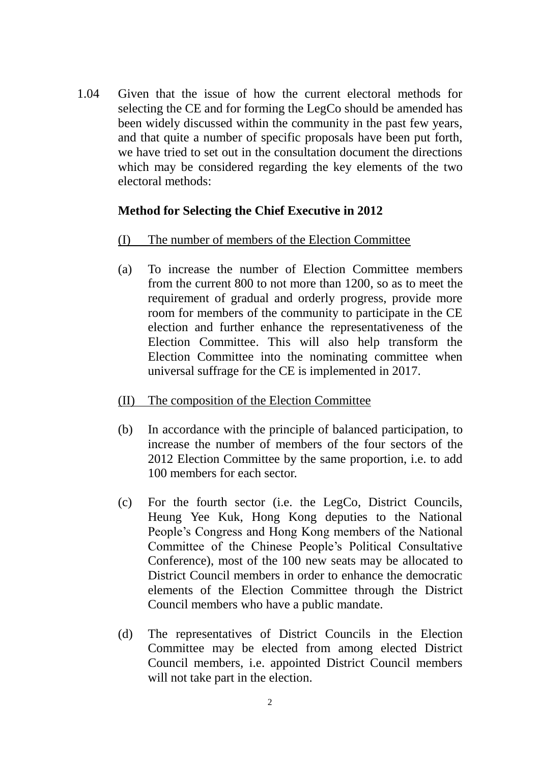1.04 Given that the issue of how the current electoral methods for selecting the CE and for forming the LegCo should be amended has been widely discussed within the community in the past few years, and that quite a number of specific proposals have been put forth, we have tried to set out in the consultation document the directions which may be considered regarding the key elements of the two electoral methods:

### **Method for Selecting the Chief Executive in 2012**

- (I) The number of members of the Election Committee
- (a) To increase the number of Election Committee members from the current 800 to not more than 1200, so as to meet the requirement of gradual and orderly progress, provide more room for members of the community to participate in the CE election and further enhance the representativeness of the Election Committee. This will also help transform the Election Committee into the nominating committee when universal suffrage for the CE is implemented in 2017.
- (II) The composition of the Election Committee
- (b) In accordance with the principle of balanced participation, to increase the number of members of the four sectors of the 2012 Election Committee by the same proportion, i.e. to add 100 members for each sector.
- (c) For the fourth sector (i.e. the LegCo, District Councils, Heung Yee Kuk, Hong Kong deputies to the National People's Congress and Hong Kong members of the National Committee of the Chinese People's Political Consultative Conference), most of the 100 new seats may be allocated to District Council members in order to enhance the democratic elements of the Election Committee through the District Council members who have a public mandate.
- (d) The representatives of District Councils in the Election Committee may be elected from among elected District Council members, i.e. appointed District Council members will not take part in the election.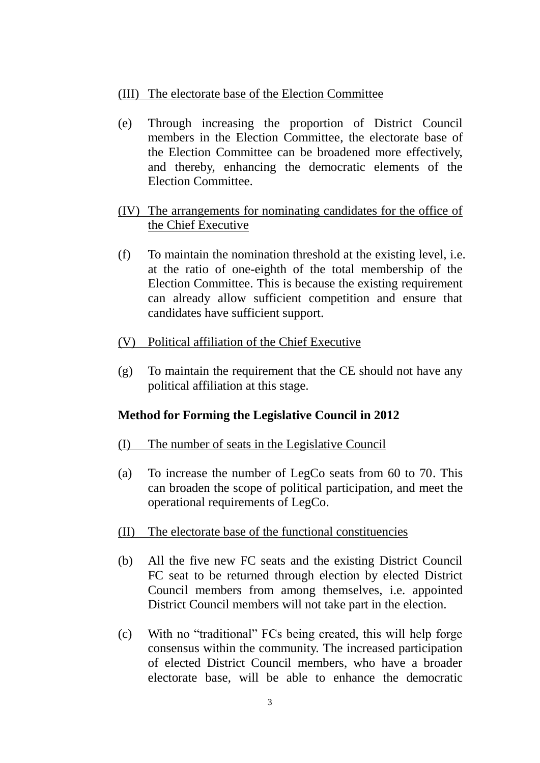### (III) The electorate base of the Election Committee

- (e) Through increasing the proportion of District Council members in the Election Committee, the electorate base of the Election Committee can be broadened more effectively, and thereby, enhancing the democratic elements of the Election Committee.
- (IV) The arrangements for nominating candidates for the office of the Chief Executive
- (f) To maintain the nomination threshold at the existing level, i.e. at the ratio of one-eighth of the total membership of the Election Committee. This is because the existing requirement can already allow sufficient competition and ensure that candidates have sufficient support.
- (V) Political affiliation of the Chief Executive
- (g) To maintain the requirement that the CE should not have any political affiliation at this stage.

# **Method for Forming the Legislative Council in 2012**

- (I) The number of seats in the Legislative Council
- (a) To increase the number of LegCo seats from 60 to 70. This can broaden the scope of political participation, and meet the operational requirements of LegCo.
- (II) The electorate base of the functional constituencies
- (b) All the five new FC seats and the existing District Council FC seat to be returned through election by elected District Council members from among themselves, i.e. appointed District Council members will not take part in the election.
- (c) With no "traditional" FCs being created, this will help forge consensus within the community. The increased participation of elected District Council members, who have a broader electorate base, will be able to enhance the democratic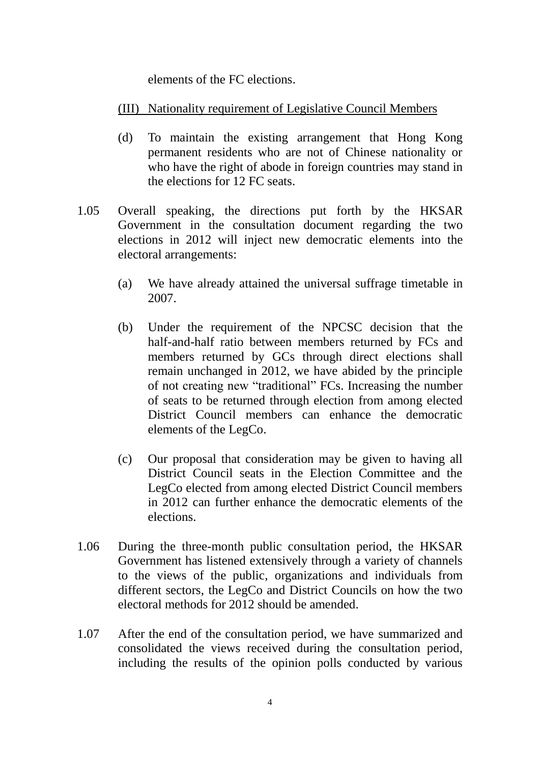elements of the FC elections.

# (III) Nationality requirement of Legislative Council Members

- (d) To maintain the existing arrangement that Hong Kong permanent residents who are not of Chinese nationality or who have the right of abode in foreign countries may stand in the elections for 12 FC seats.
- 1.05 Overall speaking, the directions put forth by the HKSAR Government in the consultation document regarding the two elections in 2012 will inject new democratic elements into the electoral arrangements:
	- (a) We have already attained the universal suffrage timetable in 2007.
	- (b) Under the requirement of the NPCSC decision that the half-and-half ratio between members returned by FCs and members returned by GCs through direct elections shall remain unchanged in 2012, we have abided by the principle of not creating new "traditional" FCs. Increasing the number of seats to be returned through election from among elected District Council members can enhance the democratic elements of the LegCo.
	- (c) Our proposal that consideration may be given to having all District Council seats in the Election Committee and the LegCo elected from among elected District Council members in 2012 can further enhance the democratic elements of the elections.
- 1.06 During the three-month public consultation period, the HKSAR Government has listened extensively through a variety of channels to the views of the public, organizations and individuals from different sectors, the LegCo and District Councils on how the two electoral methods for 2012 should be amended.
- 1.07 After the end of the consultation period, we have summarized and consolidated the views received during the consultation period, including the results of the opinion polls conducted by various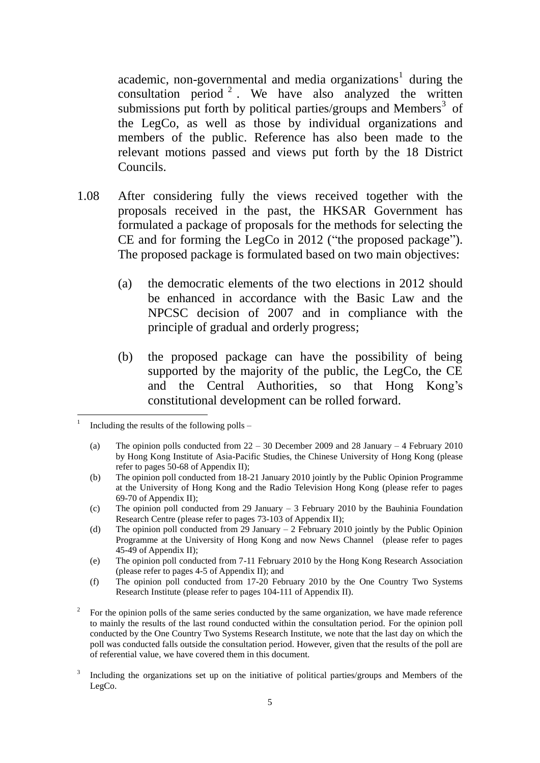academic, non-governmental and media organizations<sup>1</sup> during the consultation period  $2$ . We have also analyzed the written submissions put forth by political parties/groups and Members $3$  of the LegCo, as well as those by individual organizations and members of the public. Reference has also been made to the relevant motions passed and views put forth by the 18 District Councils.

- 1.08 After considering fully the views received together with the proposals received in the past, the HKSAR Government has formulated a package of proposals for the methods for selecting the CE and for forming the LegCo in 2012 ("the proposed package"). The proposed package is formulated based on two main objectives:
	- (a) the democratic elements of the two elections in 2012 should be enhanced in accordance with the Basic Law and the NPCSC decision of 2007 and in compliance with the principle of gradual and orderly progress;
	- (b) the proposed package can have the possibility of being supported by the majority of the public, the LegCo, the CE and the Central Authorities, so that Hong Kong's constitutional development can be rolled forward.

<u>.</u>

<sup>1</sup> Including the results of the following polls –

<sup>(</sup>a) The opinion polls conducted from 22 – 30 December 2009 and 28 January – 4 February 2010 by Hong Kong Institute of Asia-Pacific Studies, the Chinese University of Hong Kong (please refer to pages 50-68 of Appendix II);

<sup>(</sup>b) The opinion poll conducted from 18-21 January 2010 jointly by the Public Opinion Programme at the University of Hong Kong and the Radio Television Hong Kong (please refer to pages 69-70 of Appendix II);

<sup>(</sup>c) The opinion poll conducted from 29 January – 3 February 2010 by the Bauhinia Foundation Research Centre (please refer to pages 73-103 of Appendix II);

<sup>(</sup>d) The opinion poll conducted from 29 January – 2 February 2010 jointly by the Public Opinion Programme at the University of Hong Kong and now News Channel (please refer to pages 45-49 of Appendix II);

<sup>(</sup>e) The opinion poll conducted from 7-11 February 2010 by the Hong Kong Research Association (please refer to pages 4-5 of Appendix II); and

<sup>(</sup>f) The opinion poll conducted from 17-20 February 2010 by the One Country Two Systems Research Institute (please refer to pages 104-111 of Appendix II).

<sup>2</sup> For the opinion polls of the same series conducted by the same organization, we have made reference to mainly the results of the last round conducted within the consultation period. For the opinion poll conducted by the One Country Two Systems Research Institute, we note that the last day on which the poll was conducted falls outside the consultation period. However, given that the results of the poll are of referential value, we have covered them in this document.

<sup>3</sup> Including the organizations set up on the initiative of political parties/groups and Members of the LegCo.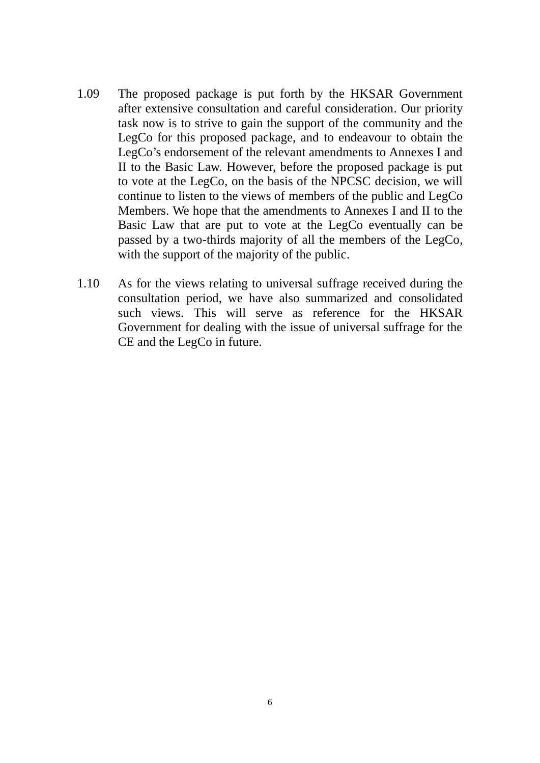- 1.09 The proposed package is put forth by the HKSAR Government after extensive consultation and careful consideration. Our priority task now is to strive to gain the support of the community and the LegCo for this proposed package, and to endeavour to obtain the LegCo's endorsement of the relevant amendments to Annexes I and II to the Basic Law. However, before the proposed package is put to vote at the LegCo, on the basis of the NPCSC decision, we will continue to listen to the views of members of the public and LegCo Members. We hope that the amendments to Annexes I and II to the Basic Law that are put to vote at the LegCo eventually can be passed by a two-thirds majority of all the members of the LegCo, with the support of the majority of the public.
- 1.10 As for the views relating to universal suffrage received during the consultation period, we have also summarized and consolidated such views. This will serve as reference for the HKSAR Government for dealing with the issue of universal suffrage for the CE and the LegCo in future.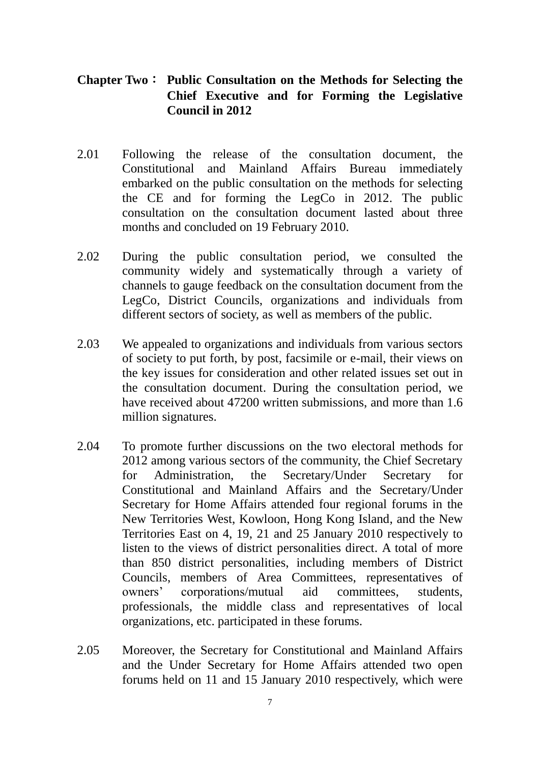# **Chapter Two**: **Public Consultation on the Methods for Selecting the Chief Executive and for Forming the Legislative Council in 2012**

- 2.01 Following the release of the consultation document, the Constitutional and Mainland Affairs Bureau immediately embarked on the public consultation on the methods for selecting the CE and for forming the LegCo in 2012. The public consultation on the consultation document lasted about three months and concluded on 19 February 2010.
- 2.02 During the public consultation period, we consulted the community widely and systematically through a variety of channels to gauge feedback on the consultation document from the LegCo, District Councils, organizations and individuals from different sectors of society, as well as members of the public.
- 2.03 We appealed to organizations and individuals from various sectors of society to put forth, by post, facsimile or e-mail, their views on the key issues for consideration and other related issues set out in the consultation document. During the consultation period, we have received about 47200 written submissions, and more than 1.6 million signatures.
- 2.04 To promote further discussions on the two electoral methods for 2012 among various sectors of the community, the Chief Secretary for Administration, the Secretary/Under Secretary for Constitutional and Mainland Affairs and the Secretary/Under Secretary for Home Affairs attended four regional forums in the New Territories West, Kowloon, Hong Kong Island, and the New Territories East on 4, 19, 21 and 25 January 2010 respectively to listen to the views of district personalities direct. A total of more than 850 district personalities, including members of District Councils, members of Area Committees, representatives of owners' corporations/mutual aid committees, students, professionals, the middle class and representatives of local organizations, etc. participated in these forums.
- 2.05 Moreover, the Secretary for Constitutional and Mainland Affairs and the Under Secretary for Home Affairs attended two open forums held on 11 and 15 January 2010 respectively, which were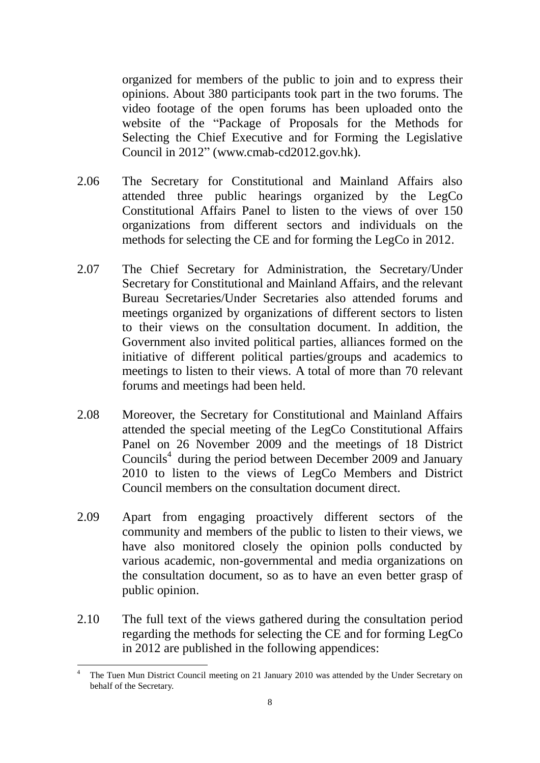organized for members of the public to join and to express their opinions. About 380 participants took part in the two forums. The video footage of the open forums has been uploaded onto the website of the "Package of Proposals for the Methods for Selecting the Chief Executive and for Forming the Legislative Council in 2012" [\(www.cmab-cd2012.gov.hk\)](http://www.cmab-cd2012.gov.hk/).

- 2.06 The Secretary for Constitutional and Mainland Affairs also attended three public hearings organized by the LegCo Constitutional Affairs Panel to listen to the views of over 150 organizations from different sectors and individuals on the methods for selecting the CE and for forming the LegCo in 2012.
- 2.07 The Chief Secretary for Administration, the Secretary/Under Secretary for Constitutional and Mainland Affairs, and the relevant Bureau Secretaries/Under Secretaries also attended forums and meetings organized by organizations of different sectors to listen to their views on the consultation document. In addition, the Government also invited political parties, alliances formed on the initiative of different political parties/groups and academics to meetings to listen to their views. A total of more than 70 relevant forums and meetings had been held.
- 2.08 Moreover, the Secretary for Constitutional and Mainland Affairs attended the special meeting of the LegCo Constitutional Affairs Panel on 26 November 2009 and the meetings of 18 District Councils 4 during the period between December 2009 and January 2010 to listen to the views of LegCo Members and District Council members on the consultation document direct.
- 2.09 Apart from engaging proactively different sectors of the community and members of the public to listen to their views, we have also monitored closely the opinion polls conducted by various academic, non-governmental and media organizations on the consultation document, so as to have an even better grasp of public opinion.
- 2.10 The full text of the views gathered during the consultation period regarding the methods for selecting the CE and for forming LegCo in 2012 are published in the following appendices:

1

<sup>4</sup> The Tuen Mun District Council meeting on 21 January 2010 was attended by the Under Secretary on behalf of the Secretary.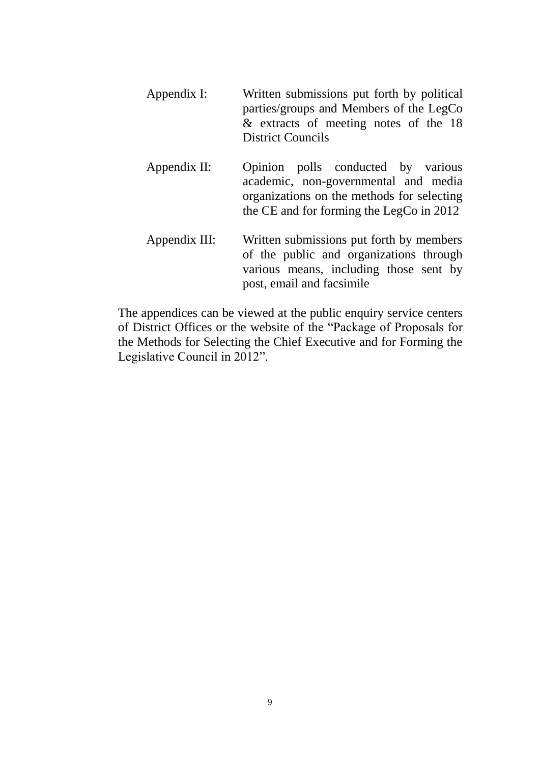| Appendix I:   | Written submissions put forth by political<br>parties/groups and Members of the LegCo<br>& extracts of meeting notes of the 18<br><b>District Councils</b>           |
|---------------|----------------------------------------------------------------------------------------------------------------------------------------------------------------------|
| Appendix II:  | Opinion polls conducted by various<br>academic, non-governmental and media<br>organizations on the methods for selecting<br>the CE and for forming the LegCo in 2012 |
| Appendix III: | Written submissions put forth by members<br>of the public and organizations through<br>various means, including those sent by<br>post, email and facsimile           |

The appendices can be viewed at the public enquiry service centers of District Offices or the website of the "Package of Proposals for the Methods for Selecting the Chief Executive and for Forming the Legislative Council in 2012".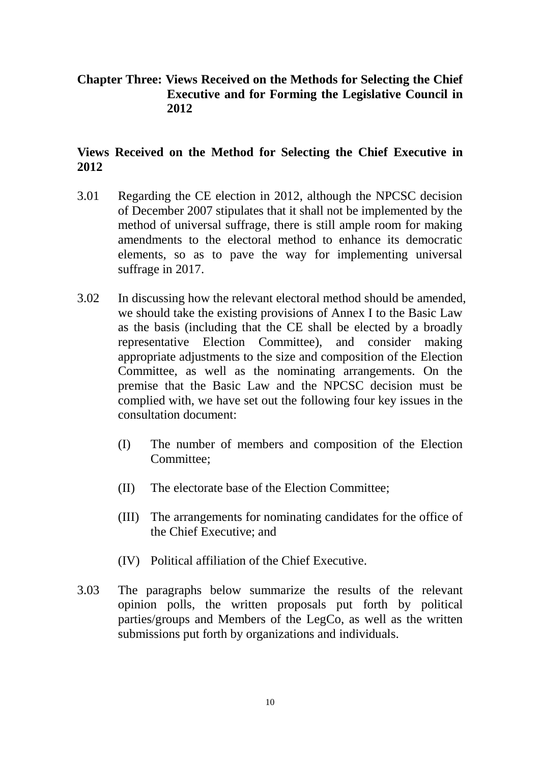# **Chapter Three: Views Received on the Methods for Selecting the Chief Executive and for Forming the Legislative Council in 2012**

# **Views Received on the Method for Selecting the Chief Executive in 2012**

- 3.01 Regarding the CE election in 2012, although the NPCSC decision of December 2007 stipulates that it shall not be implemented by the method of universal suffrage, there is still ample room for making amendments to the electoral method to enhance its democratic elements, so as to pave the way for implementing universal suffrage in 2017.
- 3.02 In discussing how the relevant electoral method should be amended, we should take the existing provisions of Annex I to the Basic Law as the basis (including that the CE shall be elected by a broadly representative Election Committee), and consider making appropriate adjustments to the size and composition of the Election Committee, as well as the nominating arrangements. On the premise that the Basic Law and the NPCSC decision must be complied with, we have set out the following four key issues in the consultation document:
	- (I) The number of members and composition of the Election Committee;
	- (II) The electorate base of the Election Committee;
	- (III) The arrangements for nominating candidates for the office of the Chief Executive; and
	- (IV) Political affiliation of the Chief Executive.
- 3.03 The paragraphs below summarize the results of the relevant opinion polls, the written proposals put forth by political parties/groups and Members of the LegCo, as well as the written submissions put forth by organizations and individuals.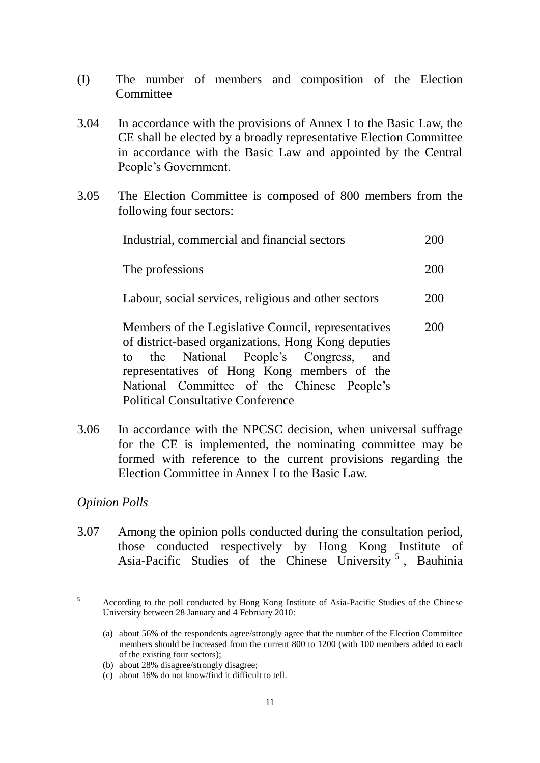- (I) The number of members and composition of the Election **Committee**
- 3.04 In accordance with the provisions of Annex I to the Basic Law, the CE shall be elected by a broadly representative Election Committee in accordance with the Basic Law and appointed by the Central People's Government.
- 3.05 The Election Committee is composed of 800 members from the following four sectors:

| Industrial, commercial and financial sectors                                                                                                                                                                                                                                                  |     |  |
|-----------------------------------------------------------------------------------------------------------------------------------------------------------------------------------------------------------------------------------------------------------------------------------------------|-----|--|
| The professions                                                                                                                                                                                                                                                                               |     |  |
| Labour, social services, religious and other sectors                                                                                                                                                                                                                                          |     |  |
| Members of the Legislative Council, representatives<br>of district-based organizations, Hong Kong deputies<br>to the National People's Congress, and<br>representatives of Hong Kong members of the<br>National Committee of the Chinese People's<br><b>Political Consultative Conference</b> | 20O |  |

3.06 In accordance with the NPCSC decision, when universal suffrage for the CE is implemented, the nominating committee may be formed with reference to the current provisions regarding the Election Committee in Annex I to the Basic Law.

### *Opinion Polls*

3.07 Among the opinion polls conducted during the consultation period, those conducted respectively by Hong Kong Institute of Asia-Pacific Studies of the Chinese University 5 , Bauhinia

 $\overline{\phantom{0}}$ <sup>5</sup> According to the poll conducted by Hong Kong Institute of Asia-Pacific Studies of the Chinese University between 28 January and 4 February 2010:

<sup>(</sup>a) about 56% of the respondents agree/strongly agree that the number of the Election Committee members should be increased from the current 800 to 1200 (with 100 members added to each of the existing four sectors);

<sup>(</sup>b) about 28% disagree/strongly disagree;

<sup>(</sup>c) about 16% do not know/find it difficult to tell.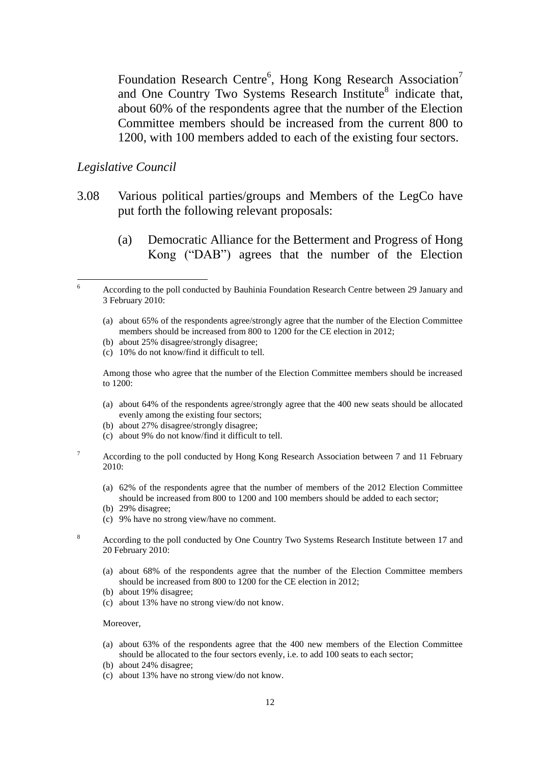Foundation Research Centre<sup>6</sup>, Hong Kong Research Association<sup>7</sup> and One Country Two Systems Research Institute<sup>8</sup> indicate that, about 60% of the respondents agree that the number of the Election Committee members should be increased from the current 800 to 1200, with 100 members added to each of the existing four sectors.

#### *Legislative Council*

<u>.</u>

- 3.08 Various political parties/groups and Members of the LegCo have put forth the following relevant proposals:
	- (a) Democratic Alliance for the Betterment and Progress of Hong Kong ("DAB") agrees that the number of the Election

- (b) about 25% disagree/strongly disagree;
- (c) 10% do not know/find it difficult to tell.

Among those who agree that the number of the Election Committee members should be increased to 1200:

- (a) about 64% of the respondents agree/strongly agree that the 400 new seats should be allocated evenly among the existing four sectors;
- (b) about 27% disagree/strongly disagree;
- (c) about 9% do not know/find it difficult to tell.
- $7 \text{ According to the poll conducted by Hong Kong Research Association between 7 and 11 February}$ 2010:
	- (a) 62% of the respondents agree that the number of members of the 2012 Election Committee should be increased from 800 to 1200 and 100 members should be added to each sector;
	- (b) 29% disagree;
	- (c) 9% have no strong view/have no comment.
- <sup>8</sup> According to the poll conducted by One Country Two Systems Research Institute between 17 and 20 February 2010:
	- (a) about 68% of the respondents agree that the number of the Election Committee members should be increased from 800 to 1200 for the CE election in 2012;
	- (b) about 19% disagree;
	- (c) about 13% have no strong view/do not know.

#### Moreover,

- (a) about 63% of the respondents agree that the 400 new members of the Election Committee should be allocated to the four sectors evenly, i.e. to add 100 seats to each sector;
- (b) about 24% disagree;
- (c) about 13% have no strong view/do not know.

<sup>&</sup>lt;sup>6</sup> According to the poll conducted by Bauhinia Foundation Research Centre between 29 January and 3 February 2010:

<sup>(</sup>a) about 65% of the respondents agree/strongly agree that the number of the Election Committee members should be increased from 800 to 1200 for the CE election in 2012;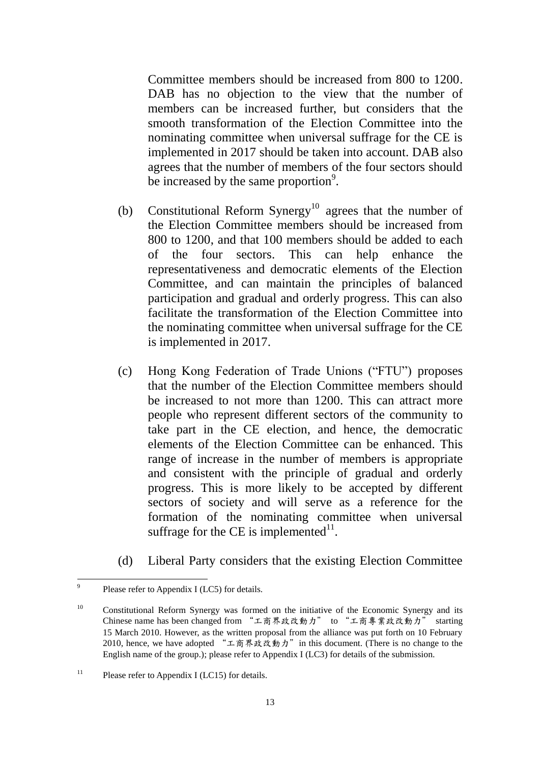Committee members should be increased from 800 to 1200. DAB has no objection to the view that the number of members can be increased further, but considers that the smooth transformation of the Election Committee into the nominating committee when universal suffrage for the CE is implemented in 2017 should be taken into account. DAB also agrees that the number of members of the four sectors should be increased by the same proportion $\degree$ .

- (b) Constitutional Reform Synergy<sup>10</sup> agrees that the number of the Election Committee members should be increased from 800 to 1200, and that 100 members should be added to each of the four sectors. This can help enhance the representativeness and democratic elements of the Election Committee, and can maintain the principles of balanced participation and gradual and orderly progress. This can also facilitate the transformation of the Election Committee into the nominating committee when universal suffrage for the CE is implemented in 2017.
- (c) Hong Kong Federation of Trade Unions ("FTU") proposes that the number of the Election Committee members should be increased to not more than 1200. This can attract more people who represent different sectors of the community to take part in the CE election, and hence, the democratic elements of the Election Committee can be enhanced. This range of increase in the number of members is appropriate and consistent with the principle of gradual and orderly progress. This is more likely to be accepted by different sectors of society and will serve as a reference for the formation of the nominating committee when universal suffrage for the CE is implemented $11$ .
- (d) Liberal Party considers that the existing Election Committee

<sup>-&</sup>lt;br>9 Please refer to Appendix I (LC5) for details.

<sup>&</sup>lt;sup>10</sup> Constitutional Reform Synergy was formed on the initiative of the Economic Synergy and its Constructional Action in Syncigy was formed on the middle of the accuration of the second the set of the Chinese name has been changed from "工商界政改動力" to "工商專業政改動力" starting 15 March 2010. However, as the written proposal from the alliance was put forth on 10 February 2010, hence, we have adopted "工商界政改動力" in this document. (There is no change to the English name of the group.); please refer to Appendix I (LC3) for details of the submission.

<sup>&</sup>lt;sup>11</sup> Please refer to Appendix I (LC15) for details.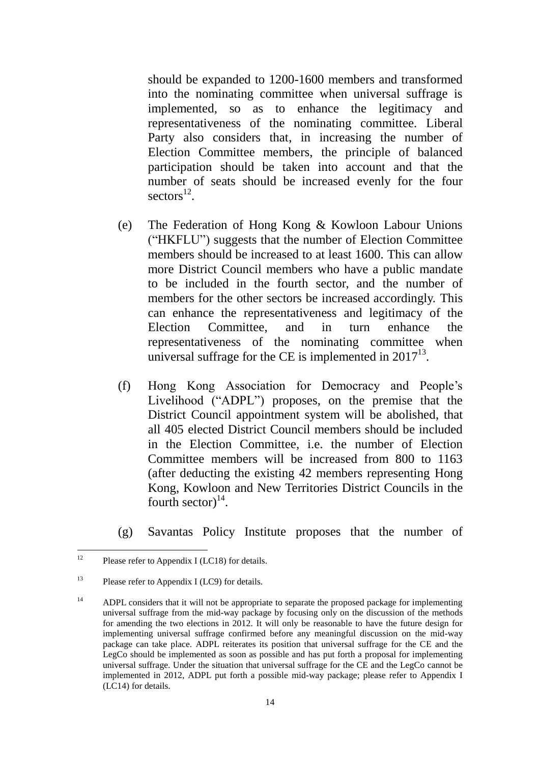should be expanded to 1200-1600 members and transformed into the nominating committee when universal suffrage is implemented, so as to enhance the legitimacy and representativeness of the nominating committee. Liberal Party also considers that, in increasing the number of Election Committee members, the principle of balanced participation should be taken into account and that the number of seats should be increased evenly for the four  $\text{sectors}^{12}$ .

- (e) The Federation of Hong Kong & Kowloon Labour Unions ("HKFLU") suggests that the number of Election Committee members should be increased to at least 1600. This can allow more District Council members who have a public mandate to be included in the fourth sector, and the number of members for the other sectors be increased accordingly. This can enhance the representativeness and legitimacy of the Election Committee, and in turn enhance the representativeness of the nominating committee when universal suffrage for the CE is implemented in  $2017^{13}$ .
- (f) Hong Kong Association for Democracy and People's Livelihood ("ADPL") proposes, on the premise that the District Council appointment system will be abolished, that all 405 elected District Council members should be included in the Election Committee, i.e. the number of Election Committee members will be increased from 800 to 1163 (after deducting the existing 42 members representing Hong Kong, Kowloon and New Territories District Councils in the fourth sector) $^{14}$ .
- (g) Savantas Policy Institute proposes that the number of

 $12$ Please refer to Appendix I (LC18) for details.

<sup>13</sup> Please refer to Appendix I (LC9) for details.

<sup>&</sup>lt;sup>14</sup> ADPL considers that it will not be appropriate to separate the proposed package for implementing universal suffrage from the mid-way package by focusing only on the discussion of the methods for amending the two elections in 2012. It will only be reasonable to have the future design for implementing universal suffrage confirmed before any meaningful discussion on the mid-way package can take place. ADPL reiterates its position that universal suffrage for the CE and the LegCo should be implemented as soon as possible and has put forth a proposal for implementing universal suffrage. Under the situation that universal suffrage for the CE and the LegCo cannot be implemented in 2012, ADPL put forth a possible mid-way package; please refer to Appendix I (LC14) for details.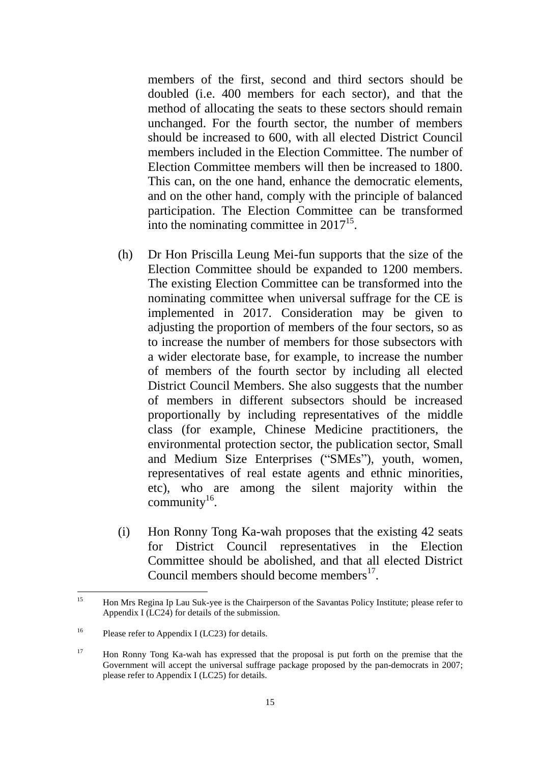members of the first, second and third sectors should be doubled (i.e. 400 members for each sector), and that the method of allocating the seats to these sectors should remain unchanged. For the fourth sector, the number of members should be increased to 600, with all elected District Council members included in the Election Committee. The number of Election Committee members will then be increased to 1800. This can, on the one hand, enhance the democratic elements, and on the other hand, comply with the principle of balanced participation. The Election Committee can be transformed into the nominating committee in  $2017^{15}$ .

- (h) Dr Hon Priscilla Leung Mei-fun supports that the size of the Election Committee should be expanded to 1200 members. The existing Election Committee can be transformed into the nominating committee when universal suffrage for the CE is implemented in 2017. Consideration may be given to adjusting the proportion of members of the four sectors, so as to increase the number of members for those subsectors with a wider electorate base, for example, to increase the number of members of the fourth sector by including all elected District Council Members. She also suggests that the number of members in different subsectors should be increased proportionally by including representatives of the middle class (for example, Chinese Medicine practitioners, the environmental protection sector, the publication sector, Small and Medium Size Enterprises ("SMEs"), youth, women, representatives of real estate agents and ethnic minorities, etc), who are among the silent majority within the community $^{16}$ .
- (i) Hon Ronny Tong Ka-wah proposes that the existing 42 seats for District Council representatives in the Election Committee should be abolished, and that all elected District Council members should become members<sup>17</sup>.

 $15$ <sup>15</sup> Hon Mrs Regina Ip Lau Suk-yee is the Chairperson of the Savantas Policy Institute; please refer to Appendix I (LC24) for details of the submission.

<sup>&</sup>lt;sup>16</sup> Please refer to Appendix I (LC23) for details.

<sup>&</sup>lt;sup>17</sup> Hon Ronny Tong Ka-wah has expressed that the proposal is put forth on the premise that the Government will accept the universal suffrage package proposed by the pan-democrats in 2007; please refer to Appendix I (LC25) for details.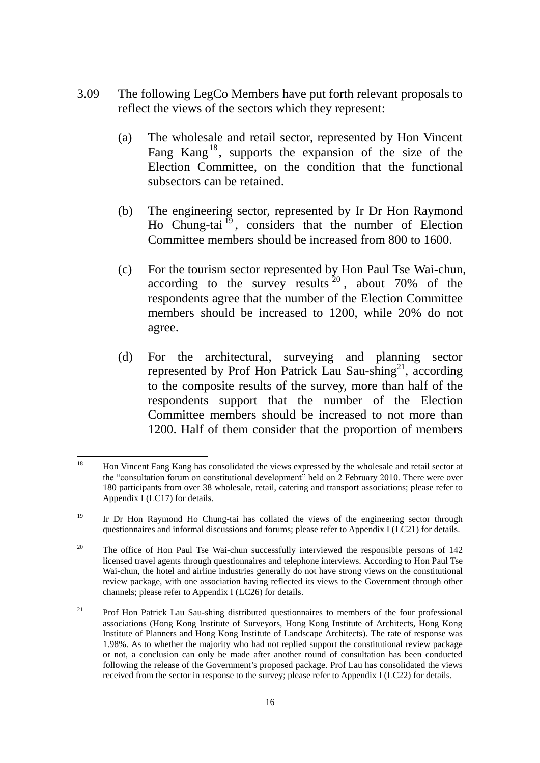- 3.09 The following LegCo Members have put forth relevant proposals to reflect the views of the sectors which they represent:
	- (a) The wholesale and retail sector, represented by Hon Vincent Fang Kang<sup>18</sup>, supports the expansion of the size of the Election Committee, on the condition that the functional subsectors can be retained.
	- (b) The engineering sector, represented by Ir Dr Hon Raymond Ho Chung-tai<sup>19</sup>, considers that the number of Election Committee members should be increased from 800 to 1600.
	- (c) For the tourism sector represented by Hon Paul Tse Wai-chun, according to the survey results  $20^{\circ}$ , about 70% of the respondents agree that the number of the Election Committee members should be increased to 1200, while 20% do not agree.
	- (d) For the architectural, surveying and planning sector represented by Prof Hon Patrick Lau Sau-shing<sup>21</sup>, according to the composite results of the survey, more than half of the respondents support that the number of the Election Committee members should be increased to not more than 1200. Half of them consider that the proportion of members

<sup>18</sup> <sup>18</sup> Hon Vincent Fang Kang has consolidated the views expressed by the wholesale and retail sector at the "consultation forum on constitutional development" held on 2 February 2010. There were over 180 participants from over 38 wholesale, retail, catering and transport associations; please refer to Appendix I (LC17) for details.

<sup>&</sup>lt;sup>19</sup> Ir Dr Hon Raymond Ho Chung-tai has collated the views of the engineering sector through questionnaires and informal discussions and forums; please refer to Appendix I (LC21) for details.

<sup>&</sup>lt;sup>20</sup> The office of Hon Paul Tse Wai-chun successfully interviewed the responsible persons of 142 licensed travel agents through questionnaires and telephone interviews. According to Hon Paul Tse Wai-chun, the hotel and airline industries generally do not have strong views on the constitutional review package, with one association having reflected its views to the Government through other channels; please refer to Appendix I (LC26) for details.

 $21$  Prof Hon Patrick Lau Sau-shing distributed questionnaires to members of the four professional associations (Hong Kong Institute of Surveyors, Hong Kong Institute of Architects, Hong Kong Institute of Planners and Hong Kong Institute of Landscape Architects). The rate of response was 1.98%. As to whether the majority who had not replied support the constitutional review package or not, a conclusion can only be made after another round of consultation has been conducted following the release of the Government's proposed package. Prof Lau has consolidated the views received from the sector in response to the survey; please refer to Appendix I (LC22) for details.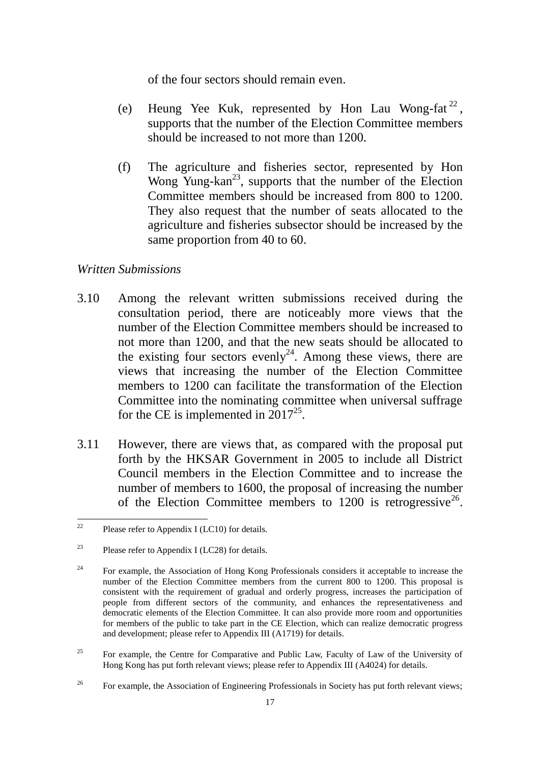of the four sectors should remain even.

- (e) Heung Yee Kuk, represented by Hon Lau Wong-fat<sup>22</sup>, supports that the number of the Election Committee members should be increased to not more than 1200.
- (f) The agriculture and fisheries sector, represented by Hon Wong Yung-kan<sup>23</sup>, supports that the number of the Election Committee members should be increased from 800 to 1200. They also request that the number of seats allocated to the agriculture and fisheries subsector should be increased by the same proportion from 40 to 60.

### *Written Submissions*

- 3.10 Among the relevant written submissions received during the consultation period, there are noticeably more views that the number of the Election Committee members should be increased to not more than 1200, and that the new seats should be allocated to the existing four sectors evenly<sup>24</sup>. Among these views, there are views that increasing the number of the Election Committee members to 1200 can facilitate the transformation of the Election Committee into the nominating committee when universal suffrage for the CE is implemented in  $2017^{25}$ .
- 3.11 However, there are views that, as compared with the proposal put forth by the HKSAR Government in 2005 to include all District Council members in the Election Committee and to increase the number of members to 1600, the proposal of increasing the number of the Election Committee members to  $1200$  is retrogressive<sup>26</sup>.

<sup>25</sup> For example, the Centre for Comparative and Public Law, Faculty of Law of the University of Hong Kong has put forth relevant views; please refer to Appendix III (A4024) for details.

<sup>22</sup> Please refer to Appendix I (LC10) for details.

<sup>&</sup>lt;sup>23</sup> Please refer to Appendix I (LC28) for details.

<sup>&</sup>lt;sup>24</sup> For example, the Association of Hong Kong Professionals considers it acceptable to increase the number of the Election Committee members from the current 800 to 1200. This proposal is consistent with the requirement of gradual and orderly progress, increases the participation of people from different sectors of the community, and enhances the representativeness and democratic elements of the Election Committee. It can also provide more room and opportunities for members of the public to take part in the CE Election, which can realize democratic progress and development; please refer to Appendix III (A1719) for details.

<sup>&</sup>lt;sup>26</sup> For example, the Association of Engineering Professionals in Society has put forth relevant views;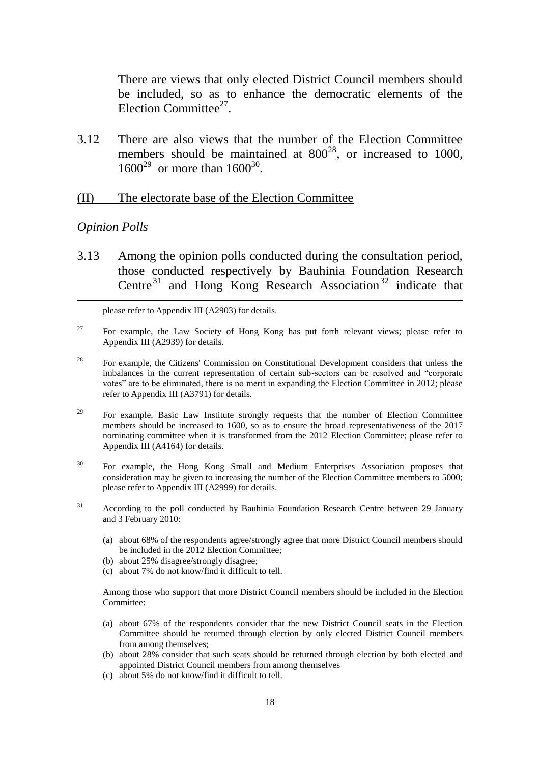There are views that only elected District Council members should be included, so as to enhance the democratic elements of the Election Committee $27$ .

3.12 There are also views that the number of the Election Committee members should be maintained at  $800^{28}$ , or increased to 1000,  $1600^{29}$  or more than  $1600^{30}$ .

#### (II) The electorate base of the Election Committee

#### *Opinion Polls*

1

3.13 Among the opinion polls conducted during the consultation period, those conducted respectively by Bauhinia Foundation Research Centre<sup>31</sup> and Hong Kong Research Association<sup>32</sup> indicate that

please refer to Appendix III (A2903) for details.

- <sup>27</sup> For example, the Law Society of Hong Kong has put forth relevant views; please refer to Appendix III (A2939) for details.
- <sup>28</sup> For example, the Citizens' Commission on Constitutional Development considers that unless the imbalances in the current representation of certain sub-sectors can be resolved and "corporate votes" are to be eliminated, there is no merit in expanding the Election Committee in 2012; please refer to Appendix III (A3791) for details.
- <sup>29</sup> For example, Basic Law Institute strongly requests that the number of Election Committee members should be increased to 1600, so as to ensure the broad representativeness of the 2017 nominating committee when it is transformed from the 2012 Election Committee; please refer to Appendix III (A4164) for details.
- <sup>30</sup> For example, the Hong Kong Small and Medium Enterprises Association proposes that consideration may be given to increasing the number of the Election Committee members to 5000; please refer to Appendix III (A2999) for details.
- <sup>31</sup> According to the poll conducted by Bauhinia Foundation Research Centre between 29 January and 3 February 2010:
	- (a) about 68% of the respondents agree/strongly agree that more District Council members should be included in the 2012 Election Committee;
	- (b) about 25% disagree/strongly disagree;
	- (c) about 7% do not know/find it difficult to tell.

Among those who support that more District Council members should be included in the Election Committee:

- (a) about 67% of the respondents consider that the new District Council seats in the Election Committee should be returned through election by only elected District Council members from among themselves;
- (b) about 28% consider that such seats should be returned through election by both elected and appointed District Council members from among themselves
- (c) about 5% do not know/find it difficult to tell.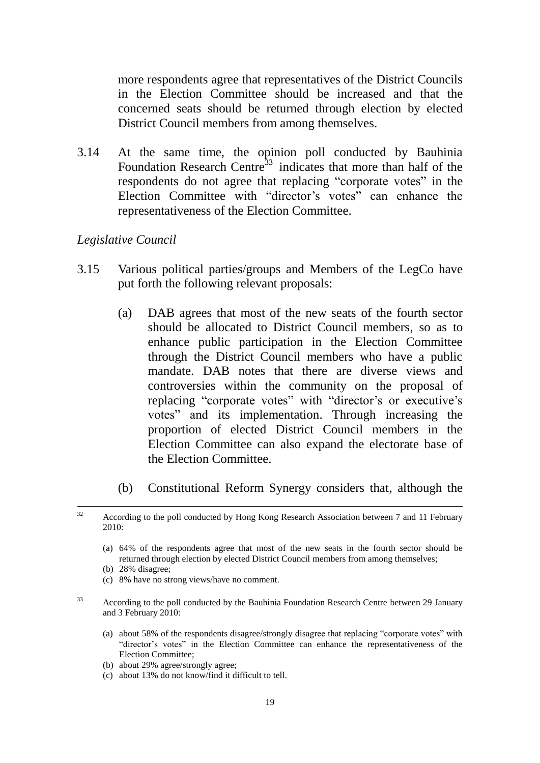more respondents agree that representatives of the District Councils in the Election Committee should be increased and that the concerned seats should be returned through election by elected District Council members from among themselves.

3.14 At the same time, the opinion poll conducted by Bauhinia Foundation Research Centre<sup>33</sup> indicates that more than half of the respondents do not agree that replacing "corporate votes" in the Election Committee with "director's votes" can enhance the representativeness of the Election Committee.

### *Legislative Council*

- 3.15 Various political parties/groups and Members of the LegCo have put forth the following relevant proposals:
	- (a) DAB agrees that most of the new seats of the fourth sector should be allocated to District Council members, so as to enhance public participation in the Election Committee through the District Council members who have a public mandate. DAB notes that there are diverse views and controversies within the community on the proposal of replacing "corporate votes" with "director's or executive's votes" and its implementation. Through increasing the proportion of elected District Council members in the Election Committee can also expand the electorate base of the Election Committee.
	- (b) Constitutional Reform Synergy considers that, although the

- (a) 64% of the respondents agree that most of the new seats in the fourth sector should be returned through election by elected District Council members from among themselves;
- (b) 28% disagree;
- (c) 8% have no strong views/have no comment.
- <sup>33</sup> According to the poll conducted by the Bauhinia Foundation Research Centre between 29 January and 3 February 2010:
	- (a) about 58% of the respondents disagree/strongly disagree that replacing "corporate votes" with "director's votes" in the Election Committee can enhance the representativeness of the Election Committee;
	- (b) about 29% agree/strongly agree;
	- (c) about 13% do not know/find it difficult to tell.

 $32$ According to the poll conducted by Hong Kong Research Association between 7 and 11 February 2010: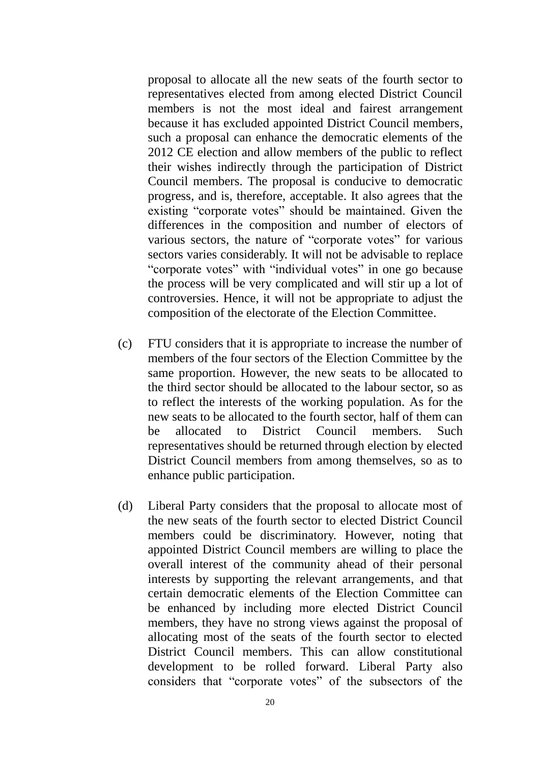proposal to allocate all the new seats of the fourth sector to representatives elected from among elected District Council members is not the most ideal and fairest arrangement because it has excluded appointed District Council members, such a proposal can enhance the democratic elements of the 2012 CE election and allow members of the public to reflect their wishes indirectly through the participation of District Council members. The proposal is conducive to democratic progress, and is, therefore, acceptable. It also agrees that the existing "corporate votes" should be maintained. Given the differences in the composition and number of electors of various sectors, the nature of "corporate votes" for various sectors varies considerably. It will not be advisable to replace "corporate votes" with "individual votes" in one go because the process will be very complicated and will stir up a lot of controversies. Hence, it will not be appropriate to adjust the composition of the electorate of the Election Committee.

- (c) FTU considers that it is appropriate to increase the number of members of the four sectors of the Election Committee by the same proportion. However, the new seats to be allocated to the third sector should be allocated to the labour sector, so as to reflect the interests of the working population. As for the new seats to be allocated to the fourth sector, half of them can be allocated to District Council members. Such representatives should be returned through election by elected District Council members from among themselves, so as to enhance public participation.
- (d) Liberal Party considers that the proposal to allocate most of the new seats of the fourth sector to elected District Council members could be discriminatory. However, noting that appointed District Council members are willing to place the overall interest of the community ahead of their personal interests by supporting the relevant arrangements, and that certain democratic elements of the Election Committee can be enhanced by including more elected District Council members, they have no strong views against the proposal of allocating most of the seats of the fourth sector to elected District Council members. This can allow constitutional development to be rolled forward. Liberal Party also considers that "corporate votes" of the subsectors of the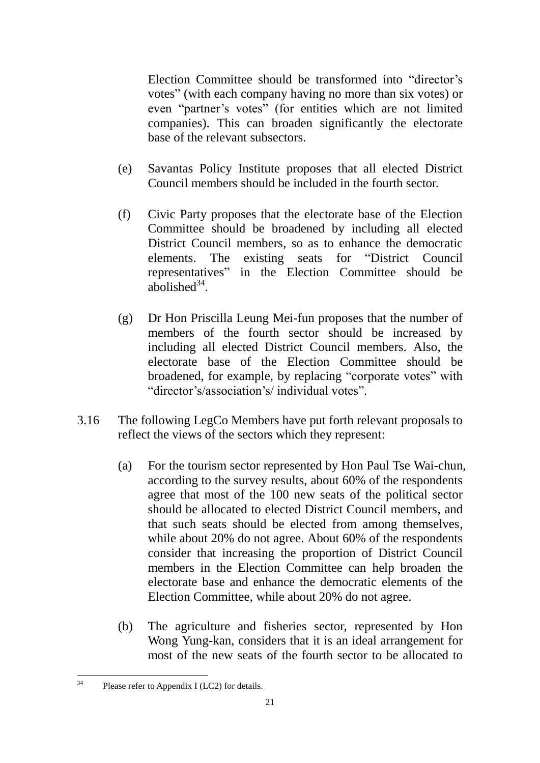Election Committee should be transformed into "director's votes" (with each company having no more than six votes) or even "partner's votes" (for entities which are not limited companies). This can broaden significantly the electorate base of the relevant subsectors.

- (e) Savantas Policy Institute proposes that all elected District Council members should be included in the fourth sector.
- (f) Civic Party proposes that the electorate base of the Election Committee should be broadened by including all elected District Council members, so as to enhance the democratic elements. The existing seats for "District Council representatives" in the Election Committee should be abolished $34$ .
- (g) Dr Hon Priscilla Leung Mei-fun proposes that the number of members of the fourth sector should be increased by including all elected District Council members. Also, the electorate base of the Election Committee should be broadened, for example, by replacing "corporate votes" with "director's/association's/ individual votes".
- 3.16 The following LegCo Members have put forth relevant proposals to reflect the views of the sectors which they represent:
	- (a) For the tourism sector represented by Hon Paul Tse Wai-chun, according to the survey results, about 60% of the respondents agree that most of the 100 new seats of the political sector should be allocated to elected District Council members, and that such seats should be elected from among themselves, while about 20% do not agree. About 60% of the respondents consider that increasing the proportion of District Council members in the Election Committee can help broaden the electorate base and enhance the democratic elements of the Election Committee, while about 20% do not agree.
	- (b) The agriculture and fisheries sector, represented by Hon Wong Yung-kan, considers that it is an ideal arrangement for most of the new seats of the fourth sector to be allocated to

 $34$ Please refer to Appendix I (LC2) for details.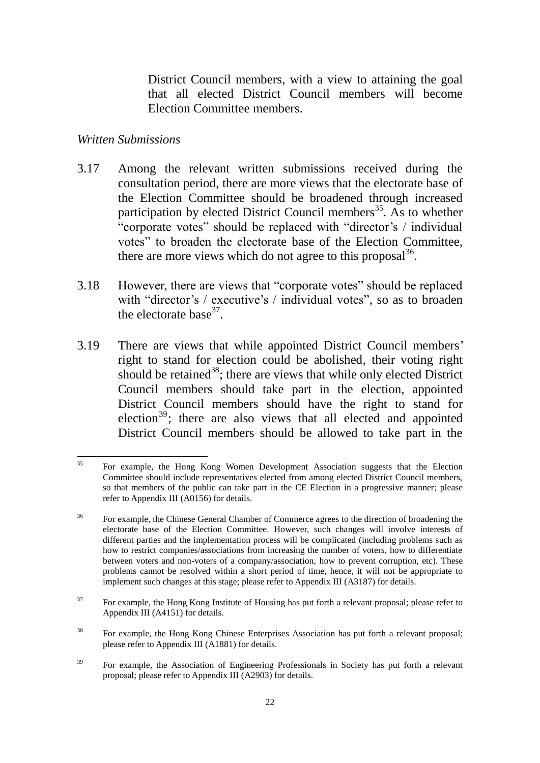District Council members, with a view to attaining the goal that all elected District Council members will become Election Committee members.

#### *Written Submissions*

- 3.17 Among the relevant written submissions received during the consultation period, there are more views that the electorate base of the Election Committee should be broadened through increased participation by elected District Council members<sup>35</sup>. As to whether "corporate votes" should be replaced with "director's / individual votes" to broaden the electorate base of the Election Committee, there are more views which do not agree to this proposal $36$ .
- 3.18 However, there are views that "corporate votes" should be replaced with "director's / executive's / individual votes", so as to broaden the electorate base $37$ .
- 3.19 There are views that while appointed District Council members' right to stand for election could be abolished, their voting right should be retained<sup>38</sup>; there are views that while only elected District Council members should take part in the election, appointed District Council members should have the right to stand for election $39$ ; there are also views that all elected and appointed District Council members should be allowed to take part in the

 $35$ <sup>35</sup> For example, the Hong Kong Women Development Association suggests that the Election Committee should include representatives elected from among elected District Council members, so that members of the public can take part in the CE Election in a progressive manner; please refer to Appendix III (A0156) for details.

<sup>&</sup>lt;sup>36</sup> For example, the Chinese General Chamber of Commerce agrees to the direction of broadening the electorate base of the Election Committee. However, such changes will involve interests of different parties and the implementation process will be complicated (including problems such as how to restrict companies/associations from increasing the number of voters, how to differentiate between voters and non-voters of a company/association, how to prevent corruption, etc). These problems cannot be resolved within a short period of time, hence, it will not be appropriate to implement such changes at this stage; please refer to Appendix III (A3187) for details.

 $37$  For example, the Hong Kong Institute of Housing has put forth a relevant proposal; please refer to Appendix III (A4151) for details.

<sup>&</sup>lt;sup>38</sup> For example, the Hong Kong Chinese Enterprises Association has put forth a relevant proposal; please refer to Appendix III (A1881) for details.

<sup>&</sup>lt;sup>39</sup> For example, the Association of Engineering Professionals in Society has put forth a relevant proposal; please refer to Appendix III (A2903) for details.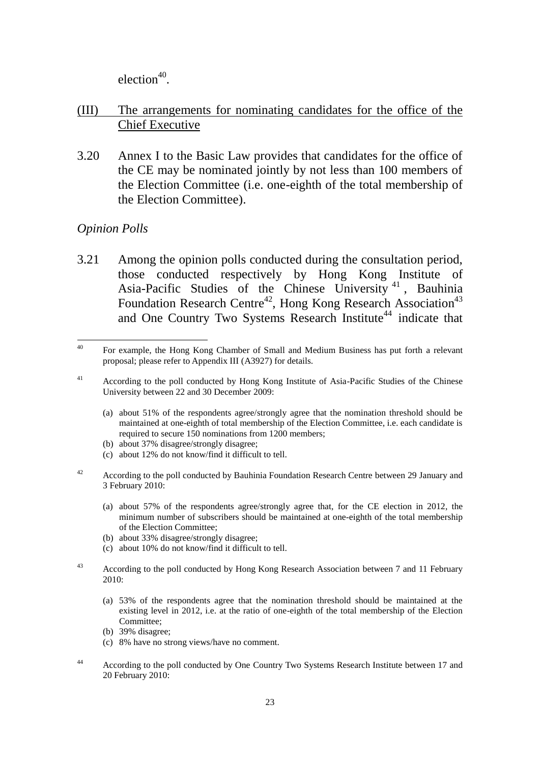$e$ lection<sup>40</sup>.

### (III) The arrangements for nominating candidates for the office of the Chief Executive

3.20 Annex I to the Basic Law provides that candidates for the office of the CE may be nominated jointly by not less than 100 members of the Election Committee (i.e. one-eighth of the total membership of the Election Committee).

### *Opinion Polls*

3.21 Among the opinion polls conducted during the consultation period, those conducted respectively by Hong Kong Institute of Asia-Pacific Studies of the Chinese University<sup>41</sup>, Bauhinia Foundation Research Centre<sup>42</sup>, Hong Kong Research Association<sup>43</sup> and One Country Two Systems Research Institute<sup>44</sup> indicate that

- (a) about 51% of the respondents agree/strongly agree that the nomination threshold should be maintained at one-eighth of total membership of the Election Committee, i.e. each candidate is required to secure 150 nominations from 1200 members;
- (b) about 37% disagree/strongly disagree;
- (c) about 12% do not know/find it difficult to tell.
- <sup>42</sup> According to the poll conducted by Bauhinia Foundation Research Centre between 29 January and 3 February 2010:
	- (a) about 57% of the respondents agree/strongly agree that, for the CE election in 2012, the minimum number of subscribers should be maintained at one-eighth of the total membership of the Election Committee;
	- (b) about 33% disagree/strongly disagree;
	- (c) about 10% do not know/find it difficult to tell.
- <sup>43</sup> According to the poll conducted by Hong Kong Research Association between 7 and 11 February 2010:
	- (a) 53% of the respondents agree that the nomination threshold should be maintained at the existing level in 2012, i.e. at the ratio of one-eighth of the total membership of the Election Committee;
	- (b) 39% disagree;
	- (c) 8% have no strong views/have no comment.
- <sup>44</sup> According to the poll conducted by One Country Two Systems Research Institute between 17 and 20 February 2010:

 $40$ <sup>40</sup> For example, the Hong Kong Chamber of Small and Medium Business has put forth a relevant proposal; please refer to Appendix III (A3927) for details.

<sup>41</sup> According to the poll conducted by Hong Kong Institute of Asia-Pacific Studies of the Chinese University between 22 and 30 December 2009: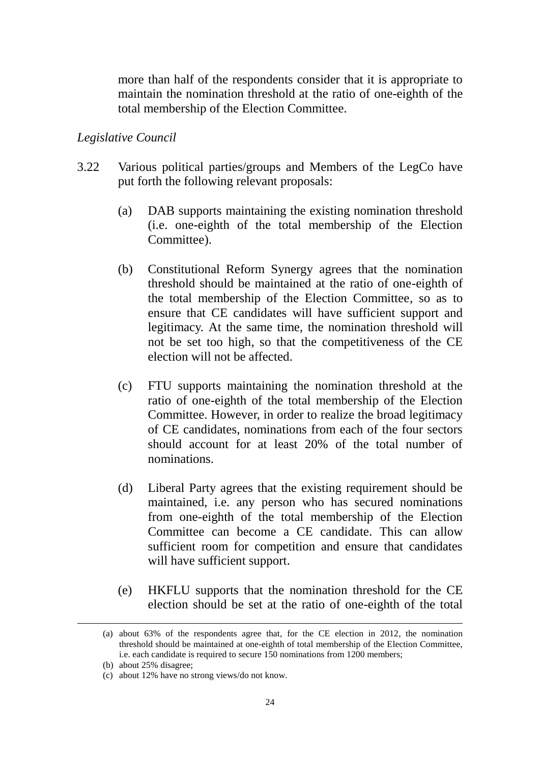more than half of the respondents consider that it is appropriate to maintain the nomination threshold at the ratio of one-eighth of the total membership of the Election Committee.

#### *Legislative Council*

- 3.22 Various political parties/groups and Members of the LegCo have put forth the following relevant proposals:
	- (a) DAB supports maintaining the existing nomination threshold (i.e. one-eighth of the total membership of the Election Committee).
	- (b) Constitutional Reform Synergy agrees that the nomination threshold should be maintained at the ratio of one-eighth of the total membership of the Election Committee, so as to ensure that CE candidates will have sufficient support and legitimacy. At the same time, the nomination threshold will not be set too high, so that the competitiveness of the CE election will not be affected.
	- (c) FTU supports maintaining the nomination threshold at the ratio of one-eighth of the total membership of the Election Committee. However, in order to realize the broad legitimacy of CE candidates, nominations from each of the four sectors should account for at least 20% of the total number of nominations.
	- (d) Liberal Party agrees that the existing requirement should be maintained, i.e. any person who has secured nominations from one-eighth of the total membership of the Election Committee can become a CE candidate. This can allow sufficient room for competition and ensure that candidates will have sufficient support.
	- (e) HKFLU supports that the nomination threshold for the CE election should be set at the ratio of one-eighth of the total

1

<sup>(</sup>a) about 63% of the respondents agree that, for the CE election in 2012, the nomination threshold should be maintained at one-eighth of total membership of the Election Committee, i.e. each candidate is required to secure 150 nominations from 1200 members;

<sup>(</sup>b) about 25% disagree;

<sup>(</sup>c) about 12% have no strong views/do not know.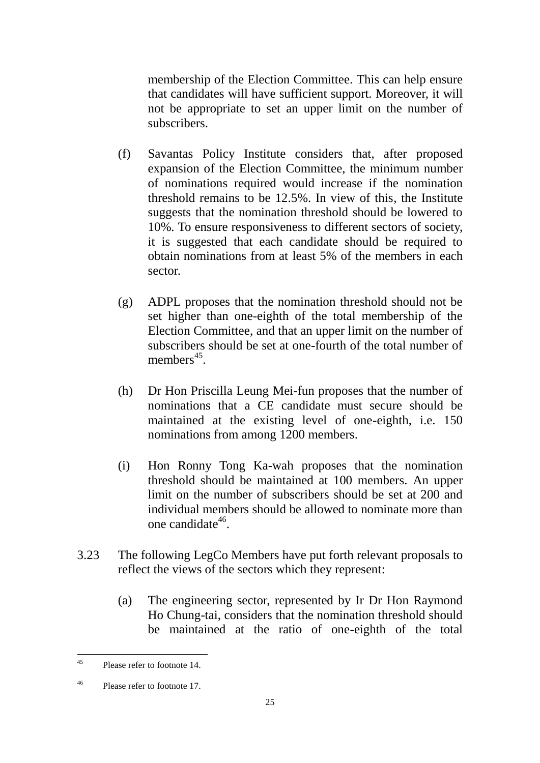membership of the Election Committee. This can help ensure that candidates will have sufficient support. Moreover, it will not be appropriate to set an upper limit on the number of subscribers.

- (f) Savantas Policy Institute considers that, after proposed expansion of the Election Committee, the minimum number of nominations required would increase if the nomination threshold remains to be 12.5%. In view of this, the Institute suggests that the nomination threshold should be lowered to 10%. To ensure responsiveness to different sectors of society, it is suggested that each candidate should be required to obtain nominations from at least 5% of the members in each sector.
- (g) ADPL proposes that the nomination threshold should not be set higher than one-eighth of the total membership of the Election Committee, and that an upper limit on the number of subscribers should be set at one-fourth of the total number of members $45$ .
- (h) Dr Hon Priscilla Leung Mei-fun proposes that the number of nominations that a CE candidate must secure should be maintained at the existing level of one-eighth, i.e. 150 nominations from among 1200 members.
- (i) Hon Ronny Tong Ka-wah proposes that the nomination threshold should be maintained at 100 members. An upper limit on the number of subscribers should be set at 200 and individual members should be allowed to nominate more than one candidate<sup>46</sup>.
- 3.23 The following LegCo Members have put forth relevant proposals to reflect the views of the sectors which they represent:
	- (a) The engineering sector, represented by Ir Dr Hon Raymond Ho Chung-tai, considers that the nomination threshold should be maintained at the ratio of one-eighth of the total

 $45$ Please refer to footnote 14

<sup>46</sup> Please refer to footnote 17.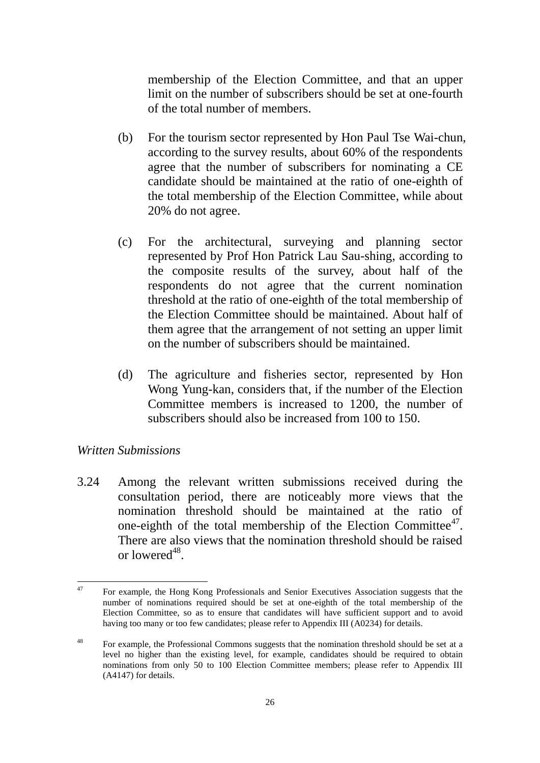membership of the Election Committee, and that an upper limit on the number of subscribers should be set at one-fourth of the total number of members.

- (b) For the tourism sector represented by Hon Paul Tse Wai-chun, according to the survey results, about 60% of the respondents agree that the number of subscribers for nominating a CE candidate should be maintained at the ratio of one-eighth of the total membership of the Election Committee, while about 20% do not agree.
- (c) For the architectural, surveying and planning sector represented by Prof Hon Patrick Lau Sau-shing, according to the composite results of the survey, about half of the respondents do not agree that the current nomination threshold at the ratio of one-eighth of the total membership of the Election Committee should be maintained. About half of them agree that the arrangement of not setting an upper limit on the number of subscribers should be maintained.
- (d) The agriculture and fisheries sector, represented by Hon Wong Yung-kan, considers that, if the number of the Election Committee members is increased to 1200, the number of subscribers should also be increased from 100 to 150.

#### *Written Submissions*

3.24 Among the relevant written submissions received during the consultation period, there are noticeably more views that the nomination threshold should be maintained at the ratio of one-eighth of the total membership of the Election Committee<sup>47</sup>. There are also views that the nomination threshold should be raised or lowered<sup>48</sup>.

 $47$ <sup>47</sup> For example, the Hong Kong Professionals and Senior Executives Association suggests that the number of nominations required should be set at one-eighth of the total membership of the Election Committee, so as to ensure that candidates will have sufficient support and to avoid having too many or too few candidates; please refer to Appendix III (A0234) for details.

<sup>&</sup>lt;sup>48</sup> For example, the Professional Commons suggests that the nomination threshold should be set at a level no higher than the existing level, for example, candidates should be required to obtain nominations from only 50 to 100 Election Committee members; please refer to Appendix III (A4147) for details.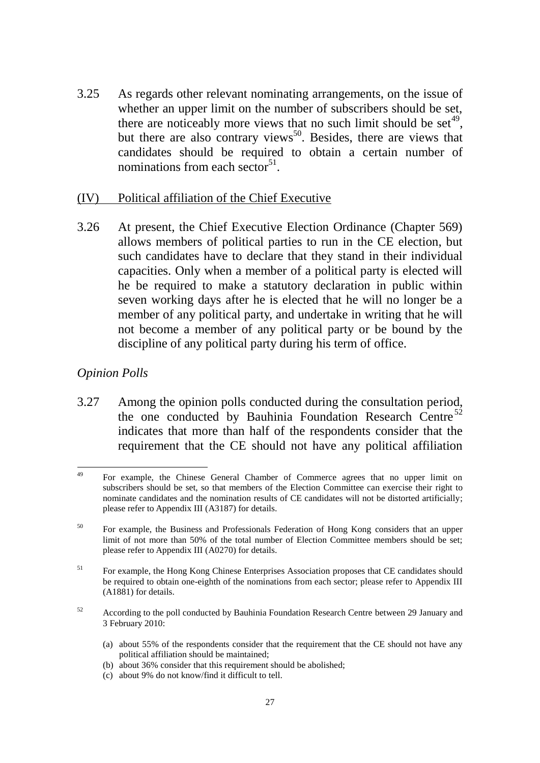3.25 As regards other relevant nominating arrangements, on the issue of whether an upper limit on the number of subscribers should be set, there are noticeably more views that no such limit should be set<sup>49</sup>, but there are also contrary views<sup>50</sup>. Besides, there are views that candidates should be required to obtain a certain number of nominations from each sector<sup>51</sup>.

#### (IV) Political affiliation of the Chief Executive

3.26 At present, the Chief Executive Election Ordinance (Chapter 569) allows members of political parties to run in the CE election, but such candidates have to declare that they stand in their individual capacities. Only when a member of a political party is elected will he be required to make a statutory declaration in public within seven working days after he is elected that he will no longer be a member of any political party, and undertake in writing that he will not become a member of any political party or be bound by the discipline of any political party during his term of office.

### *Opinion Polls*

3.27 Among the opinion polls conducted during the consultation period, the one conducted by Bauhinia Foundation Research Centre<sup>52</sup> indicates that more than half of the respondents consider that the requirement that the CE should not have any political affiliation

- (a) about 55% of the respondents consider that the requirement that the CE should not have any political affiliation should be maintained;
- (b) about 36% consider that this requirement should be abolished;
- (c) about 9% do not know/find it difficult to tell.

 $49$ <sup>49</sup> For example, the Chinese General Chamber of Commerce agrees that no upper limit on subscribers should be set, so that members of the Election Committee can exercise their right to nominate candidates and the nomination results of CE candidates will not be distorted artificially; please refer to Appendix III (A3187) for details.

<sup>&</sup>lt;sup>50</sup> For example, the Business and Professionals Federation of Hong Kong considers that an upper limit of not more than 50% of the total number of Election Committee members should be set; please refer to Appendix III (A0270) for details.

<sup>&</sup>lt;sup>51</sup> For example, the Hong Kong Chinese Enterprises Association proposes that CE candidates should be required to obtain one-eighth of the nominations from each sector; please refer to Appendix III (A1881) for details.

<sup>&</sup>lt;sup>52</sup> According to the poll conducted by Bauhinia Foundation Research Centre between 29 January and 3 February 2010: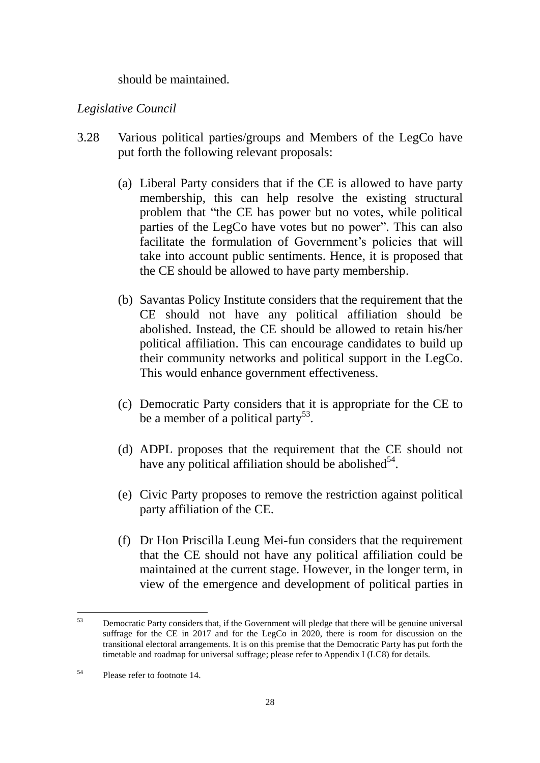should be maintained.

### *Legislative Council*

- 3.28 Various political parties/groups and Members of the LegCo have put forth the following relevant proposals:
	- (a) Liberal Party considers that if the CE is allowed to have party membership, this can help resolve the existing structural problem that "the CE has power but no votes, while political parties of the LegCo have votes but no power". This can also facilitate the formulation of Government's policies that will take into account public sentiments. Hence, it is proposed that the CE should be allowed to have party membership.
	- (b) Savantas Policy Institute considers that the requirement that the CE should not have any political affiliation should be abolished. Instead, the CE should be allowed to retain his/her political affiliation. This can encourage candidates to build up their community networks and political support in the LegCo. This would enhance government effectiveness.
	- (c) Democratic Party considers that it is appropriate for the CE to be a member of a political party<sup>53</sup>.
	- (d) ADPL proposes that the requirement that the CE should not have any political affiliation should be abolished $5^4$ .
	- (e) Civic Party proposes to remove the restriction against political party affiliation of the CE.
	- (f) Dr Hon Priscilla Leung Mei-fun considers that the requirement that the CE should not have any political affiliation could be maintained at the current stage. However, in the longer term, in view of the emergence and development of political parties in

<sup>53</sup> <sup>53</sup> Democratic Party considers that, if the Government will pledge that there will be genuine universal suffrage for the CE in 2017 and for the LegCo in 2020, there is room for discussion on the transitional electoral arrangements. It is on this premise that the Democratic Party has put forth the timetable and roadmap for universal suffrage; please refer to Appendix I (LC8) for details.

<sup>54</sup> Please refer to footnote 14.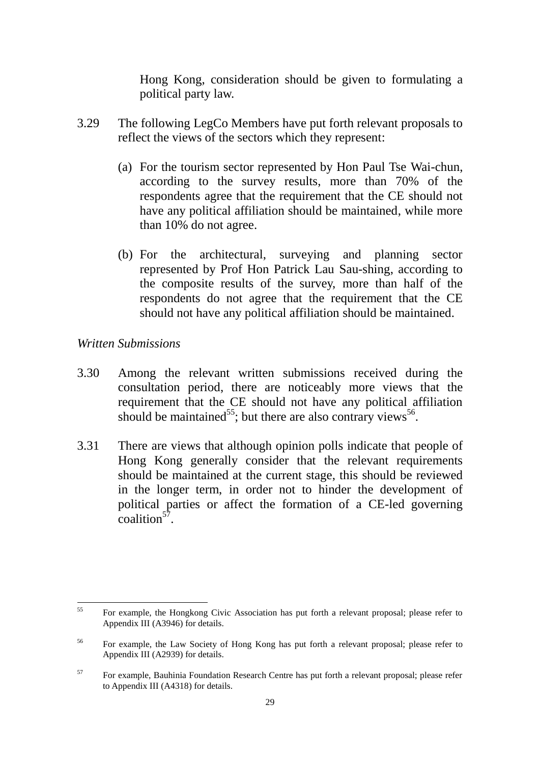Hong Kong, consideration should be given to formulating a political party law.

- 3.29 The following LegCo Members have put forth relevant proposals to reflect the views of the sectors which they represent:
	- (a) For the tourism sector represented by Hon Paul Tse Wai-chun, according to the survey results, more than 70% of the respondents agree that the requirement that the CE should not have any political affiliation should be maintained, while more than 10% do not agree.
	- (b) For the architectural, surveying and planning sector represented by Prof Hon Patrick Lau Sau-shing, according to the composite results of the survey, more than half of the respondents do not agree that the requirement that the CE should not have any political affiliation should be maintained.

#### *Written Submissions*

- 3.30 Among the relevant written submissions received during the consultation period, there are noticeably more views that the requirement that the CE should not have any political affiliation should be maintained<sup>55</sup>; but there are also contrary views<sup>56</sup>.
- 3.31 There are views that although opinion polls indicate that people of Hong Kong generally consider that the relevant requirements should be maintained at the current stage, this should be reviewed in the longer term, in order not to hinder the development of political parties or affect the formation of a CE-led governing  $\text{coalition}^{57}$ .

 $55$ <sup>55</sup> For example, the Hongkong Civic Association has put forth a relevant proposal; please refer to Appendix III (A3946) for details.

<sup>&</sup>lt;sup>56</sup> For example, the Law Society of Hong Kong has put forth a relevant proposal; please refer to Appendix III (A2939) for details.

<sup>&</sup>lt;sup>57</sup> For example, Bauhinia Foundation Research Centre has put forth a relevant proposal; please refer to Appendix III (A4318) for details.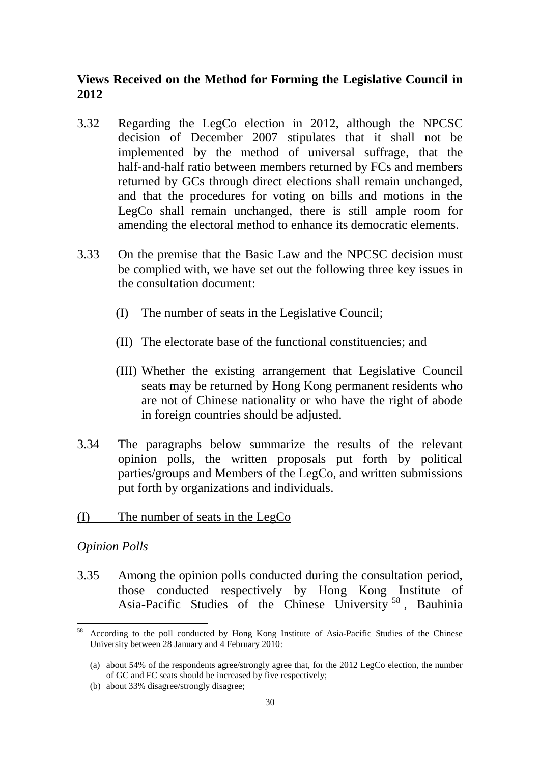# **Views Received on the Method for Forming the Legislative Council in 2012**

- 3.32 Regarding the LegCo election in 2012, although the NPCSC decision of December 2007 stipulates that it shall not be implemented by the method of universal suffrage, that the half-and-half ratio between members returned by FCs and members returned by GCs through direct elections shall remain unchanged, and that the procedures for voting on bills and motions in the LegCo shall remain unchanged, there is still ample room for amending the electoral method to enhance its democratic elements.
- 3.33 On the premise that the Basic Law and the NPCSC decision must be complied with, we have set out the following three key issues in the consultation document:
	- (I) The number of seats in the Legislative Council;
	- (II) The electorate base of the functional constituencies; and
	- (III) Whether the existing arrangement that Legislative Council seats may be returned by Hong Kong permanent residents who are not of Chinese nationality or who have the right of abode in foreign countries should be adjusted.
- 3.34 The paragraphs below summarize the results of the relevant opinion polls, the written proposals put forth by political parties/groups and Members of the LegCo, and written submissions put forth by organizations and individuals.
- (I) The number of seats in the LegCo

#### *Opinion Polls*

1

3.35 Among the opinion polls conducted during the consultation period, those conducted respectively by Hong Kong Institute of Asia-Pacific Studies of the Chinese University <sup>58</sup> , Bauhinia

<sup>58</sup> According to the poll conducted by Hong Kong Institute of Asia-Pacific Studies of the Chinese University between 28 January and 4 February 2010:

<sup>(</sup>a) about 54% of the respondents agree/strongly agree that, for the 2012 LegCo election, the number of GC and FC seats should be increased by five respectively;

<sup>(</sup>b) about 33% disagree/strongly disagree;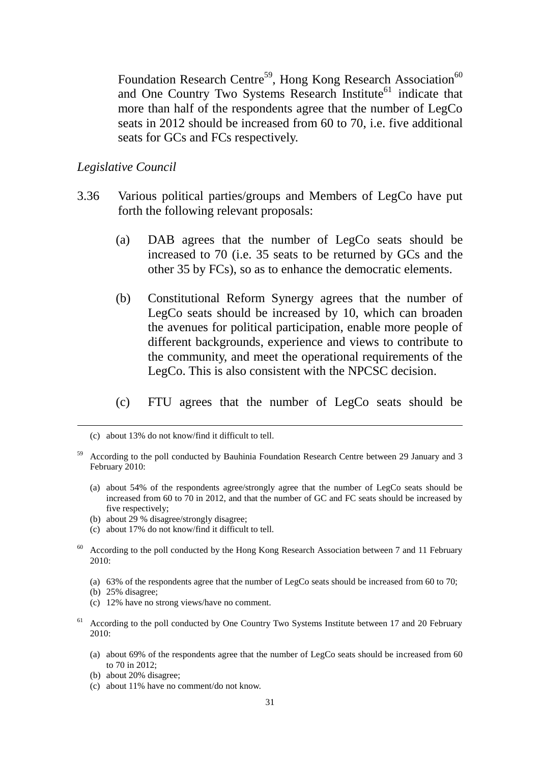Foundation Research Centre<sup>59</sup>, Hong Kong Research Association<sup>60</sup> and One Country Two Systems Research Institute<sup>61</sup> indicate that more than half of the respondents agree that the number of LegCo seats in 2012 should be increased from 60 to 70, i.e. five additional seats for GCs and FCs respectively.

#### *Legislative Council*

- 3.36 Various political parties/groups and Members of LegCo have put forth the following relevant proposals:
	- (a) DAB agrees that the number of LegCo seats should be increased to 70 (i.e. 35 seats to be returned by GCs and the other 35 by FCs), so as to enhance the democratic elements.
	- (b) Constitutional Reform Synergy agrees that the number of LegCo seats should be increased by 10, which can broaden the avenues for political participation, enable more people of different backgrounds, experience and views to contribute to the community, and meet the operational requirements of the LegCo. This is also consistent with the NPCSC decision.
	- (c) FTU agrees that the number of LegCo seats should be

- (a) about 54% of the respondents agree/strongly agree that the number of LegCo seats should be increased from 60 to 70 in 2012, and that the number of GC and FC seats should be increased by five respectively;
- (b) about 29 % disagree/strongly disagree;
- (c) about 17% do not know/find it difficult to tell.
- <sup>60</sup> According to the poll conducted by the Hong Kong Research Association between 7 and 11 February 2010:
	- (a) 63% of the respondents agree that the number of LegCo seats should be increased from 60 to 70;
	- (b) 25% disagree;

1

- (c) 12% have no strong views/have no comment.
- <sup>61</sup> According to the poll conducted by One Country Two Systems Institute between 17 and 20 February 2010:
	- (a) about 69% of the respondents agree that the number of LegCo seats should be increased from 60 to 70 in 2012;
	- (b) about 20% disagree;
	- (c) about 11% have no comment/do not know.

<sup>(</sup>c) about 13% do not know/find it difficult to tell.

<sup>59</sup> According to the poll conducted by Bauhinia Foundation Research Centre between 29 January and 3 February 2010: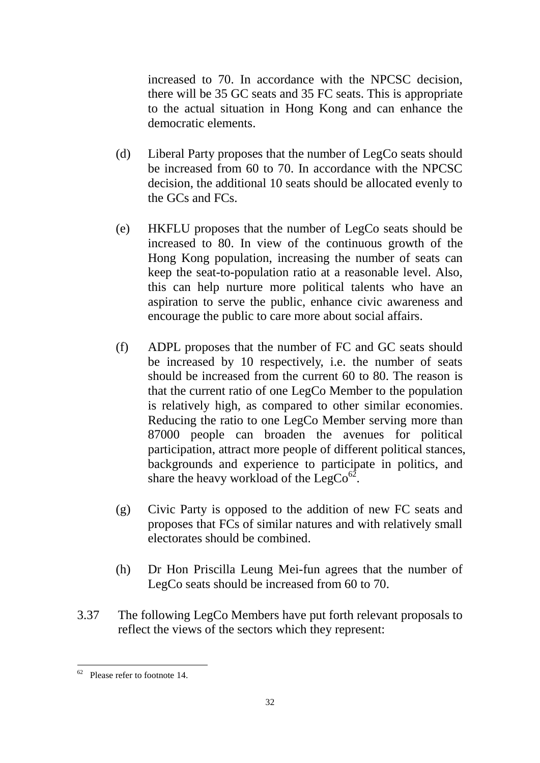increased to 70. In accordance with the NPCSC decision, there will be 35 GC seats and 35 FC seats. This is appropriate to the actual situation in Hong Kong and can enhance the democratic elements.

- (d) Liberal Party proposes that the number of LegCo seats should be increased from 60 to 70. In accordance with the NPCSC decision, the additional 10 seats should be allocated evenly to the GCs and FCs.
- (e) HKFLU proposes that the number of LegCo seats should be increased to 80. In view of the continuous growth of the Hong Kong population, increasing the number of seats can keep the seat-to-population ratio at a reasonable level. Also, this can help nurture more political talents who have an aspiration to serve the public, enhance civic awareness and encourage the public to care more about social affairs.
- (f) ADPL proposes that the number of FC and GC seats should be increased by 10 respectively, i.e. the number of seats should be increased from the current 60 to 80. The reason is that the current ratio of one LegCo Member to the population is relatively high, as compared to other similar economies. Reducing the ratio to one LegCo Member serving more than 87000 people can broaden the avenues for political participation, attract more people of different political stances, backgrounds and experience to participate in politics, and share the heavy workload of the LegCo $^{62}$ .
- (g) Civic Party is opposed to the addition of new FC seats and proposes that FCs of similar natures and with relatively small electorates should be combined.
- (h) Dr Hon Priscilla Leung Mei-fun agrees that the number of LegCo seats should be increased from 60 to 70.
- 3.37 The following LegCo Members have put forth relevant proposals to reflect the views of the sectors which they represent:

1

 $62$  Please refer to footnote 14.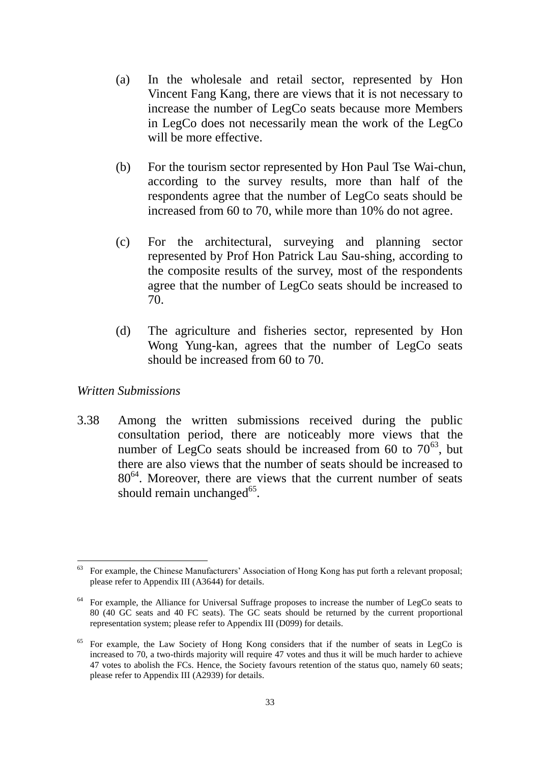- (a) In the wholesale and retail sector, represented by Hon Vincent Fang Kang, there are views that it is not necessary to increase the number of LegCo seats because more Members in LegCo does not necessarily mean the work of the LegCo will be more effective.
- (b) For the tourism sector represented by Hon Paul Tse Wai-chun, according to the survey results, more than half of the respondents agree that the number of LegCo seats should be increased from 60 to 70, while more than 10% do not agree.
- (c) For the architectural, surveying and planning sector represented by Prof Hon Patrick Lau Sau-shing, according to the composite results of the survey, most of the respondents agree that the number of LegCo seats should be increased to 70.
- (d) The agriculture and fisheries sector, represented by Hon Wong Yung-kan, agrees that the number of LegCo seats should be increased from 60 to 70.

#### *Written Submissions*

1

3.38 Among the written submissions received during the public consultation period, there are noticeably more views that the number of LegCo seats should be increased from 60 to  $70^{63}$ , but there are also views that the number of seats should be increased to 80<sup>64</sup>. Moreover, there are views that the current number of seats should remain unchanged<sup>65</sup>.

For example, the Chinese Manufacturers' Association of Hong Kong has put forth a relevant proposal; please refer to Appendix III (A3644) for details.

For example, the Alliance for Universal Suffrage proposes to increase the number of LegCo seats to 80 (40 GC seats and 40 FC seats). The GC seats should be returned by the current proportional representation system; please refer to Appendix III (D099) for details.

<sup>65</sup> For example, the Law Society of Hong Kong considers that if the number of seats in LegCo is increased to 70, a two-thirds majority will require 47 votes and thus it will be much harder to achieve 47 votes to abolish the FCs. Hence, the Society favours retention of the status quo, namely 60 seats; please refer to Appendix III (A2939) for details.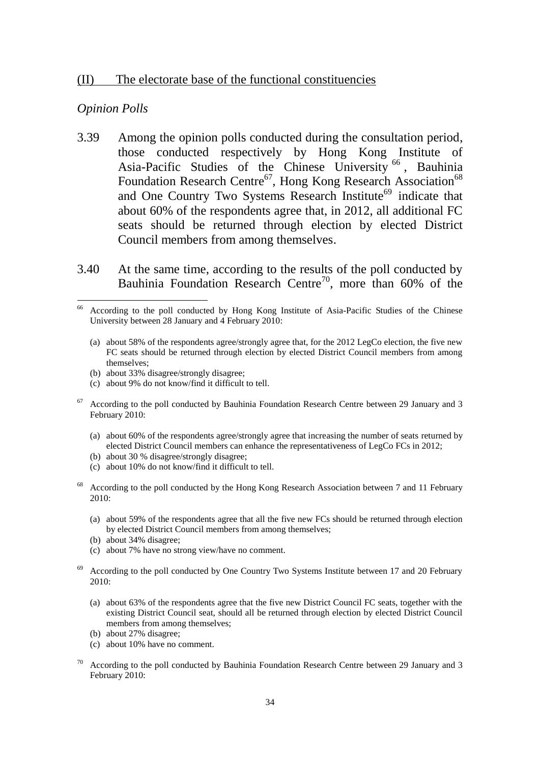#### (II) The electorate base of the functional constituencies

#### *Opinion Polls*

1

- 3.39 Among the opinion polls conducted during the consultation period, those conducted respectively by Hong Kong Institute of Asia-Pacific Studies of the Chinese University<sup>66</sup>, Bauhinia Foundation Research Centre<sup>67</sup>, Hong Kong Research Association<sup>68</sup> and One Country Two Systems Research Institute<sup>69</sup> indicate that about 60% of the respondents agree that, in 2012, all additional FC seats should be returned through election by elected District Council members from among themselves.
- 3.40 At the same time, according to the results of the poll conducted by Bauhinia Foundation Research Centre<sup>70</sup>, more than 60% of the

- (a) about 58% of the respondents agree/strongly agree that, for the 2012 LegCo election, the five new FC seats should be returned through election by elected District Council members from among themselves;
- (b) about 33% disagree/strongly disagree;
- (c) about 9% do not know/find it difficult to tell.
- <sup>67</sup> According to the poll conducted by Bauhinia Foundation Research Centre between 29 January and 3 February 2010:
	- (a) about 60% of the respondents agree/strongly agree that increasing the number of seats returned by elected District Council members can enhance the representativeness of LegCo FCs in 2012;
	- (b) about 30 % disagree/strongly disagree;
	- (c) about 10% do not know/find it difficult to tell.
- <sup>68</sup> According to the poll conducted by the Hong Kong Research Association between 7 and 11 February 2010:
	- (a) about 59% of the respondents agree that all the five new FCs should be returned through election by elected District Council members from among themselves;
	- (b) about 34% disagree;
	- (c) about 7% have no strong view/have no comment.
- <sup>69</sup> According to the poll conducted by One Country Two Systems Institute between 17 and 20 February 2010:
	- (a) about 63% of the respondents agree that the five new District Council FC seats, together with the existing District Council seat, should all be returned through election by elected District Council members from among themselves;
	- (b) about 27% disagree;
	- (c) about 10% have no comment.
- $70$  According to the poll conducted by Bauhinia Foundation Research Centre between 29 January and 3 February 2010:

<sup>66</sup> According to the poll conducted by Hong Kong Institute of Asia-Pacific Studies of the Chinese University between 28 January and 4 February 2010: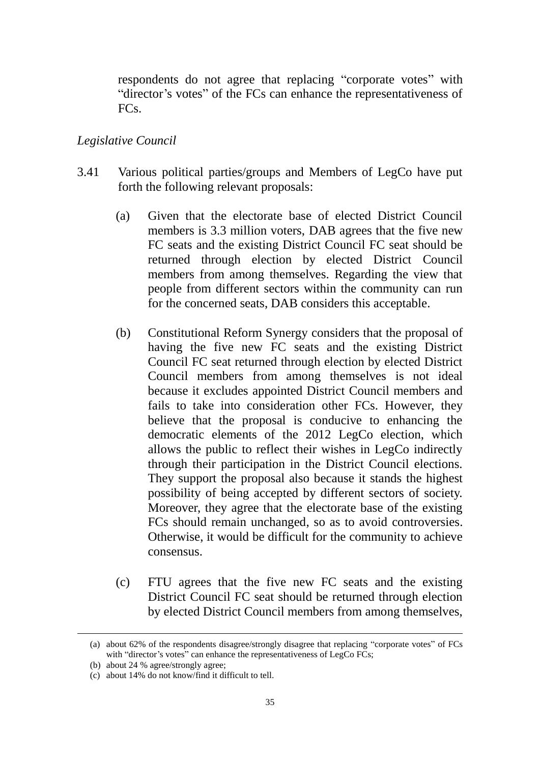respondents do not agree that replacing "corporate votes" with "director's votes" of the FCs can enhance the representativeness of FC<sub>s</sub>.

#### *Legislative Council*

- 3.41 Various political parties/groups and Members of LegCo have put forth the following relevant proposals:
	- (a) Given that the electorate base of elected District Council members is 3.3 million voters, DAB agrees that the five new FC seats and the existing District Council FC seat should be returned through election by elected District Council members from among themselves. Regarding the view that people from different sectors within the community can run for the concerned seats, DAB considers this acceptable.
	- (b) Constitutional Reform Synergy considers that the proposal of having the five new FC seats and the existing District Council FC seat returned through election by elected District Council members from among themselves is not ideal because it excludes appointed District Council members and fails to take into consideration other FCs. However, they believe that the proposal is conducive to enhancing the democratic elements of the 2012 LegCo election, which allows the public to reflect their wishes in LegCo indirectly through their participation in the District Council elections. They support the proposal also because it stands the highest possibility of being accepted by different sectors of society. Moreover, they agree that the electorate base of the existing FCs should remain unchanged, so as to avoid controversies. Otherwise, it would be difficult for the community to achieve consensus.
	- (c) FTU agrees that the five new FC seats and the existing District Council FC seat should be returned through election by elected District Council members from among themselves,

<u>.</u>

<sup>(</sup>a) about 62% of the respondents disagree/strongly disagree that replacing "corporate votes" of FCs with "director's votes" can enhance the representativeness of LegCo FCs;

<sup>(</sup>b) about 24 % agree/strongly agree;

<sup>(</sup>c) about 14% do not know/find it difficult to tell.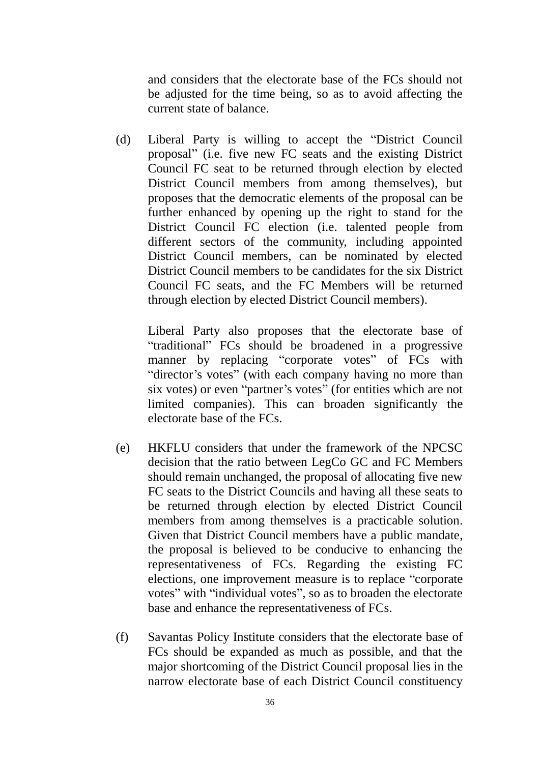and considers that the electorate base of the FCs should not be adjusted for the time being, so as to avoid affecting the current state of balance.

(d) Liberal Party is willing to accept the "District Council proposal" (i.e. five new FC seats and the existing District Council FC seat to be returned through election by elected District Council members from among themselves), but proposes that the democratic elements of the proposal can be further enhanced by opening up the right to stand for the District Council FC election (i.e. talented people from different sectors of the community, including appointed District Council members, can be nominated by elected District Council members to be candidates for the six District Council FC seats, and the FC Members will be returned through election by elected District Council members).

Liberal Party also proposes that the electorate base of "traditional" FCs should be broadened in a progressive manner by replacing "corporate votes" of FCs with "director's votes" (with each company having no more than six votes) or even "partner's votes" (for entities which are not limited companies). This can broaden significantly the electorate base of the FCs.

- (e) HKFLU considers that under the framework of the NPCSC decision that the ratio between LegCo GC and FC Members should remain unchanged, the proposal of allocating five new FC seats to the District Councils and having all these seats to be returned through election by elected District Council members from among themselves is a practicable solution. Given that District Council members have a public mandate, the proposal is believed to be conducive to enhancing the representativeness of FCs. Regarding the existing FC elections, one improvement measure is to replace "corporate votes" with "individual votes", so as to broaden the electorate base and enhance the representativeness of FCs.
- (f) Savantas Policy Institute considers that the electorate base of FCs should be expanded as much as possible, and that the major shortcoming of the District Council proposal lies in the narrow electorate base of each District Council constituency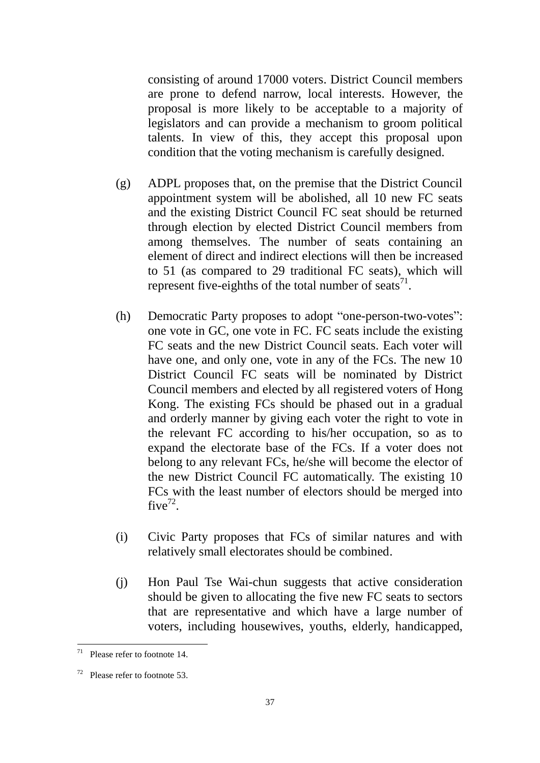consisting of around 17000 voters. District Council members are prone to defend narrow, local interests. However, the proposal is more likely to be acceptable to a majority of legislators and can provide a mechanism to groom political talents. In view of this, they accept this proposal upon condition that the voting mechanism is carefully designed.

- (g) ADPL proposes that, on the premise that the District Council appointment system will be abolished, all 10 new FC seats and the existing District Council FC seat should be returned through election by elected District Council members from among themselves. The number of seats containing an element of direct and indirect elections will then be increased to 51 (as compared to 29 traditional FC seats), which will represent five-eighths of the total number of seats<sup>71</sup>.
- (h) Democratic Party proposes to adopt "one-person-two-votes": one vote in GC, one vote in FC. FC seats include the existing FC seats and the new District Council seats. Each voter will have one, and only one, vote in any of the FCs. The new 10 District Council FC seats will be nominated by District Council members and elected by all registered voters of Hong Kong. The existing FCs should be phased out in a gradual and orderly manner by giving each voter the right to vote in the relevant FC according to his/her occupation, so as to expand the electorate base of the FCs. If a voter does not belong to any relevant FCs, he/she will become the elector of the new District Council FC automatically. The existing 10 FCs with the least number of electors should be merged into five<sup>72</sup>.
- (i) Civic Party proposes that FCs of similar natures and with relatively small electorates should be combined.
- (j) Hon Paul Tse Wai-chun suggests that active consideration should be given to allocating the five new FC seats to sectors that are representative and which have a large number of voters, including housewives, youths, elderly, handicapped,

 $71$ Please refer to footnote 14

 $72$  Please refer to footnote 53.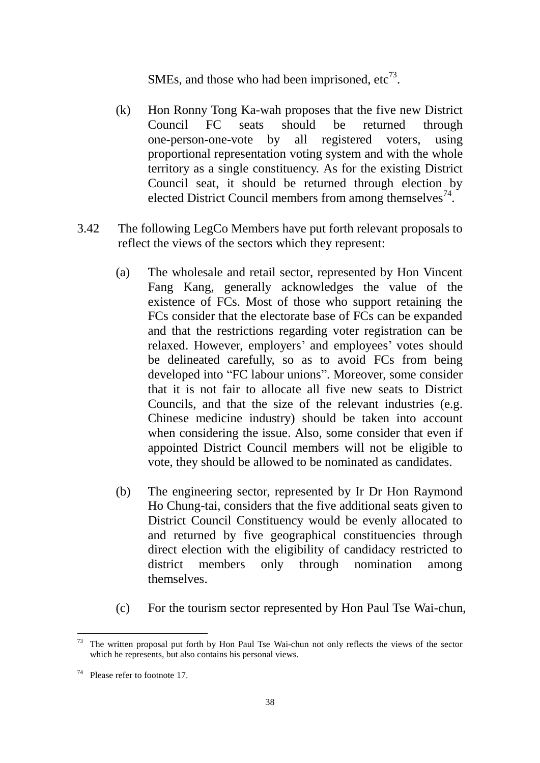SMEs, and those who had been imprisoned,  $etc^{73}$ .

- (k) Hon Ronny Tong Ka-wah proposes that the five new District Council FC seats should be returned through one-person-one-vote by all registered voters, using proportional representation voting system and with the whole territory as a single constituency. As for the existing District Council seat, it should be returned through election by elected District Council members from among themselves $^{74}$ .
- 3.42 The following LegCo Members have put forth relevant proposals to reflect the views of the sectors which they represent:
	- (a) The wholesale and retail sector, represented by Hon Vincent Fang Kang, generally acknowledges the value of the existence of FCs. Most of those who support retaining the FCs consider that the electorate base of FCs can be expanded and that the restrictions regarding voter registration can be relaxed. However, employers' and employees' votes should be delineated carefully, so as to avoid FCs from being developed into "FC labour unions". Moreover, some consider that it is not fair to allocate all five new seats to District Councils, and that the size of the relevant industries (e.g. Chinese medicine industry) should be taken into account when considering the issue. Also, some consider that even if appointed District Council members will not be eligible to vote, they should be allowed to be nominated as candidates.
	- (b) The engineering sector, represented by Ir Dr Hon Raymond Ho Chung-tai, considers that the five additional seats given to District Council Constituency would be evenly allocated to and returned by five geographical constituencies through direct election with the eligibility of candidacy restricted to district members only through nomination among themselves.
	- (c) For the tourism sector represented by Hon Paul Tse Wai-chun,

<u>.</u>

The written proposal put forth by Hon Paul Tse Wai-chun not only reflects the views of the sector which he represents, but also contains his personal views.

 $74$  Please refer to footnote 17.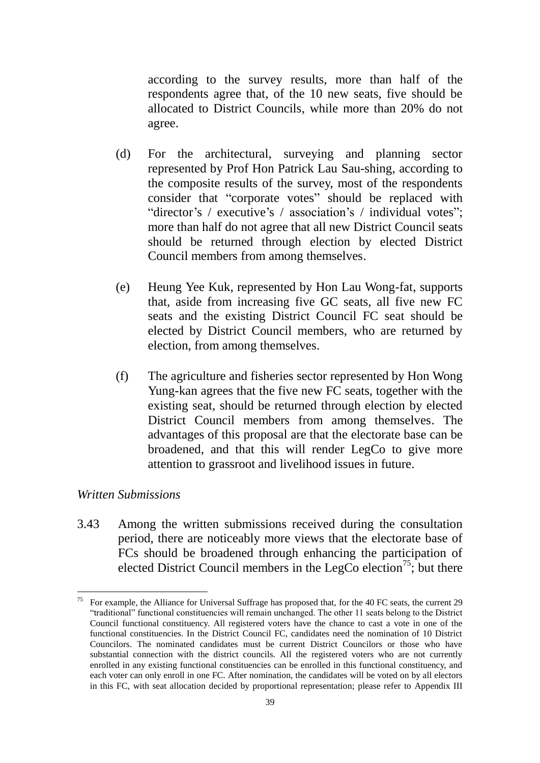according to the survey results, more than half of the respondents agree that, of the 10 new seats, five should be allocated to District Councils, while more than 20% do not agree.

- (d) For the architectural, surveying and planning sector represented by Prof Hon Patrick Lau Sau-shing, according to the composite results of the survey, most of the respondents consider that "corporate votes" should be replaced with "director's / executive's / association's / individual votes"; more than half do not agree that all new District Council seats should be returned through election by elected District Council members from among themselves.
- (e) Heung Yee Kuk, represented by Hon Lau Wong-fat, supports that, aside from increasing five GC seats, all five new FC seats and the existing District Council FC seat should be elected by District Council members, who are returned by election, from among themselves.
- (f) The agriculture and fisheries sector represented by Hon Wong Yung-kan agrees that the five new FC seats, together with the existing seat, should be returned through election by elected District Council members from among themselves. The advantages of this proposal are that the electorate base can be broadened, and that this will render LegCo to give more attention to grassroot and livelihood issues in future.

#### *Written Submissions*

3.43 Among the written submissions received during the consultation period, there are noticeably more views that the electorate base of FCs should be broadened through enhancing the participation of elected District Council members in the LegCo election<sup>75</sup>; but there

<sup>75</sup> For example, the Alliance for Universal Suffrage has proposed that, for the 40 FC seats, the current 29 "traditional" functional constituencies will remain unchanged. The other 11 seats belong to the District Council functional constituency. All registered voters have the chance to cast a vote in one of the functional constituencies. In the District Council FC, candidates need the nomination of 10 District Councilors. The nominated candidates must be current District Councilors or those who have substantial connection with the district councils. All the registered voters who are not currently enrolled in any existing functional constituencies can be enrolled in this functional constituency, and each voter can only enroll in one FC. After nomination, the candidates will be voted on by all electors in this FC, with seat allocation decided by proportional representation; please refer to Appendix III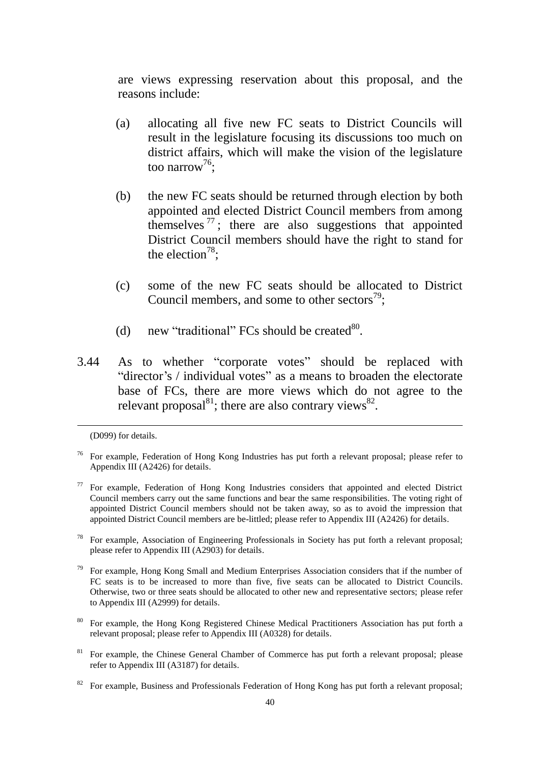are views expressing reservation about this proposal, and the reasons include:

- (a) allocating all five new FC seats to District Councils will result in the legislature focusing its discussions too much on district affairs, which will make the vision of the legislature too narrow<sup>76</sup>;
- (b) the new FC seats should be returned through election by both appointed and elected District Council members from among themselves  $^{77}$ ; there are also suggestions that appointed District Council members should have the right to stand for the election<sup>78</sup>;
- (c) some of the new FC seats should be allocated to District Council members, and some to other sectors<sup>79</sup>;
- (d) new "traditional" FCs should be created $^{80}$ .
- 3.44 As to whether "corporate votes" should be replaced with "director's / individual votes" as a means to broaden the electorate base of FCs, there are more views which do not agree to the relevant proposal $^{81}$ ; there are also contrary views $^{82}$ .

1

- <sup>78</sup> For example, Association of Engineering Professionals in Society has put forth a relevant proposal; please refer to Appendix III (A2903) for details.
- <sup>79</sup> For example, Hong Kong Small and Medium Enterprises Association considers that if the number of FC seats is to be increased to more than five, five seats can be allocated to District Councils. Otherwise, two or three seats should be allocated to other new and representative sectors; please refer to Appendix III (A2999) for details.
- <sup>80</sup> For example, the Hong Kong Registered Chinese Medical Practitioners Association has put forth a relevant proposal; please refer to Appendix III (A0328) for details.
- <sup>81</sup> For example, the Chinese General Chamber of Commerce has put forth a relevant proposal; please refer to Appendix III (A3187) for details.

<sup>(</sup>D099) for details.

<sup>&</sup>lt;sup>76</sup> For example, Federation of Hong Kong Industries has put forth a relevant proposal; please refer to Appendix III (A2426) for details.

 $77$  For example, Federation of Hong Kong Industries considers that appointed and elected District Council members carry out the same functions and bear the same responsibilities. The voting right of appointed District Council members should not be taken away, so as to avoid the impression that appointed District Council members are be-littled; please refer to Appendix III (A2426) for details.

For example, Business and Professionals Federation of Hong Kong has put forth a relevant proposal;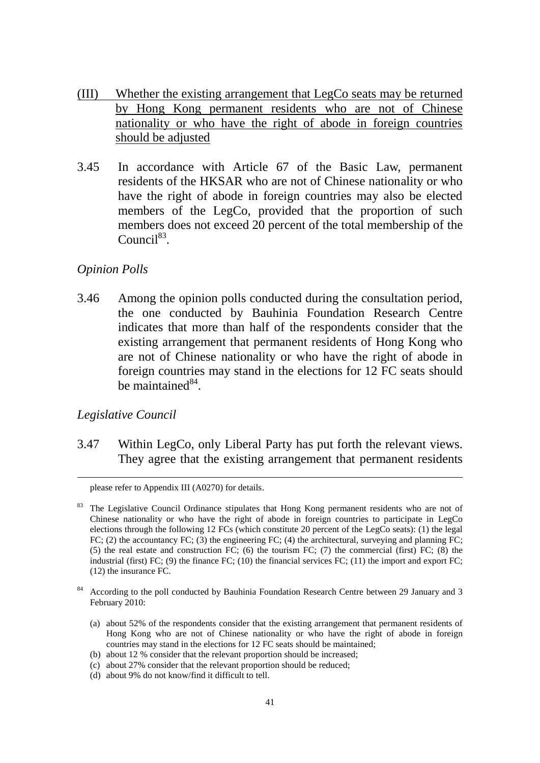- (III) Whether the existing arrangement that LegCo seats may be returned by Hong Kong permanent residents who are not of Chinese nationality or who have the right of abode in foreign countries should be adjusted
- 3.45 In accordance with Article 67 of the Basic Law, permanent residents of the HKSAR who are not of Chinese nationality or who have the right of abode in foreign countries may also be elected members of the LegCo, provided that the proportion of such members does not exceed 20 percent of the total membership of the Council $^{83}$ .

#### *Opinion Polls*

3.46 Among the opinion polls conducted during the consultation period, the one conducted by Bauhinia Foundation Research Centre indicates that more than half of the respondents consider that the existing arrangement that permanent residents of Hong Kong who are not of Chinese nationality or who have the right of abode in foreign countries may stand in the elections for 12 FC seats should be maintained $^{84}$ .

#### *Legislative Council*

<u>.</u>

3.47 Within LegCo, only Liberal Party has put forth the relevant views. They agree that the existing arrangement that permanent residents

(b) about 12 % consider that the relevant proportion should be increased;

please refer to Appendix III (A0270) for details.

<sup>&</sup>lt;sup>83</sup> The Legislative Council Ordinance stipulates that Hong Kong permanent residents who are not of Chinese nationality or who have the right of abode in foreign countries to participate in LegCo elections through the following 12 FCs (which constitute 20 percent of the LegCo seats): (1) the legal FC; (2) the accountancy FC; (3) the engineering FC; (4) the architectural, surveying and planning FC; (5) the real estate and construction FC; (6) the tourism FC; (7) the commercial (first) FC; (8) the industrial (first) FC; (9) the finance FC; (10) the financial services FC; (11) the import and export FC; (12) the insurance FC.

<sup>84</sup> According to the poll conducted by Bauhinia Foundation Research Centre between 29 January and 3 February 2010:

<sup>(</sup>a) about 52% of the respondents consider that the existing arrangement that permanent residents of Hong Kong who are not of Chinese nationality or who have the right of abode in foreign countries may stand in the elections for 12 FC seats should be maintained;

<sup>(</sup>c) about 27% consider that the relevant proportion should be reduced;

<sup>(</sup>d) about 9% do not know/find it difficult to tell.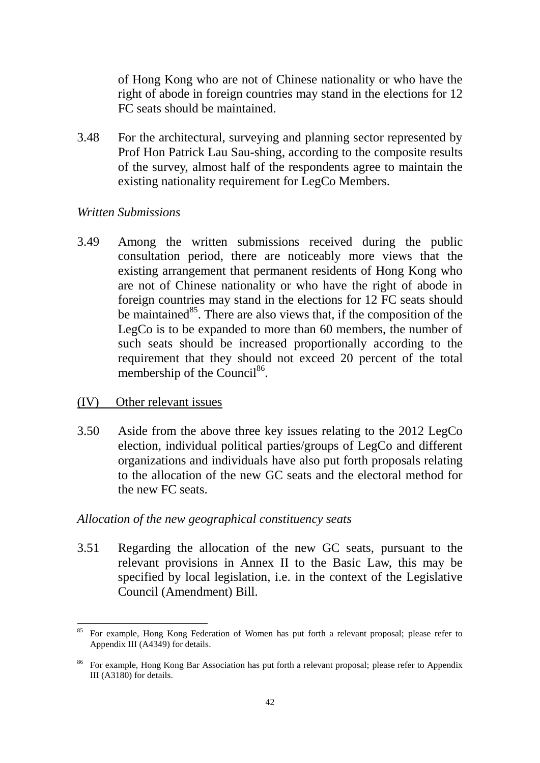of Hong Kong who are not of Chinese nationality or who have the right of abode in foreign countries may stand in the elections for 12 FC seats should be maintained.

3.48 For the architectural, surveying and planning sector represented by Prof Hon Patrick Lau Sau-shing, according to the composite results of the survey, almost half of the respondents agree to maintain the existing nationality requirement for LegCo Members.

#### *Written Submissions*

3.49 Among the written submissions received during the public consultation period, there are noticeably more views that the existing arrangement that permanent residents of Hong Kong who are not of Chinese nationality or who have the right of abode in foreign countries may stand in the elections for 12 FC seats should be maintained $^{85}$ . There are also views that, if the composition of the LegCo is to be expanded to more than 60 members, the number of such seats should be increased proportionally according to the requirement that they should not exceed 20 percent of the total membership of the Council<sup>86</sup>.

#### (IV) Other relevant issues

1

3.50 Aside from the above three key issues relating to the 2012 LegCo election, individual political parties/groups of LegCo and different organizations and individuals have also put forth proposals relating to the allocation of the new GC seats and the electoral method for the new FC seats.

#### *Allocation of the new geographical constituency seats*

3.51 Regarding the allocation of the new GC seats, pursuant to the relevant provisions in Annex II to the Basic Law, this may be specified by local legislation, i.e. in the context of the Legislative Council (Amendment) Bill.

<sup>&</sup>lt;sup>85</sup> For example, Hong Kong Federation of Women has put forth a relevant proposal; please refer to Appendix III (A4349) for details.

<sup>86</sup> For example, Hong Kong Bar Association has put forth a relevant proposal; please refer to Appendix III (A3180) for details.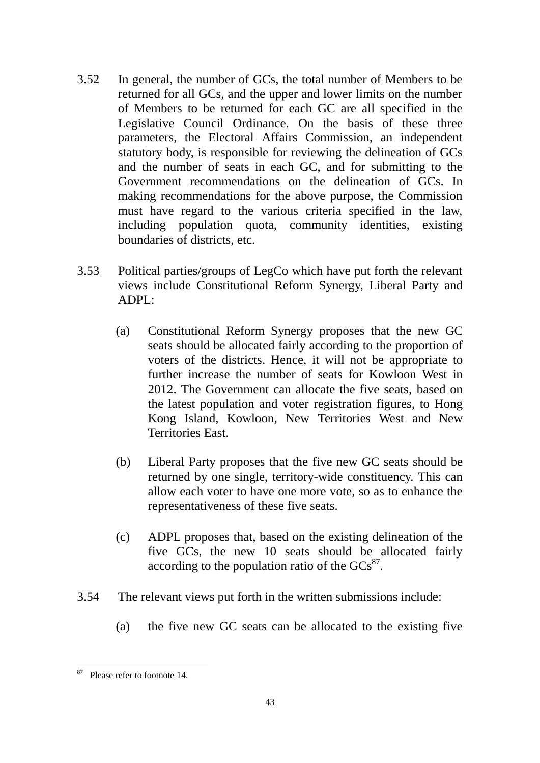- 3.52 In general, the number of GCs, the total number of Members to be returned for all GCs, and the upper and lower limits on the number of Members to be returned for each GC are all specified in the Legislative Council Ordinance. On the basis of these three parameters, the Electoral Affairs Commission, an independent statutory body, is responsible for reviewing the delineation of GCs and the number of seats in each GC, and for submitting to the Government recommendations on the delineation of GCs. In making recommendations for the above purpose, the Commission must have regard to the various criteria specified in the law, including population quota, community identities, existing boundaries of districts, etc.
- 3.53 Political parties/groups of LegCo which have put forth the relevant views include Constitutional Reform Synergy, Liberal Party and ADPL:
	- (a) Constitutional Reform Synergy proposes that the new GC seats should be allocated fairly according to the proportion of voters of the districts. Hence, it will not be appropriate to further increase the number of seats for Kowloon West in 2012. The Government can allocate the five seats, based on the latest population and voter registration figures, to Hong Kong Island, Kowloon, New Territories West and New Territories East.
	- (b) Liberal Party proposes that the five new GC seats should be returned by one single, territory-wide constituency. This can allow each voter to have one more vote, so as to enhance the representativeness of these five seats.
	- (c) ADPL proposes that, based on the existing delineation of the five GCs, the new 10 seats should be allocated fairly according to the population ratio of the  $GCS^{87}$ .
- 3.54 The relevant views put forth in the written submissions include:
	- (a) the five new GC seats can be allocated to the existing five

<sup>1</sup> <sup>87</sup> Please refer to footnote 14.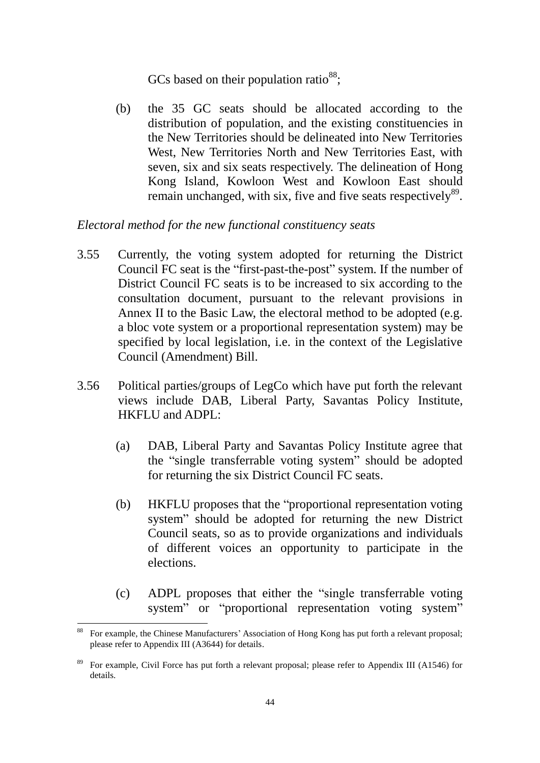GCs based on their population ratio $^{88}$ ;

(b) the 35 GC seats should be allocated according to the distribution of population, and the existing constituencies in the New Territories should be delineated into New Territories West, New Territories North and New Territories East, with seven, six and six seats respectively. The delineation of Hong Kong Island, Kowloon West and Kowloon East should remain unchanged, with six, five and five seats respectively<sup>89</sup>.

#### *Electoral method for the new functional constituency seats*

- 3.55 Currently, the voting system adopted for returning the District Council FC seat is the "first-past-the-post" system. If the number of District Council FC seats is to be increased to six according to the consultation document, pursuant to the relevant provisions in Annex II to the Basic Law, the electoral method to be adopted (e.g. a bloc vote system or a proportional representation system) may be specified by local legislation, i.e. in the context of the Legislative Council (Amendment) Bill.
- 3.56 Political parties/groups of LegCo which have put forth the relevant views include DAB, Liberal Party, Savantas Policy Institute, HKFLU and ADPL:
	- (a) DAB, Liberal Party and Savantas Policy Institute agree that the "single transferrable voting system" should be adopted for returning the six District Council FC seats.
	- (b) HKFLU proposes that the "proportional representation voting system" should be adopted for returning the new District Council seats, so as to provide organizations and individuals of different voices an opportunity to participate in the elections.
	- (c) ADPL proposes that either the "single transferrable voting system" or "proportional representation voting system"

1

<sup>88</sup> For example, the Chinese Manufacturers' Association of Hong Kong has put forth a relevant proposal; please refer to Appendix III (A3644) for details.

<sup>89</sup> For example, Civil Force has put forth a relevant proposal; please refer to Appendix III (A1546) for details.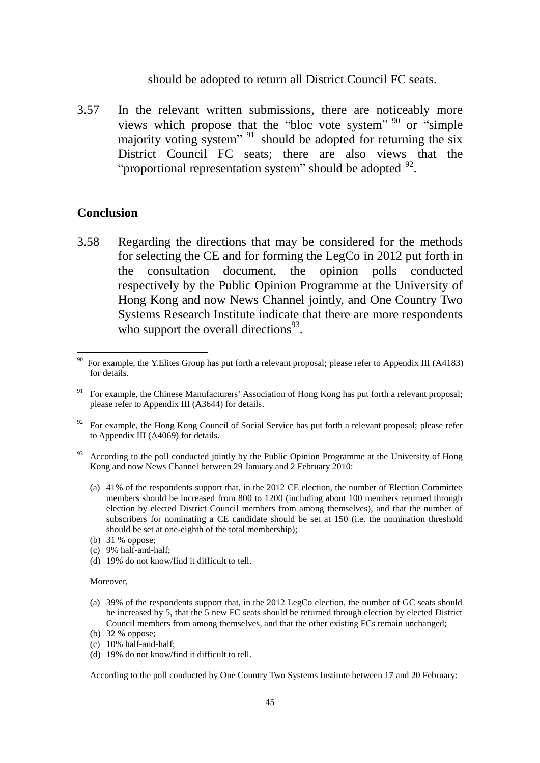should be adopted to return all District Council FC seats.

3.57 In the relevant written submissions, there are noticeably more views which propose that the "bloc vote system" <sup>90</sup> or "simple" majority voting system"<sup>91</sup> should be adopted for returning the six District Council FC seats; there are also views that the "proportional representation system" should be adopted  $92$ .

#### **Conclusion**

<u>.</u>

3.58 Regarding the directions that may be considered for the methods for selecting the CE and for forming the LegCo in 2012 put forth in the consultation document, the opinion polls conducted respectively by the Public Opinion Programme at the University of Hong Kong and now News Channel jointly, and One Country Two Systems Research Institute indicate that there are more respondents who support the overall directions $93$ .

- $92$  For example, the Hong Kong Council of Social Service has put forth a relevant proposal; please refer to Appendix III (A4069) for details.
- <sup>93</sup> According to the poll conducted jointly by the Public Opinion Programme at the University of Hong Kong and now News Channel between 29 January and 2 February 2010:
	- (a) 41% of the respondents support that, in the 2012 CE election, the number of Election Committee members should be increased from 800 to 1200 (including about 100 members returned through election by elected District Council members from among themselves), and that the number of subscribers for nominating a CE candidate should be set at 150 (i.e. the nomination threshold should be set at one-eighth of the total membership);
	- (b) 31 % oppose;
	- (c) 9% half-and-half;
	- (d) 19% do not know/find it difficult to tell.

#### Moreover,

- (a) 39% of the respondents support that, in the 2012 LegCo election, the number of GC seats should be increased by 5, that the 5 new FC seats should be returned through election by elected District Council members from among themselves, and that the other existing FCs remain unchanged;
- (b) 32 % oppose;
- (c) 10% half-and-half;
- (d) 19% do not know/find it difficult to tell.

According to the poll conducted by One Country Two Systems Institute between 17 and 20 February:

<sup>90</sup> For example, the Y.Elites Group has put forth a relevant proposal; please refer to Appendix III (A4183) for details.

<sup>&</sup>lt;sup>91</sup> For example, the Chinese Manufacturers' Association of Hong Kong has put forth a relevant proposal; please refer to Appendix III (A3644) for details.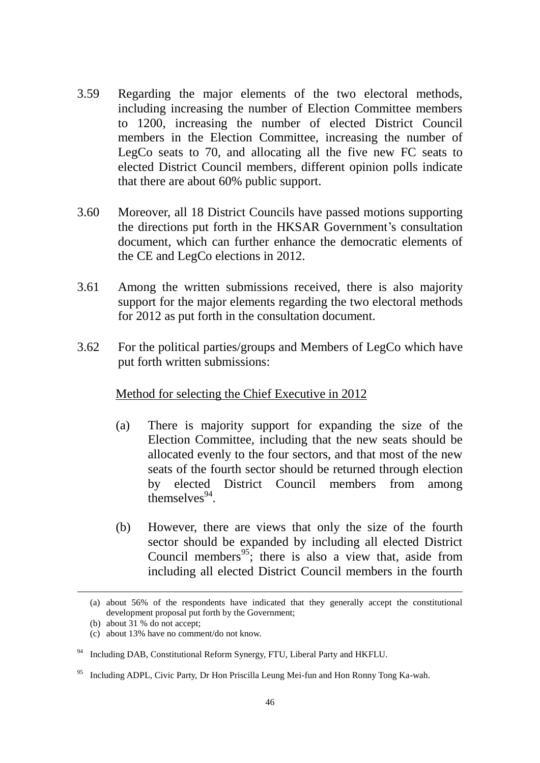- 3.59 Regarding the major elements of the two electoral methods, including increasing the number of Election Committee members to 1200, increasing the number of elected District Council members in the Election Committee, increasing the number of LegCo seats to 70, and allocating all the five new FC seats to elected District Council members, different opinion polls indicate that there are about 60% public support.
- 3.60 Moreover, all 18 District Councils have passed motions supporting the directions put forth in the HKSAR Government's consultation document, which can further enhance the democratic elements of the CE and LegCo elections in 2012.
- 3.61 Among the written submissions received, there is also majority support for the major elements regarding the two electoral methods for 2012 as put forth in the consultation document.
- 3.62 For the political parties/groups and Members of LegCo which have put forth written submissions:

#### Method for selecting the Chief Executive in 2012

- (a) There is majority support for expanding the size of the Election Committee, including that the new seats should be allocated evenly to the four sectors, and that most of the new seats of the fourth sector should be returned through election by elected District Council members from among  $t$ hemselves $^{94}$ .
- (b) However, there are views that only the size of the fourth sector should be expanded by including all elected District Council members<sup>95</sup>; there is also a view that, aside from including all elected District Council members in the fourth

1

<sup>(</sup>a) about 56% of the respondents have indicated that they generally accept the constitutional development proposal put forth by the Government;

<sup>(</sup>b) about 31 % do not accept;

<sup>(</sup>c) about 13% have no comment/do not know.

<sup>&</sup>lt;sup>94</sup> Including DAB, Constitutional Reform Synergy, FTU, Liberal Party and HKFLU.

<sup>95</sup> Including ADPL, Civic Party, Dr Hon Priscilla Leung Mei-fun and Hon Ronny Tong Ka-wah.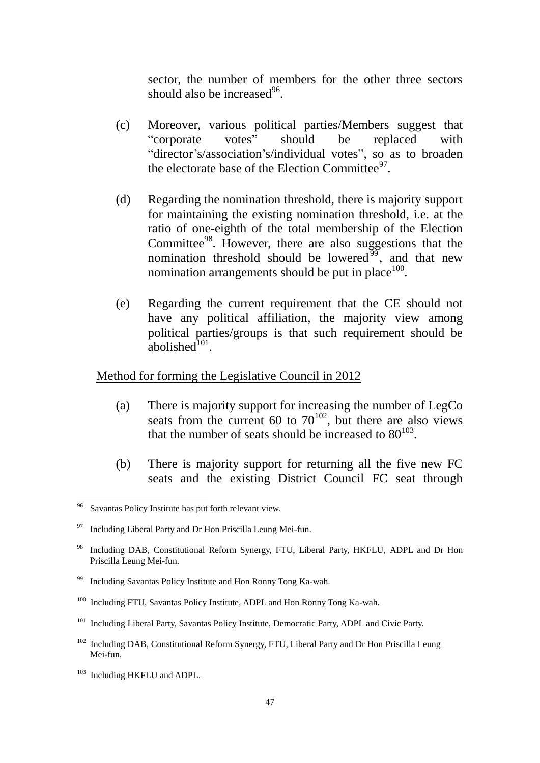sector, the number of members for the other three sectors should also be increased $96$ .

- (c) Moreover, various political parties/Members suggest that "corporate votes" should be replaced with "director's/association's/individual votes", so as to broaden the electorate base of the Election Committee $97$ .
- (d) Regarding the nomination threshold, there is majority support for maintaining the existing nomination threshold, i.e. at the ratio of one-eighth of the total membership of the Election Committee<sup>98</sup>. However, there are also suggestions that the nomination threshold should be lowered<sup>99</sup>, and that new nomination arrangements should be put in place  $100$ .
- (e) Regarding the current requirement that the CE should not have any political affiliation, the majority view among political parties/groups is that such requirement should be  $a$ bolished $101$ .

#### Method for forming the Legislative Council in 2012

- (a) There is majority support for increasing the number of LegCo seats from the current 60 to  $70^{102}$ , but there are also views that the number of seats should be increased to  $80^{103}$ .
- (b) There is majority support for returning all the five new FC seats and the existing District Council FC seat through

1

Savantas Policy Institute has put forth relevant view.

 $97$  Including Liberal Party and Dr Hon Priscilla Leung Mei-fun.

<sup>&</sup>lt;sup>98</sup> Including DAB, Constitutional Reform Synergy, FTU, Liberal Party, HKFLU, ADPL and Dr Hon Priscilla Leung Mei-fun.

<sup>99</sup> Including Savantas Policy Institute and Hon Ronny Tong Ka-wah.

<sup>&</sup>lt;sup>100</sup> Including FTU, Savantas Policy Institute, ADPL and Hon Ronny Tong Ka-wah.

<sup>&</sup>lt;sup>101</sup> Including Liberal Party, Savantas Policy Institute, Democratic Party, ADPL and Civic Party.

<sup>&</sup>lt;sup>102</sup> Including DAB, Constitutional Reform Synergy, FTU, Liberal Party and Dr Hon Priscilla Leung Mei-fun.

<sup>103</sup> Including HKFLU and ADPL.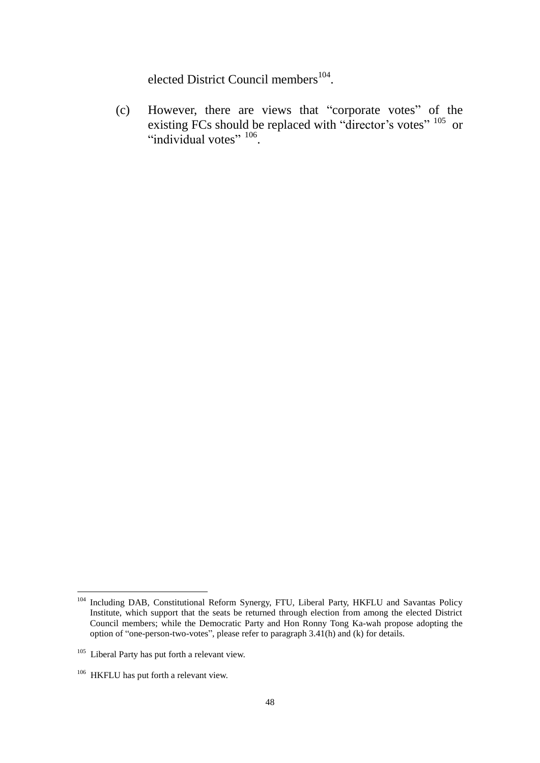elected District Council members<sup>104</sup>.

(c) However, there are views that "corporate votes" of the existing FCs should be replaced with "director's votes" <sup>105</sup> or "individual votes" 106.

<sup>1</sup> <sup>104</sup> Including DAB, Constitutional Reform Synergy, FTU, Liberal Party, HKFLU and Savantas Policy Institute, which support that the seats be returned through election from among the elected District Council members; while the Democratic Party and Hon Ronny Tong Ka-wah propose adopting the option of "one-person-two-votes", please refer to paragraph 3.41(h) and (k) for details.

<sup>&</sup>lt;sup>105</sup> Liberal Party has put forth a relevant view.

<sup>&</sup>lt;sup>106</sup> HKFLU has put forth a relevant view.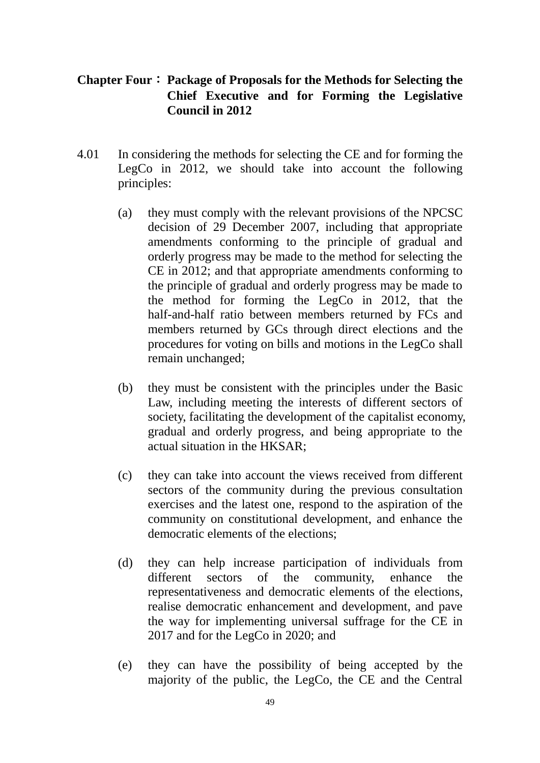# **Chapter Four**: **Package of Proposals for the Methods for Selecting the Chief Executive and for Forming the Legislative Council in 2012**

- 4.01 In considering the methods for selecting the CE and for forming the LegCo in 2012, we should take into account the following principles:
	- (a) they must comply with the relevant provisions of the NPCSC decision of 29 December 2007, including that appropriate amendments conforming to the principle of gradual and orderly progress may be made to the method for selecting the CE in 2012; and that appropriate amendments conforming to the principle of gradual and orderly progress may be made to the method for forming the LegCo in 2012, that the half-and-half ratio between members returned by FCs and members returned by GCs through direct elections and the procedures for voting on bills and motions in the LegCo shall remain unchanged;
	- (b) they must be consistent with the principles under the Basic Law, including meeting the interests of different sectors of society, facilitating the development of the capitalist economy, gradual and orderly progress, and being appropriate to the actual situation in the HKSAR;
	- (c) they can take into account the views received from different sectors of the community during the previous consultation exercises and the latest one, respond to the aspiration of the community on constitutional development, and enhance the democratic elements of the elections;
	- (d) they can help increase participation of individuals from different sectors of the community, enhance the representativeness and democratic elements of the elections, realise democratic enhancement and development, and pave the way for implementing universal suffrage for the CE in 2017 and for the LegCo in 2020; and
	- (e) they can have the possibility of being accepted by the majority of the public, the LegCo, the CE and the Central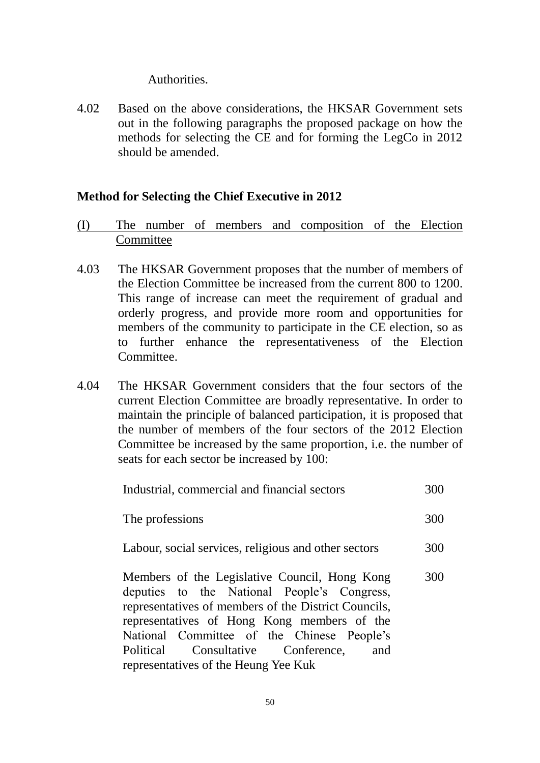#### Authorities.

4.02 Based on the above considerations, the HKSAR Government sets out in the following paragraphs the proposed package on how the methods for selecting the CE and for forming the LegCo in 2012 should be amended.

#### **Method for Selecting the Chief Executive in 2012**

- (I) The number of members and composition of the Election **Committee**
- 4.03 The HKSAR Government proposes that the number of members of the Election Committee be increased from the current 800 to 1200. This range of increase can meet the requirement of gradual and orderly progress, and provide more room and opportunities for members of the community to participate in the CE election, so as to further enhance the representativeness of the Election Committee.
- 4.04 The HKSAR Government considers that the four sectors of the current Election Committee are broadly representative. In order to maintain the principle of balanced participation, it is proposed that the number of members of the four sectors of the 2012 Election Committee be increased by the same proportion, i.e. the number of seats for each sector be increased by 100:

| Industrial, commercial and financial sectors                                                                                                                                                                                                                                                                                           | 300 |
|----------------------------------------------------------------------------------------------------------------------------------------------------------------------------------------------------------------------------------------------------------------------------------------------------------------------------------------|-----|
| The professions                                                                                                                                                                                                                                                                                                                        | 300 |
| Labour, social services, religious and other sectors                                                                                                                                                                                                                                                                                   | 300 |
| Members of the Legislative Council, Hong Kong<br>deputies to the National People's Congress,<br>representatives of members of the District Councils,<br>representatives of Hong Kong members of the<br>National Committee of the Chinese People's<br>Political Consultative Conference,<br>and<br>representatives of the Heung Yee Kuk | 300 |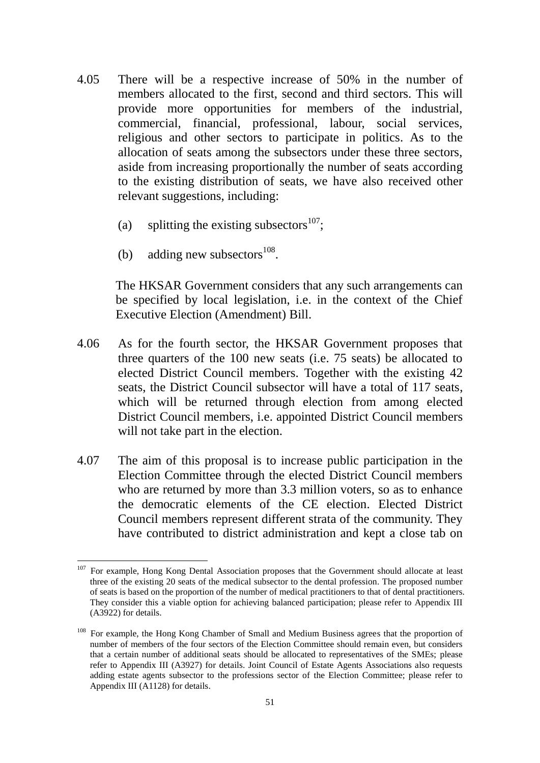- 4.05 There will be a respective increase of 50% in the number of members allocated to the first, second and third sectors. This will provide more opportunities for members of the industrial, commercial, financial, professional, labour, social services, religious and other sectors to participate in politics. As to the allocation of seats among the subsectors under these three sectors, aside from increasing proportionally the number of seats according to the existing distribution of seats, we have also received other relevant suggestions, including:
	- (a) splitting the existing subsectors<sup>107</sup>;
	- (b) adding new subsectors $^{108}$ .

1

The HKSAR Government considers that any such arrangements can be specified by local legislation, i.e. in the context of the Chief Executive Election (Amendment) Bill.

- 4.06 As for the fourth sector, the HKSAR Government proposes that three quarters of the 100 new seats (i.e. 75 seats) be allocated to elected District Council members. Together with the existing 42 seats, the District Council subsector will have a total of 117 seats, which will be returned through election from among elected District Council members, i.e. appointed District Council members will not take part in the election.
- 4.07 The aim of this proposal is to increase public participation in the Election Committee through the elected District Council members who are returned by more than 3.3 million voters, so as to enhance the democratic elements of the CE election. Elected District Council members represent different strata of the community. They have contributed to district administration and kept a close tab on

<sup>&</sup>lt;sup>107</sup> For example, Hong Kong Dental Association proposes that the Government should allocate at least three of the existing 20 seats of the medical subsector to the dental profession. The proposed number of seats is based on the proportion of the number of medical practitioners to that of dental practitioners. They consider this a viable option for achieving balanced participation; please refer to Appendix III (A3922) for details.

<sup>&</sup>lt;sup>108</sup> For example, the Hong Kong Chamber of Small and Medium Business agrees that the proportion of number of members of the four sectors of the Election Committee should remain even, but considers that a certain number of additional seats should be allocated to representatives of the SMEs; please refer to Appendix III (A3927) for details. Joint Council of Estate Agents Associations also requests adding estate agents subsector to the professions sector of the Election Committee; please refer to Appendix III (A1128) for details.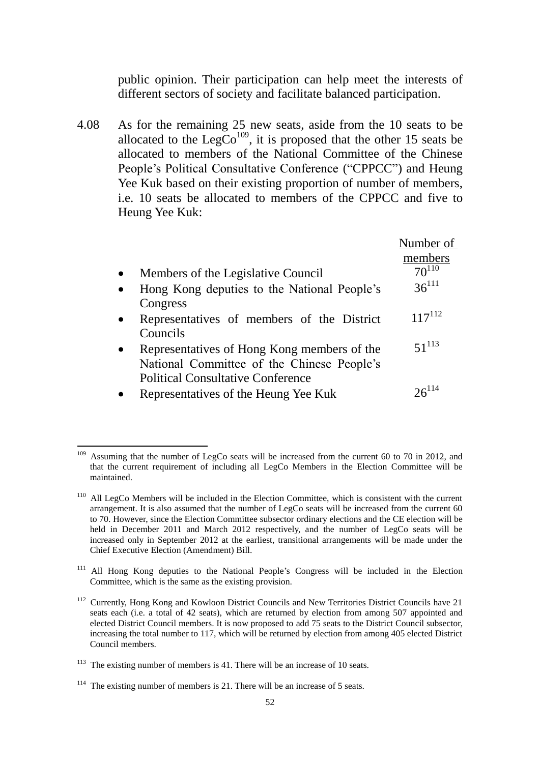public opinion. Their participation can help meet the interests of different sectors of society and facilitate balanced participation.

4.08 As for the remaining 25 new seats, aside from the 10 seats to be allocated to the  $LegCo<sup>109</sup>$ , it is proposed that the other 15 seats be allocated to members of the National Committee of the Chinese People's Political Consultative Conference ("CPPCC") and Heung Yee Kuk based on their existing proportion of number of members, i.e. 10 seats be allocated to members of the CPPCC and five to Heung Yee Kuk:

|                                             | Number of   |
|---------------------------------------------|-------------|
|                                             | members     |
| Members of the Legislative Council          | $70^{110}$  |
| Hong Kong deputies to the National People's | $36^{111}$  |
| Congress                                    |             |
| Representatives of members of the District  | $117^{112}$ |
| Councils                                    |             |
| Representatives of Hong Kong members of the | $51^{113}$  |
| National Committee of the Chinese People's  |             |
| <b>Political Consultative Conference</b>    |             |
| Representatives of the Heung Yee Kuk        |             |

<sup>&</sup>lt;u>.</u> Assuming that the number of LegCo seats will be increased from the current 60 to 70 in 2012, and that the current requirement of including all LegCo Members in the Election Committee will be maintained.

<sup>&</sup>lt;sup>110</sup> All LegCo Members will be included in the Election Committee, which is consistent with the current arrangement. It is also assumed that the number of LegCo seats will be increased from the current 60 to 70. However, since the Election Committee subsector ordinary elections and the CE election will be held in December 2011 and March 2012 respectively, and the number of LegCo seats will be increased only in September 2012 at the earliest, transitional arrangements will be made under the Chief Executive Election (Amendment) Bill.

<sup>&</sup>lt;sup>111</sup> All Hong Kong deputies to the National People's Congress will be included in the Election Committee, which is the same as the existing provision.

<sup>&</sup>lt;sup>112</sup> Currently, Hong Kong and Kowloon District Councils and New Territories District Councils have 21 seats each (i.e. a total of 42 seats), which are returned by election from among 507 appointed and elected District Council members. It is now proposed to add 75 seats to the District Council subsector, increasing the total number to 117, which will be returned by election from among 405 elected District Council members.

 $113$  The existing number of members is 41. There will be an increase of 10 seats.

 $114$  The existing number of members is 21. There will be an increase of 5 seats.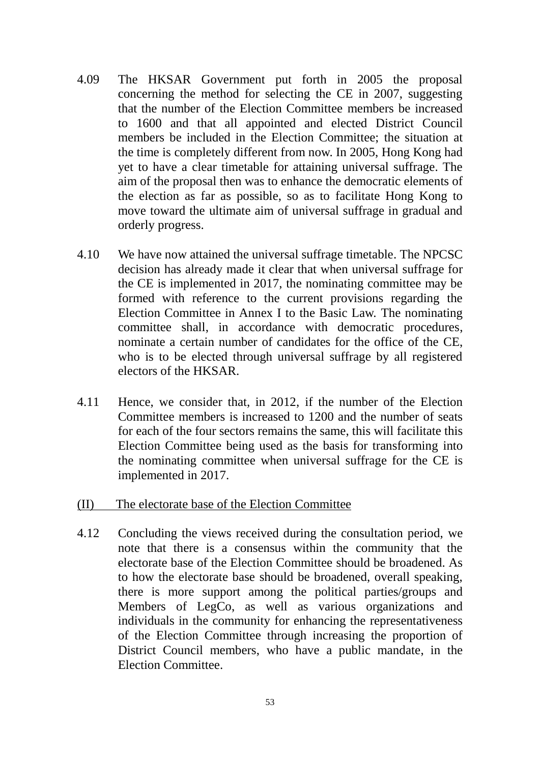- 4.09 The HKSAR Government put forth in 2005 the proposal concerning the method for selecting the CE in 2007, suggesting that the number of the Election Committee members be increased to 1600 and that all appointed and elected District Council members be included in the Election Committee; the situation at the time is completely different from now. In 2005, Hong Kong had yet to have a clear timetable for attaining universal suffrage. The aim of the proposal then was to enhance the democratic elements of the election as far as possible, so as to facilitate Hong Kong to move toward the ultimate aim of universal suffrage in gradual and orderly progress.
- 4.10 We have now attained the universal suffrage timetable. The NPCSC decision has already made it clear that when universal suffrage for the CE is implemented in 2017, the nominating committee may be formed with reference to the current provisions regarding the Election Committee in Annex I to the Basic Law. The nominating committee shall, in accordance with democratic procedures, nominate a certain number of candidates for the office of the CE, who is to be elected through universal suffrage by all registered electors of the HKSAR.
- 4.11 Hence, we consider that, in 2012, if the number of the Election Committee members is increased to 1200 and the number of seats for each of the four sectors remains the same, this will facilitate this Election Committee being used as the basis for transforming into the nominating committee when universal suffrage for the CE is implemented in 2017.
- (II) The electorate base of the Election Committee
- 4.12 Concluding the views received during the consultation period, we note that there is a consensus within the community that the electorate base of the Election Committee should be broadened. As to how the electorate base should be broadened, overall speaking, there is more support among the political parties/groups and Members of LegCo, as well as various organizations and individuals in the community for enhancing the representativeness of the Election Committee through increasing the proportion of District Council members, who have a public mandate, in the Election Committee.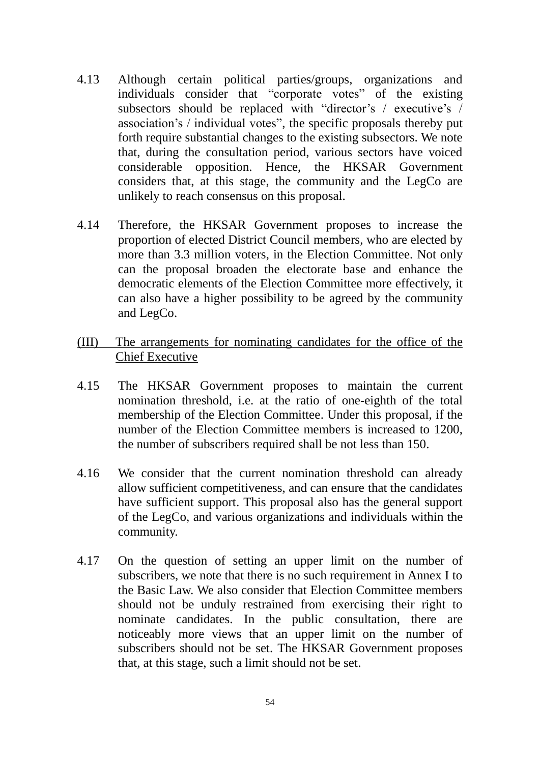- 4.13 Although certain political parties/groups, organizations and individuals consider that "corporate votes" of the existing subsectors should be replaced with "director's / executive's / association's / individual votes", the specific proposals thereby put forth require substantial changes to the existing subsectors. We note that, during the consultation period, various sectors have voiced considerable opposition. Hence, the HKSAR Government considers that, at this stage, the community and the LegCo are unlikely to reach consensus on this proposal.
- 4.14 Therefore, the HKSAR Government proposes to increase the proportion of elected District Council members, who are elected by more than 3.3 million voters, in the Election Committee. Not only can the proposal broaden the electorate base and enhance the democratic elements of the Election Committee more effectively, it can also have a higher possibility to be agreed by the community and LegCo.
- (III) The arrangements for nominating candidates for the office of the Chief Executive
- 4.15 The HKSAR Government proposes to maintain the current nomination threshold, i.e. at the ratio of one-eighth of the total membership of the Election Committee. Under this proposal, if the number of the Election Committee members is increased to 1200, the number of subscribers required shall be not less than 150.
- 4.16 We consider that the current nomination threshold can already allow sufficient competitiveness, and can ensure that the candidates have sufficient support. This proposal also has the general support of the LegCo, and various organizations and individuals within the community.
- 4.17 On the question of setting an upper limit on the number of subscribers, we note that there is no such requirement in Annex I to the Basic Law. We also consider that Election Committee members should not be unduly restrained from exercising their right to nominate candidates. In the public consultation, there are noticeably more views that an upper limit on the number of subscribers should not be set. The HKSAR Government proposes that, at this stage, such a limit should not be set.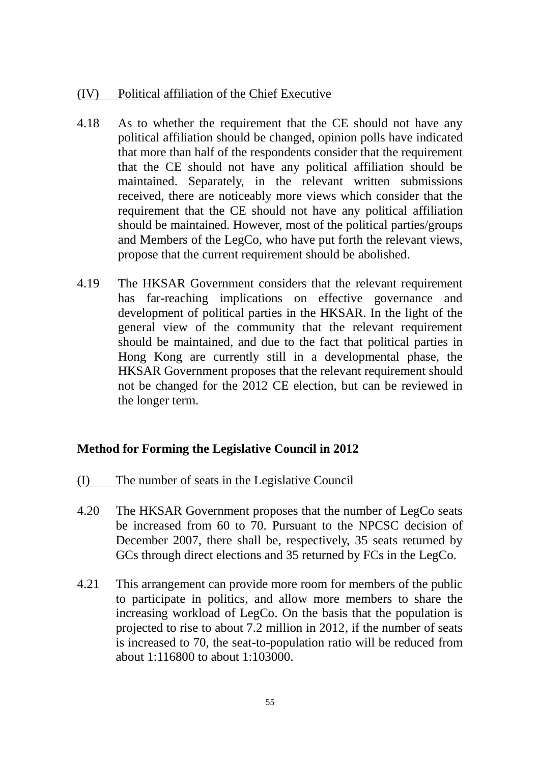# (IV) Political affiliation of the Chief Executive

- 4.18 As to whether the requirement that the CE should not have any political affiliation should be changed, opinion polls have indicated that more than half of the respondents consider that the requirement that the CE should not have any political affiliation should be maintained. Separately, in the relevant written submissions received, there are noticeably more views which consider that the requirement that the CE should not have any political affiliation should be maintained. However, most of the political parties/groups and Members of the LegCo, who have put forth the relevant views, propose that the current requirement should be abolished.
- 4.19 The HKSAR Government considers that the relevant requirement has far-reaching implications on effective governance and development of political parties in the HKSAR. In the light of the general view of the community that the relevant requirement should be maintained, and due to the fact that political parties in Hong Kong are currently still in a developmental phase, the HKSAR Government proposes that the relevant requirement should not be changed for the 2012 CE election, but can be reviewed in the longer term.

#### **Method for Forming the Legislative Council in 2012**

- (I) The number of seats in the Legislative Council
- 4.20 The HKSAR Government proposes that the number of LegCo seats be increased from 60 to 70. Pursuant to the NPCSC decision of December 2007, there shall be, respectively, 35 seats returned by GCs through direct elections and 35 returned by FCs in the LegCo.
- 4.21 This arrangement can provide more room for members of the public to participate in politics, and allow more members to share the increasing workload of LegCo. On the basis that the population is projected to rise to about 7.2 million in 2012, if the number of seats is increased to 70, the seat-to-population ratio will be reduced from about 1:116800 to about 1:103000.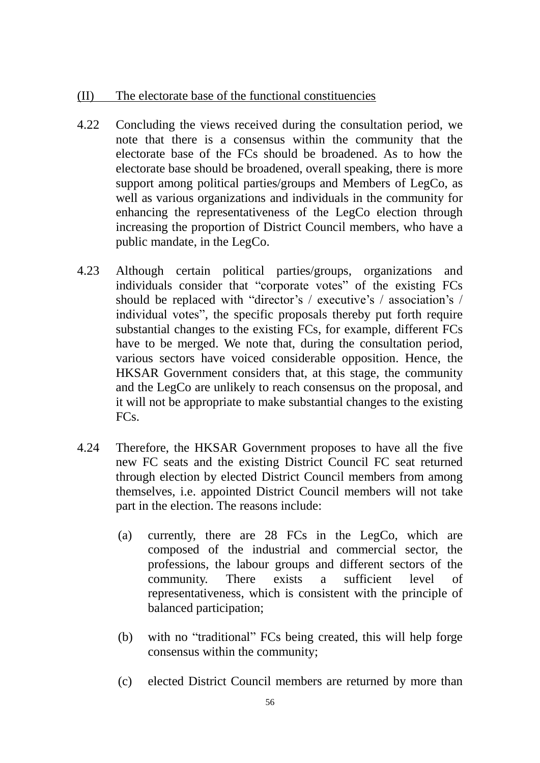#### (II) The electorate base of the functional constituencies

- 4.22 Concluding the views received during the consultation period, we note that there is a consensus within the community that the electorate base of the FCs should be broadened. As to how the electorate base should be broadened, overall speaking, there is more support among political parties/groups and Members of LegCo, as well as various organizations and individuals in the community for enhancing the representativeness of the LegCo election through increasing the proportion of District Council members, who have a public mandate, in the LegCo.
- 4.23 Although certain political parties/groups, organizations and individuals consider that "corporate votes" of the existing FCs should be replaced with "director's / executive's / association's / individual votes", the specific proposals thereby put forth require substantial changes to the existing FCs, for example, different FCs have to be merged. We note that, during the consultation period, various sectors have voiced considerable opposition. Hence, the HKSAR Government considers that, at this stage, the community and the LegCo are unlikely to reach consensus on the proposal, and it will not be appropriate to make substantial changes to the existing FC<sub>s</sub>
- 4.24 Therefore, the HKSAR Government proposes to have all the five new FC seats and the existing District Council FC seat returned through election by elected District Council members from among themselves, i.e. appointed District Council members will not take part in the election. The reasons include:
	- (a) currently, there are 28 FCs in the LegCo, which are composed of the industrial and commercial sector, the professions, the labour groups and different sectors of the community. There exists a sufficient level of representativeness, which is consistent with the principle of balanced participation;
	- (b) with no "traditional" FCs being created, this will help forge consensus within the community;
	- (c) elected District Council members are returned by more than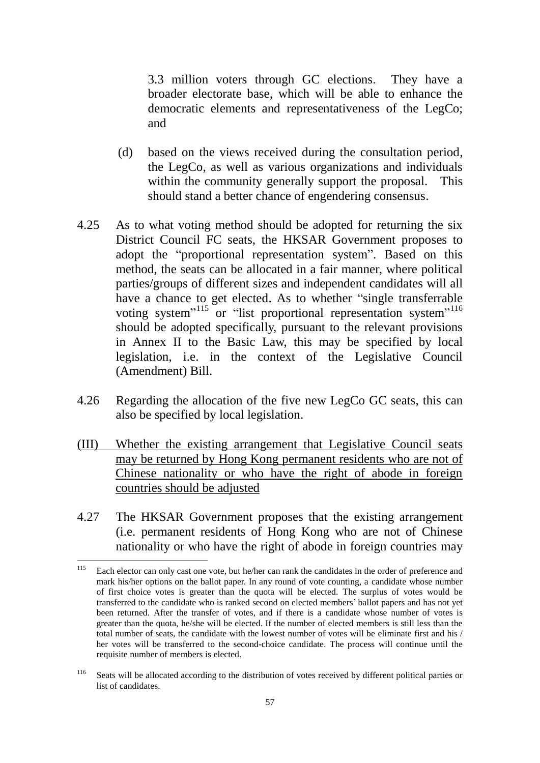3.3 million voters through GC elections. They have a broader electorate base, which will be able to enhance the democratic elements and representativeness of the LegCo; and

- (d) based on the views received during the consultation period, the LegCo, as well as various organizations and individuals within the community generally support the proposal. This should stand a better chance of engendering consensus.
- 4.25 As to what voting method should be adopted for returning the six District Council FC seats, the HKSAR Government proposes to adopt the "proportional representation system". Based on this method, the seats can be allocated in a fair manner, where political parties/groups of different sizes and independent candidates will all have a chance to get elected. As to whether "single transferrable voting system"<sup>115</sup> or "list proportional representation system"<sup>116</sup> should be adopted specifically, pursuant to the relevant provisions in Annex II to the Basic Law, this may be specified by local legislation, i.e. in the context of the Legislative Council (Amendment) Bill.
- 4.26 Regarding the allocation of the five new LegCo GC seats, this can also be specified by local legislation.
- (III) Whether the existing arrangement that Legislative Council seats may be returned by Hong Kong permanent residents who are not of Chinese nationality or who have the right of abode in foreign countries should be adjusted
- 4.27 The HKSAR Government proposes that the existing arrangement (i.e. permanent residents of Hong Kong who are not of Chinese nationality or who have the right of abode in foreign countries may

<sup>115</sup> Each elector can only cast one vote, but he/her can rank the candidates in the order of preference and mark his/her options on the ballot paper. In any round of vote counting, a candidate whose number of first choice votes is greater than the quota will be elected. The surplus of votes would be transferred to the candidate who is ranked second on elected members' ballot papers and has not yet been returned. After the transfer of votes, and if there is a candidate whose number of votes is greater than the quota, he/she will be elected. If the number of elected members is still less than the total number of seats, the candidate with the lowest number of votes will be eliminate first and his / her votes will be transferred to the second-choice candidate. The process will continue until the requisite number of members is elected.

<sup>&</sup>lt;sup>116</sup> Seats will be allocated according to the distribution of votes received by different political parties or list of candidates.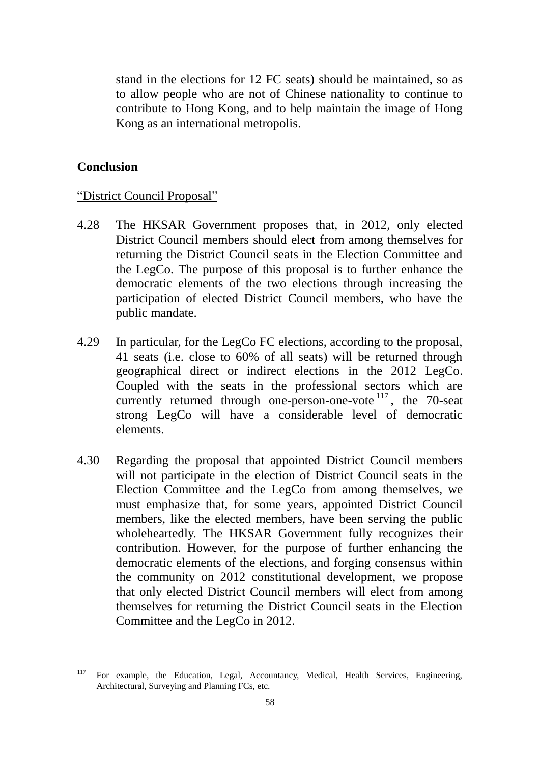stand in the elections for 12 FC seats) should be maintained, so as to allow people who are not of Chinese nationality to continue to contribute to Hong Kong, and to help maintain the image of Hong Kong as an international metropolis.

## **Conclusion**

# "District Council Proposal"

- 4.28 The HKSAR Government proposes that, in 2012, only elected District Council members should elect from among themselves for returning the District Council seats in the Election Committee and the LegCo. The purpose of this proposal is to further enhance the democratic elements of the two elections through increasing the participation of elected District Council members, who have the public mandate.
- 4.29 In particular, for the LegCo FC elections, according to the proposal, 41 seats (i.e. close to 60% of all seats) will be returned through geographical direct or indirect elections in the 2012 LegCo. Coupled with the seats in the professional sectors which are currently returned through one-person-one-vote  $117$ , the 70-seat strong LegCo will have a considerable level of democratic elements.
- 4.30 Regarding the proposal that appointed District Council members will not participate in the election of District Council seats in the Election Committee and the LegCo from among themselves, we must emphasize that, for some years, appointed District Council members, like the elected members, have been serving the public wholeheartedly. The HKSAR Government fully recognizes their contribution. However, for the purpose of further enhancing the democratic elements of the elections, and forging consensus within the community on 2012 constitutional development, we propose that only elected District Council members will elect from among themselves for returning the District Council seats in the Election Committee and the LegCo in 2012.

<sup>117</sup> For example, the Education, Legal, Accountancy, Medical, Health Services, Engineering, Architectural, Surveying and Planning FCs, etc.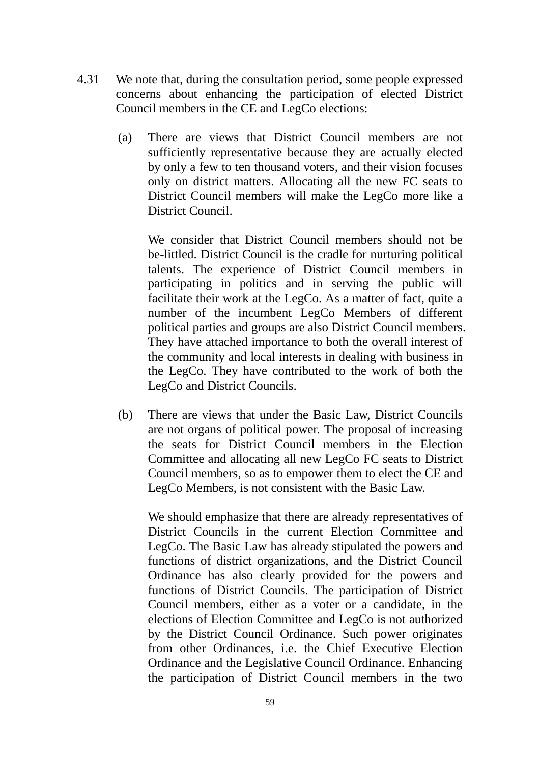- 4.31 We note that, during the consultation period, some people expressed concerns about enhancing the participation of elected District Council members in the CE and LegCo elections:
	- (a) There are views that District Council members are not sufficiently representative because they are actually elected by only a few to ten thousand voters, and their vision focuses only on district matters. Allocating all the new FC seats to District Council members will make the LegCo more like a District Council.

We consider that District Council members should not be be-littled. District Council is the cradle for nurturing political talents. The experience of District Council members in participating in politics and in serving the public will facilitate their work at the LegCo. As a matter of fact, quite a number of the incumbent LegCo Members of different political parties and groups are also District Council members. They have attached importance to both the overall interest of the community and local interests in dealing with business in the LegCo. They have contributed to the work of both the LegCo and District Councils.

(b) There are views that under the Basic Law, District Councils are not organs of political power. The proposal of increasing the seats for District Council members in the Election Committee and allocating all new LegCo FC seats to District Council members, so as to empower them to elect the CE and LegCo Members, is not consistent with the Basic Law.

We should emphasize that there are already representatives of District Councils in the current Election Committee and LegCo. The Basic Law has already stipulated the powers and functions of district organizations, and the District Council Ordinance has also clearly provided for the powers and functions of District Councils. The participation of District Council members, either as a voter or a candidate, in the elections of Election Committee and LegCo is not authorized by the District Council Ordinance. Such power originates from other Ordinances, i.e. the Chief Executive Election Ordinance and the Legislative Council Ordinance. Enhancing the participation of District Council members in the two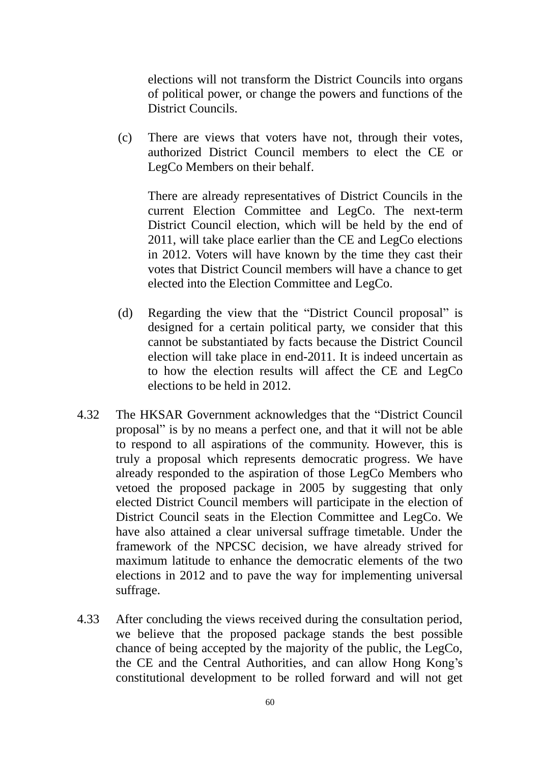elections will not transform the District Councils into organs of political power, or change the powers and functions of the District Councils.

(c) There are views that voters have not, through their votes, authorized District Council members to elect the CE or LegCo Members on their behalf.

There are already representatives of District Councils in the current Election Committee and LegCo. The next-term District Council election, which will be held by the end of 2011, will take place earlier than the CE and LegCo elections in 2012. Voters will have known by the time they cast their votes that District Council members will have a chance to get elected into the Election Committee and LegCo.

- (d) Regarding the view that the "District Council proposal" is designed for a certain political party, we consider that this cannot be substantiated by facts because the District Council election will take place in end-2011. It is indeed uncertain as to how the election results will affect the CE and LegCo elections to be held in 2012.
- 4.32 The HKSAR Government acknowledges that the "District Council proposal" is by no means a perfect one, and that it will not be able to respond to all aspirations of the community. However, this is truly a proposal which represents democratic progress. We have already responded to the aspiration of those LegCo Members who vetoed the proposed package in 2005 by suggesting that only elected District Council members will participate in the election of District Council seats in the Election Committee and LegCo. We have also attained a clear universal suffrage timetable. Under the framework of the NPCSC decision, we have already strived for maximum latitude to enhance the democratic elements of the two elections in 2012 and to pave the way for implementing universal suffrage.
- 4.33 After concluding the views received during the consultation period, we believe that the proposed package stands the best possible chance of being accepted by the majority of the public, the LegCo, the CE and the Central Authorities, and can allow Hong Kong's constitutional development to be rolled forward and will not get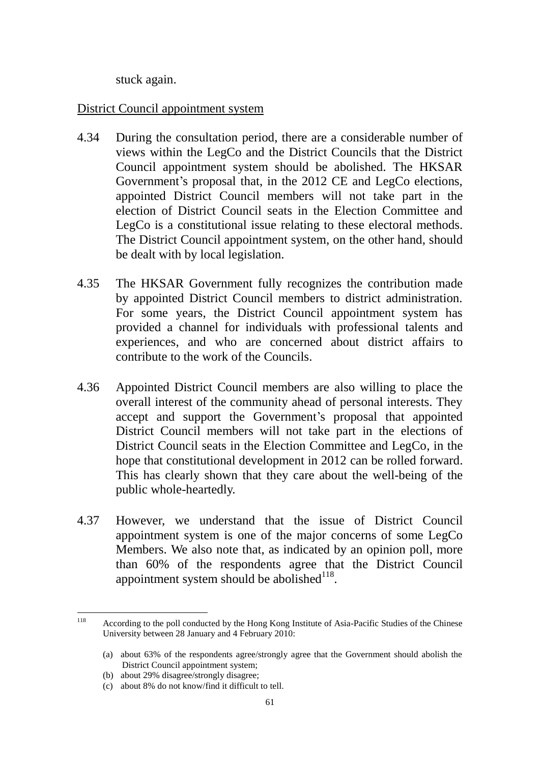stuck again.

## District Council appointment system

- 4.34 During the consultation period, there are a considerable number of views within the LegCo and the District Councils that the District Council appointment system should be abolished. The HKSAR Government's proposal that, in the 2012 CE and LegCo elections, appointed District Council members will not take part in the election of District Council seats in the Election Committee and LegCo is a constitutional issue relating to these electoral methods. The District Council appointment system, on the other hand, should be dealt with by local legislation.
- 4.35 The HKSAR Government fully recognizes the contribution made by appointed District Council members to district administration. For some years, the District Council appointment system has provided a channel for individuals with professional talents and experiences, and who are concerned about district affairs to contribute to the work of the Councils.
- 4.36 Appointed District Council members are also willing to place the overall interest of the community ahead of personal interests. They accept and support the Government's proposal that appointed District Council members will not take part in the elections of District Council seats in the Election Committee and LegCo, in the hope that constitutional development in 2012 can be rolled forward. This has clearly shown that they care about the well-being of the public whole-heartedly.
- 4.37 However, we understand that the issue of District Council appointment system is one of the major concerns of some LegCo Members. We also note that, as indicated by an opinion poll, more than 60% of the respondents agree that the District Council appointment system should be abolished $^{118}$ .

<sup>118</sup> According to the poll conducted by the Hong Kong Institute of Asia-Pacific Studies of the Chinese University between 28 January and 4 February 2010:

<sup>(</sup>a) about 63% of the respondents agree/strongly agree that the Government should abolish the District Council appointment system;

<sup>(</sup>b) about 29% disagree/strongly disagree;

<sup>(</sup>c) about 8% do not know/find it difficult to tell.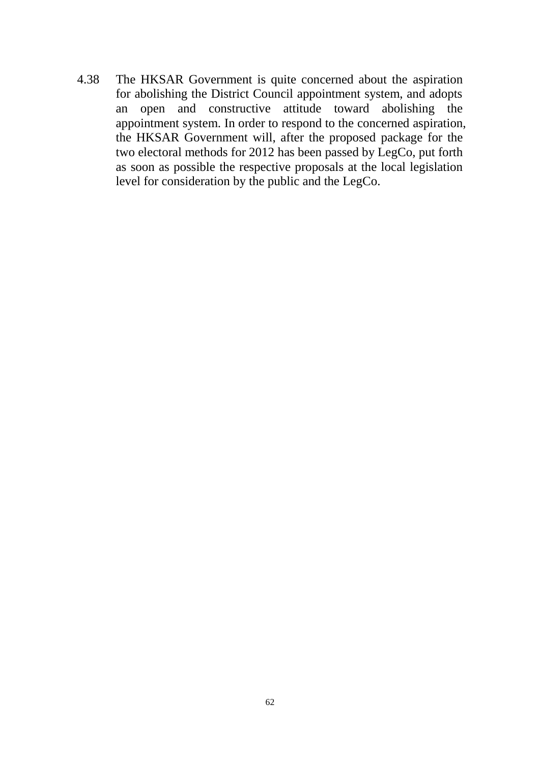4.38 The HKSAR Government is quite concerned about the aspiration for abolishing the District Council appointment system, and adopts an open and constructive attitude toward abolishing the appointment system. In order to respond to the concerned aspiration, the HKSAR Government will, after the proposed package for the two electoral methods for 2012 has been passed by LegCo, put forth as soon as possible the respective proposals at the local legislation level for consideration by the public and the LegCo.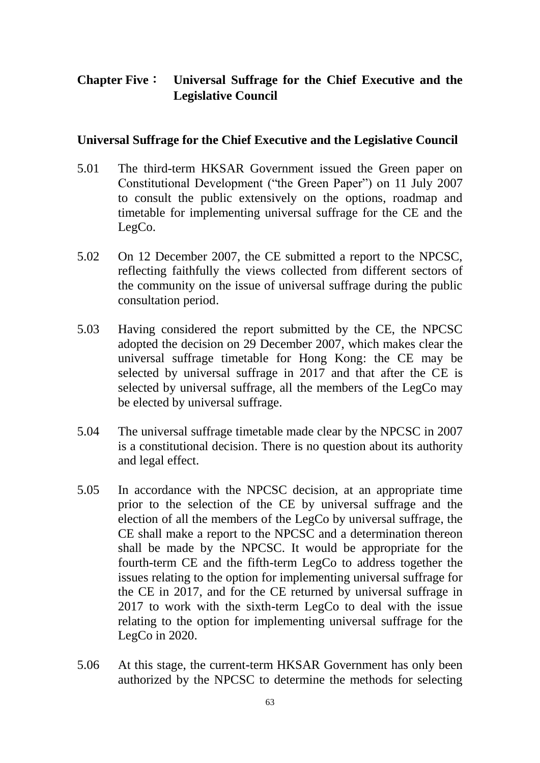# **Chapter Five**: **Universal Suffrage for the Chief Executive and the Legislative Council**

## **Universal Suffrage for the Chief Executive and the Legislative Council**

- 5.01 The third-term HKSAR Government issued the Green paper on Constitutional Development ("the Green Paper") on 11 July 2007 to consult the public extensively on the options, roadmap and timetable for implementing universal suffrage for the CE and the LegCo.
- 5.02 On 12 December 2007, the CE submitted a report to the NPCSC, reflecting faithfully the views collected from different sectors of the community on the issue of universal suffrage during the public consultation period.
- 5.03 Having considered the report submitted by the CE, the NPCSC adopted the decision on 29 December 2007, which makes clear the universal suffrage timetable for Hong Kong: the CE may be selected by universal suffrage in 2017 and that after the CE is selected by universal suffrage, all the members of the LegCo may be elected by universal suffrage.
- 5.04 The universal suffrage timetable made clear by the NPCSC in 2007 is a constitutional decision. There is no question about its authority and legal effect.
- 5.05 In accordance with the NPCSC decision, at an appropriate time prior to the selection of the CE by universal suffrage and the election of all the members of the LegCo by universal suffrage, the CE shall make a report to the NPCSC and a determination thereon shall be made by the NPCSC. It would be appropriate for the fourth-term CE and the fifth-term LegCo to address together the issues relating to the option for implementing universal suffrage for the CE in 2017, and for the CE returned by universal suffrage in 2017 to work with the sixth-term LegCo to deal with the issue relating to the option for implementing universal suffrage for the LegCo in 2020.
- 5.06 At this stage, the current-term HKSAR Government has only been authorized by the NPCSC to determine the methods for selecting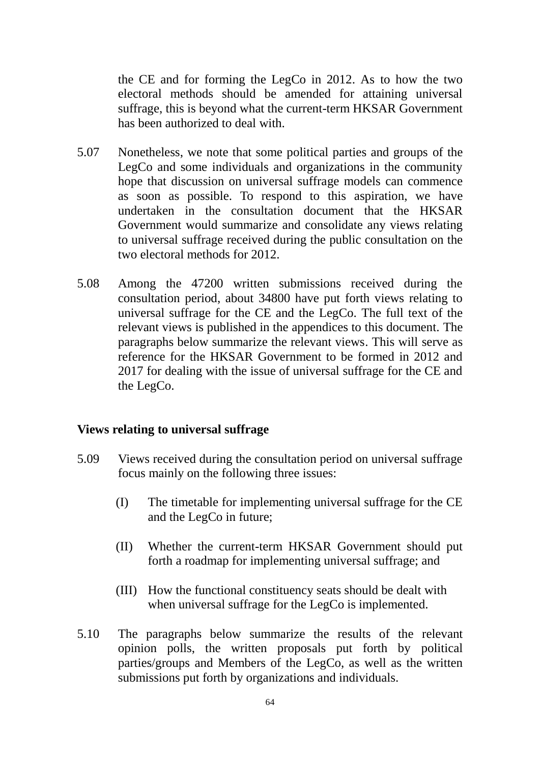the CE and for forming the LegCo in 2012. As to how the two electoral methods should be amended for attaining universal suffrage, this is beyond what the current-term HKSAR Government has been authorized to deal with.

- 5.07 Nonetheless, we note that some political parties and groups of the LegCo and some individuals and organizations in the community hope that discussion on universal suffrage models can commence as soon as possible. To respond to this aspiration, we have undertaken in the consultation document that the HKSAR Government would summarize and consolidate any views relating to universal suffrage received during the public consultation on the two electoral methods for 2012.
- 5.08 Among the 47200 written submissions received during the consultation period, about 34800 have put forth views relating to universal suffrage for the CE and the LegCo. The full text of the relevant views is published in the appendices to this document. The paragraphs below summarize the relevant views. This will serve as reference for the HKSAR Government to be formed in 2012 and 2017 for dealing with the issue of universal suffrage for the CE and the LegCo.

#### **Views relating to universal suffrage**

- 5.09 Views received during the consultation period on universal suffrage focus mainly on the following three issues:
	- (I) The timetable for implementing universal suffrage for the CE and the LegCo in future;
	- (II) Whether the current-term HKSAR Government should put forth a roadmap for implementing universal suffrage; and
	- (III) How the functional constituency seats should be dealt with when universal suffrage for the LegCo is implemented.
- 5.10 The paragraphs below summarize the results of the relevant opinion polls, the written proposals put forth by political parties/groups and Members of the LegCo, as well as the written submissions put forth by organizations and individuals.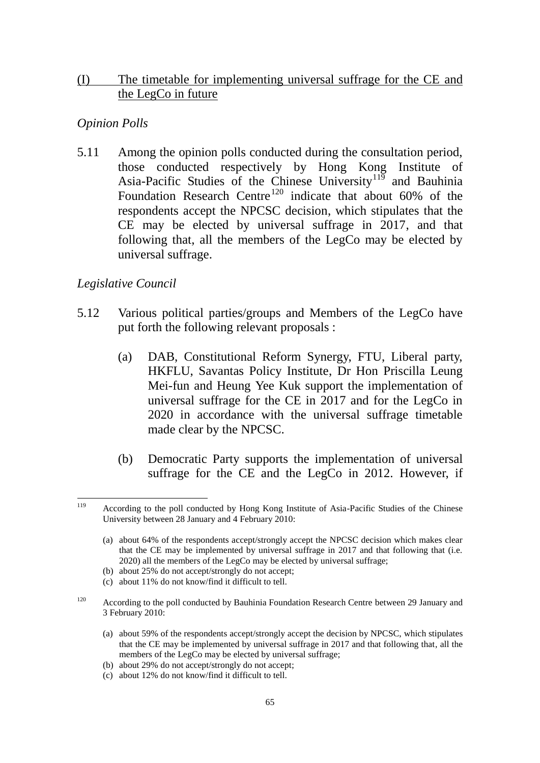# (I) The timetable for implementing universal suffrage for the CE and the LegCo in future

# *Opinion Polls*

5.11 Among the opinion polls conducted during the consultation period, those conducted respectively by Hong Kong Institute of Asia-Pacific Studies of the Chinese University<sup>119</sup> and Bauhinia Foundation Research Centre<sup>120</sup> indicate that about 60% of the respondents accept the NPCSC decision, which stipulates that the CE may be elected by universal suffrage in 2017, and that following that, all the members of the LegCo may be elected by universal suffrage.

# *Legislative Council*

- 5.12 Various political parties/groups and Members of the LegCo have put forth the following relevant proposals :
	- (a) DAB, Constitutional Reform Synergy, FTU, Liberal party, HKFLU, Savantas Policy Institute, Dr Hon Priscilla Leung Mei-fun and Heung Yee Kuk support the implementation of universal suffrage for the CE in 2017 and for the LegCo in 2020 in accordance with the universal suffrage timetable made clear by the NPCSC.
	- (b) Democratic Party supports the implementation of universal suffrage for the CE and the LegCo in 2012. However, if

- (a) about 59% of the respondents accept/strongly accept the decision by NPCSC, which stipulates that the CE may be implemented by universal suffrage in 2017 and that following that, all the members of the LegCo may be elected by universal suffrage;
- (b) about 29% do not accept/strongly do not accept;
- (c) about 12% do not know/find it difficult to tell.

<sup>119</sup> <sup>119</sup> According to the poll conducted by Hong Kong Institute of Asia-Pacific Studies of the Chinese University between 28 January and 4 February 2010:

<sup>(</sup>a) about 64% of the respondents accept/strongly accept the NPCSC decision which makes clear that the CE may be implemented by universal suffrage in 2017 and that following that (i.e. 2020) all the members of the LegCo may be elected by universal suffrage;

<sup>(</sup>b) about 25% do not accept/strongly do not accept;

<sup>(</sup>c) about 11% do not know/find it difficult to tell.

<sup>&</sup>lt;sup>120</sup> According to the poll conducted by Bauhinia Foundation Research Centre between 29 January and 3 February 2010: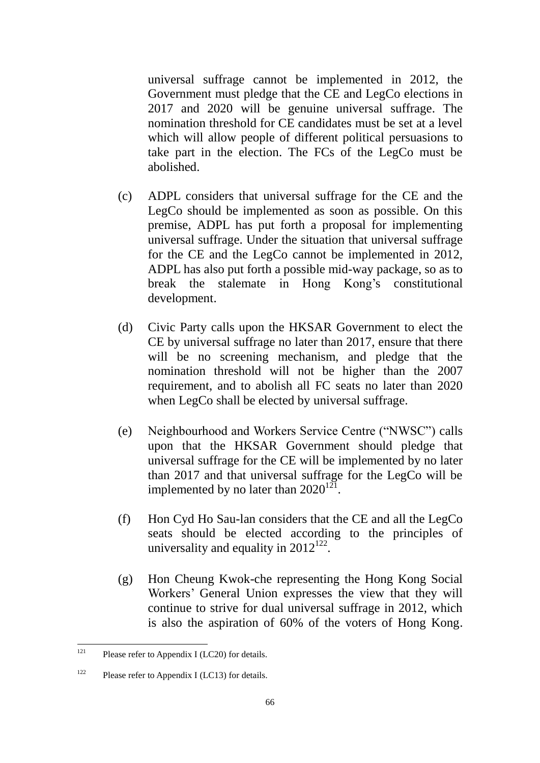universal suffrage cannot be implemented in 2012, the Government must pledge that the CE and LegCo elections in 2017 and 2020 will be genuine universal suffrage. The nomination threshold for CE candidates must be set at a level which will allow people of different political persuasions to take part in the election. The FCs of the LegCo must be abolished.

- (c) ADPL considers that universal suffrage for the CE and the LegCo should be implemented as soon as possible. On this premise, ADPL has put forth a proposal for implementing universal suffrage. Under the situation that universal suffrage for the CE and the LegCo cannot be implemented in 2012, ADPL has also put forth a possible mid-way package, so as to break the stalemate in Hong Kong's constitutional development.
- (d) Civic Party calls upon the HKSAR Government to elect the CE by universal suffrage no later than 2017, ensure that there will be no screening mechanism, and pledge that the nomination threshold will not be higher than the 2007 requirement, and to abolish all FC seats no later than 2020 when LegCo shall be elected by universal suffrage.
- (e) Neighbourhood and Workers Service Centre ("NWSC") calls upon that the HKSAR Government should pledge that universal suffrage for the CE will be implemented by no later than 2017 and that universal suffrage for the LegCo will be implemented by no later than  $2020^{121}$ .
- (f) Hon Cyd Ho Sau-lan considers that the CE and all the LegCo seats should be elected according to the principles of universality and equality in  $2012^{122}$ .
- (g) Hon Cheung Kwok-che representing the Hong Kong Social Workers' General Union expresses the view that they will continue to strive for dual universal suffrage in 2012, which is also the aspiration of 60% of the voters of Hong Kong.

 $121$ Please refer to Appendix I (LC20) for details.

 $122$  Please refer to Appendix I (LC13) for details.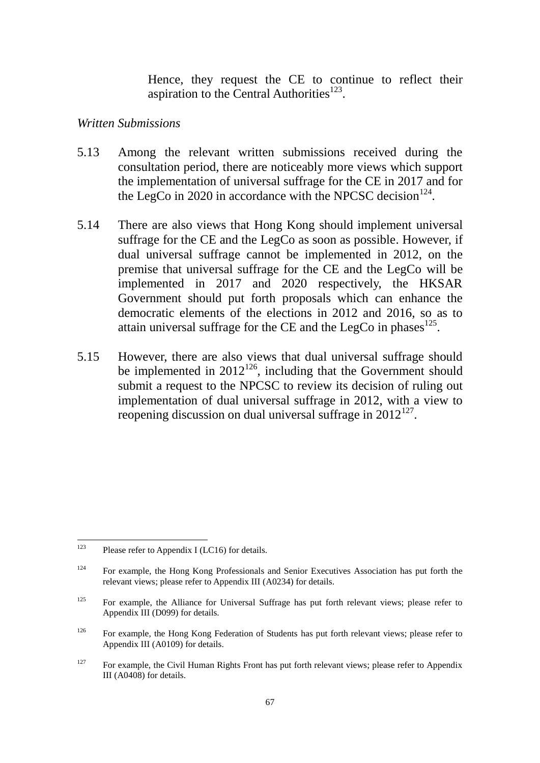Hence, they request the CE to continue to reflect their aspiration to the Central Authorities $^{123}$ .

#### *Written Submissions*

- 5.13 Among the relevant written submissions received during the consultation period, there are noticeably more views which support the implementation of universal suffrage for the CE in 2017 and for the LegCo in 2020 in accordance with the NPCSC decision $^{124}$ .
- 5.14 There are also views that Hong Kong should implement universal suffrage for the CE and the LegCo as soon as possible. However, if dual universal suffrage cannot be implemented in 2012, on the premise that universal suffrage for the CE and the LegCo will be implemented in 2017 and 2020 respectively, the HKSAR Government should put forth proposals which can enhance the democratic elements of the elections in 2012 and 2016, so as to attain universal suffrage for the CE and the LegCo in phases  $125$ .
- 5.15 However, there are also views that dual universal suffrage should be implemented in  $2012^{126}$ , including that the Government should submit a request to the NPCSC to review its decision of ruling out implementation of dual universal suffrage in 2012, with a view to reopening discussion on dual universal suffrage in  $2012^{127}$ .

<sup>123</sup> Please refer to Appendix I (LC16) for details.

<sup>&</sup>lt;sup>124</sup> For example, the Hong Kong Professionals and Senior Executives Association has put forth the relevant views; please refer to Appendix III (A0234) for details.

<sup>&</sup>lt;sup>125</sup> For example, the Alliance for Universal Suffrage has put forth relevant views; please refer to Appendix III (D099) for details.

<sup>&</sup>lt;sup>126</sup> For example, the Hong Kong Federation of Students has put forth relevant views; please refer to Appendix III (A0109) for details.

<sup>&</sup>lt;sup>127</sup> For example, the Civil Human Rights Front has put forth relevant views; please refer to Appendix III (A0408) for details.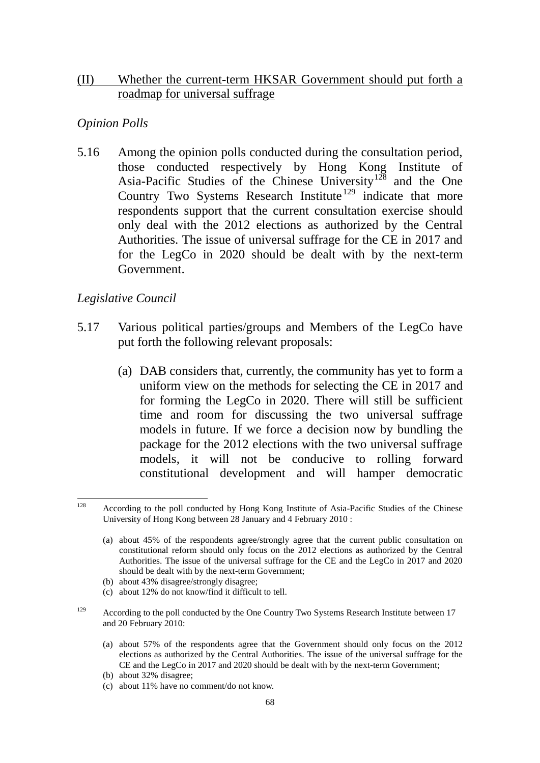#### (II) Whether the current-term HKSAR Government should put forth a roadmap for universal suffrage

## *Opinion Polls*

5.16 Among the opinion polls conducted during the consultation period, those conducted respectively by Hong Kong Institute of Asia-Pacific Studies of the Chinese University<sup>128</sup> and the One Country Two Systems Research Institute<sup>129</sup> indicate that more respondents support that the current consultation exercise should only deal with the 2012 elections as authorized by the Central Authorities. The issue of universal suffrage for the CE in 2017 and for the LegCo in 2020 should be dealt with by the next-term Government.

# *Legislative Council*

- 5.17 Various political parties/groups and Members of the LegCo have put forth the following relevant proposals:
	- (a) DAB considers that, currently, the community has yet to form a uniform view on the methods for selecting the CE in 2017 and for forming the LegCo in 2020. There will still be sufficient time and room for discussing the two universal suffrage models in future. If we force a decision now by bundling the package for the 2012 elections with the two universal suffrage models, it will not be conducive to rolling forward constitutional development and will hamper democratic

- (b) about 43% disagree/strongly disagree;
- (c) about 12% do not know/find it difficult to tell.
- <sup>129</sup> According to the poll conducted by the One Country Two Systems Research Institute between 17 and 20 February 2010:
	- (a) about 57% of the respondents agree that the Government should only focus on the 2012 elections as authorized by the Central Authorities. The issue of the universal suffrage for the CE and the LegCo in 2017 and 2020 should be dealt with by the next-term Government;
	- (b) about 32% disagree;
	- (c) about 11% have no comment/do not know.

 $128$ <sup>128</sup> According to the poll conducted by Hong Kong Institute of Asia-Pacific Studies of the Chinese University of Hong Kong between 28 January and 4 February 2010 :

<sup>(</sup>a) about 45% of the respondents agree/strongly agree that the current public consultation on constitutional reform should only focus on the 2012 elections as authorized by the Central Authorities. The issue of the universal suffrage for the CE and the LegCo in 2017 and 2020 should be dealt with by the next-term Government;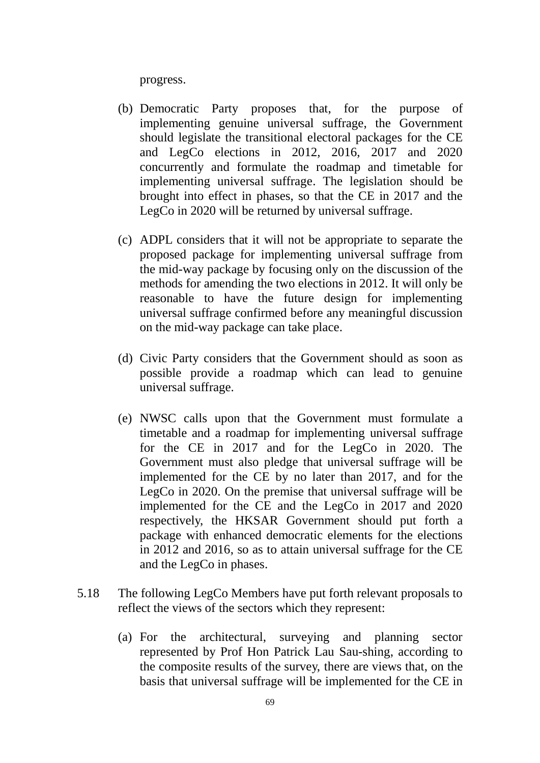progress.

- (b) Democratic Party proposes that, for the purpose of implementing genuine universal suffrage, the Government should legislate the transitional electoral packages for the CE and LegCo elections in 2012, 2016, 2017 and 2020 concurrently and formulate the roadmap and timetable for implementing universal suffrage. The legislation should be brought into effect in phases, so that the CE in 2017 and the LegCo in 2020 will be returned by universal suffrage.
- (c) ADPL considers that it will not be appropriate to separate the proposed package for implementing universal suffrage from the mid-way package by focusing only on the discussion of the methods for amending the two elections in 2012. It will only be reasonable to have the future design for implementing universal suffrage confirmed before any meaningful discussion on the mid-way package can take place.
- (d) Civic Party considers that the Government should as soon as possible provide a roadmap which can lead to genuine universal suffrage.
- (e) NWSC calls upon that the Government must formulate a timetable and a roadmap for implementing universal suffrage for the CE in 2017 and for the LegCo in 2020. The Government must also pledge that universal suffrage will be implemented for the CE by no later than 2017, and for the LegCo in 2020. On the premise that universal suffrage will be implemented for the CE and the LegCo in 2017 and 2020 respectively, the HKSAR Government should put forth a package with enhanced democratic elements for the elections in 2012 and 2016, so as to attain universal suffrage for the CE and the LegCo in phases.
- 5.18 The following LegCo Members have put forth relevant proposals to reflect the views of the sectors which they represent:
	- (a) For the architectural, surveying and planning sector represented by Prof Hon Patrick Lau Sau-shing, according to the composite results of the survey, there are views that, on the basis that universal suffrage will be implemented for the CE in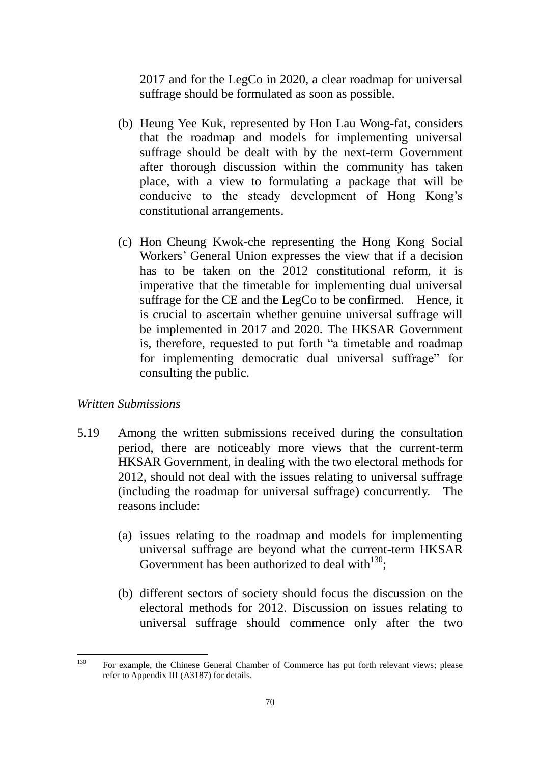2017 and for the LegCo in 2020, a clear roadmap for universal suffrage should be formulated as soon as possible.

- (b) Heung Yee Kuk, represented by Hon Lau Wong-fat, considers that the roadmap and models for implementing universal suffrage should be dealt with by the next-term Government after thorough discussion within the community has taken place, with a view to formulating a package that will be conducive to the steady development of Hong Kong's constitutional arrangements.
- (c) Hon Cheung Kwok-che representing the Hong Kong Social Workers' General Union expresses the view that if a decision has to be taken on the 2012 constitutional reform, it is imperative that the timetable for implementing dual universal suffrage for the CE and the LegCo to be confirmed. Hence, it is crucial to ascertain whether genuine universal suffrage will be implemented in 2017 and 2020. The HKSAR Government is, therefore, requested to put forth "a timetable and roadmap for implementing democratic dual universal suffrage" for consulting the public.

#### *Written Submissions*

- 5.19 Among the written submissions received during the consultation period, there are noticeably more views that the current-term HKSAR Government, in dealing with the two electoral methods for 2012, should not deal with the issues relating to universal suffrage (including the roadmap for universal suffrage) concurrently. The reasons include:
	- (a) issues relating to the roadmap and models for implementing universal suffrage are beyond what the current-term HKSAR Government has been authorized to deal with $^{130}$ ;
	- (b) different sectors of society should focus the discussion on the electoral methods for 2012. Discussion on issues relating to universal suffrage should commence only after the two

<sup>130</sup> <sup>130</sup> For example, the Chinese General Chamber of Commerce has put forth relevant views; please refer to Appendix III (A3187) for details.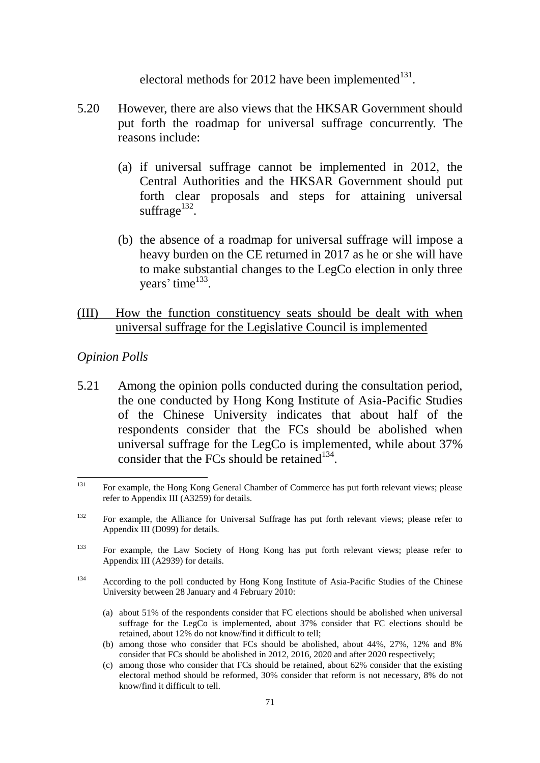electoral methods for 2012 have been implemented $^{131}$ .

- 5.20 However, there are also views that the HKSAR Government should put forth the roadmap for universal suffrage concurrently. The reasons include:
	- (a) if universal suffrage cannot be implemented in 2012, the Central Authorities and the HKSAR Government should put forth clear proposals and steps for attaining universal suffrage $^{132}$ .
	- (b) the absence of a roadmap for universal suffrage will impose a heavy burden on the CE returned in 2017 as he or she will have to make substantial changes to the LegCo election in only three years' time<sup>133</sup>.

### (III) How the function constituency seats should be dealt with when universal suffrage for the Legislative Council is implemented

#### *Opinion Polls*

5.21 Among the opinion polls conducted during the consultation period, the one conducted by Hong Kong Institute of Asia-Pacific Studies of the Chinese University indicates that about half of the respondents consider that the FCs should be abolished when universal suffrage for the LegCo is implemented, while about 37% consider that the FCs should be retained $134$ .

- (a) about 51% of the respondents consider that FC elections should be abolished when universal suffrage for the LegCo is implemented, about 37% consider that FC elections should be retained, about 12% do not know/find it difficult to tell;
- (b) among those who consider that FCs should be abolished, about 44%, 27%, 12% and 8% consider that FCs should be abolished in 2012, 2016, 2020 and after 2020 respectively;
- (c) among those who consider that FCs should be retained, about 62% consider that the existing electoral method should be reformed, 30% consider that reform is not necessary, 8% do not know/find it difficult to tell.

 $131$ <sup>131</sup> For example, the Hong Kong General Chamber of Commerce has put forth relevant views; please refer to Appendix III (A3259) for details.

<sup>&</sup>lt;sup>132</sup> For example, the Alliance for Universal Suffrage has put forth relevant views; please refer to Appendix III (D099) for details.

<sup>&</sup>lt;sup>133</sup> For example, the Law Society of Hong Kong has put forth relevant views; please refer to Appendix III (A2939) for details.

<sup>134</sup> According to the poll conducted by Hong Kong Institute of Asia-Pacific Studies of the Chinese University between 28 January and 4 February 2010: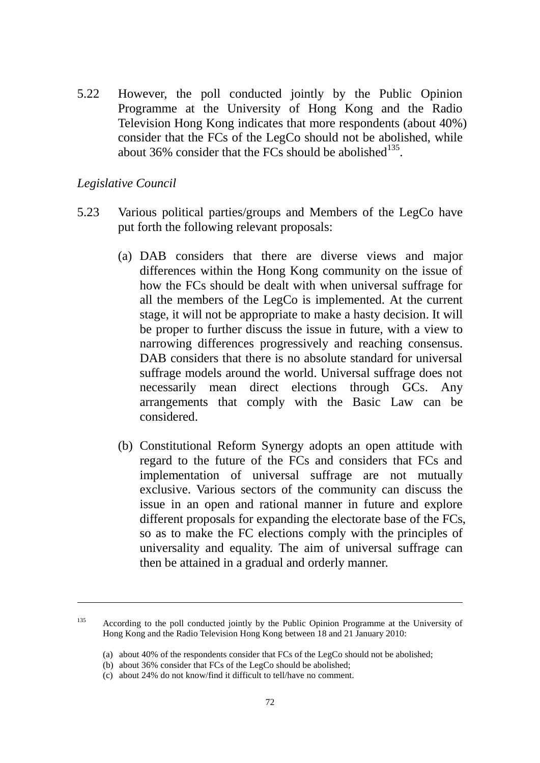5.22 However, the poll conducted jointly by the Public Opinion Programme at the University of Hong Kong and the Radio Television Hong Kong indicates that more respondents (about 40%) consider that the FCs of the LegCo should not be abolished, while about 36% consider that the FCs should be abolished  $135$ .

#### *Legislative Council*

1

- 5.23 Various political parties/groups and Members of the LegCo have put forth the following relevant proposals:
	- (a) DAB considers that there are diverse views and major differences within the Hong Kong community on the issue of how the FCs should be dealt with when universal suffrage for all the members of the LegCo is implemented. At the current stage, it will not be appropriate to make a hasty decision. It will be proper to further discuss the issue in future, with a view to narrowing differences progressively and reaching consensus. DAB considers that there is no absolute standard for universal suffrage models around the world. Universal suffrage does not necessarily mean direct elections through GCs. Any arrangements that comply with the Basic Law can be considered.
	- (b) Constitutional Reform Synergy adopts an open attitude with regard to the future of the FCs and considers that FCs and implementation of universal suffrage are not mutually exclusive. Various sectors of the community can discuss the issue in an open and rational manner in future and explore different proposals for expanding the electorate base of the FCs, so as to make the FC elections comply with the principles of universality and equality. The aim of universal suffrage can then be attained in a gradual and orderly manner.

<sup>&</sup>lt;sup>135</sup> According to the poll conducted jointly by the Public Opinion Programme at the University of Hong Kong and the Radio Television Hong Kong between 18 and 21 January 2010:

<sup>(</sup>a) about 40% of the respondents consider that FCs of the LegCo should not be abolished;

<sup>(</sup>b) about 36% consider that FCs of the LegCo should be abolished;

<sup>(</sup>c) about 24% do not know/find it difficult to tell/have no comment.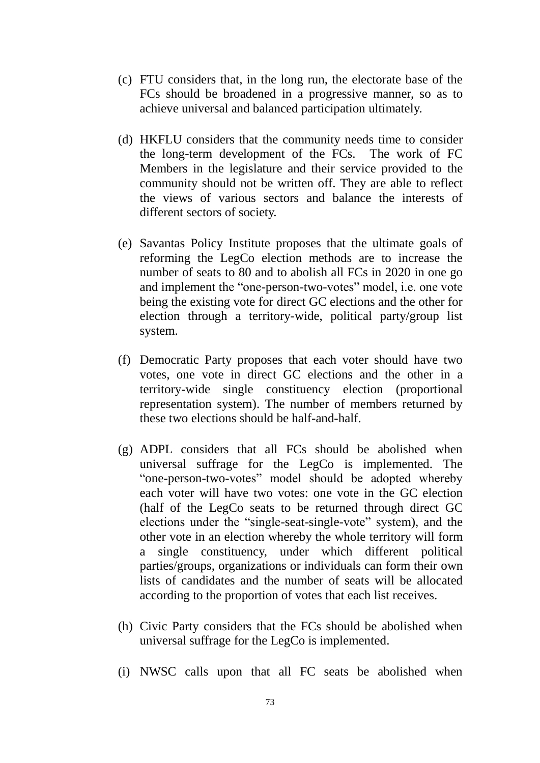- (c) FTU considers that, in the long run, the electorate base of the FCs should be broadened in a progressive manner, so as to achieve universal and balanced participation ultimately.
- (d) HKFLU considers that the community needs time to consider the long-term development of the FCs. The work of FC Members in the legislature and their service provided to the community should not be written off. They are able to reflect the views of various sectors and balance the interests of different sectors of society.
- (e) Savantas Policy Institute proposes that the ultimate goals of reforming the LegCo election methods are to increase the number of seats to 80 and to abolish all FCs in 2020 in one go and implement the "one-person-two-votes" model, i.e. one vote being the existing vote for direct GC elections and the other for election through a territory-wide, political party/group list system.
- (f) Democratic Party proposes that each voter should have two votes, one vote in direct GC elections and the other in a territory-wide single constituency election (proportional representation system). The number of members returned by these two elections should be half-and-half.
- (g) ADPL considers that all FCs should be abolished when universal suffrage for the LegCo is implemented. The "one-person-two-votes" model should be adopted whereby each voter will have two votes: one vote in the GC election (half of the LegCo seats to be returned through direct GC elections under the "single-seat-single-vote" system), and the other vote in an election whereby the whole territory will form a single constituency, under which different political parties/groups, organizations or individuals can form their own lists of candidates and the number of seats will be allocated according to the proportion of votes that each list receives.
- (h) Civic Party considers that the FCs should be abolished when universal suffrage for the LegCo is implemented.
- (i) NWSC calls upon that all FC seats be abolished when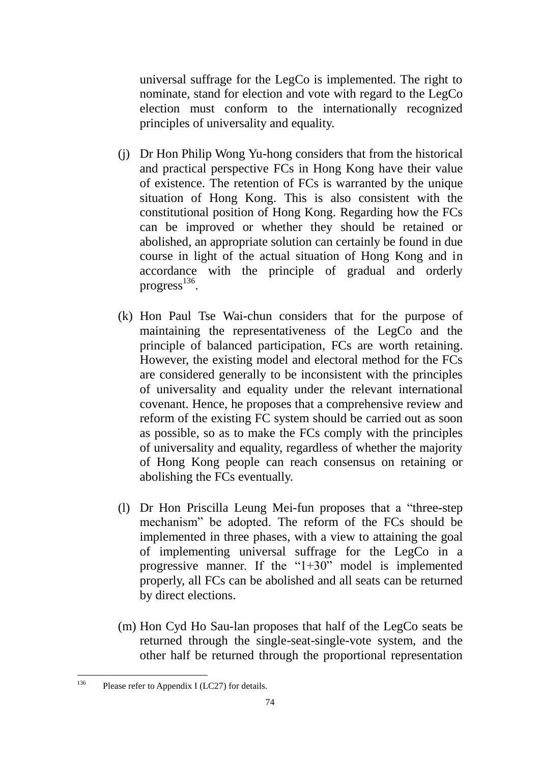universal suffrage for the LegCo is implemented. The right to nominate, stand for election and vote with regard to the LegCo election must conform to the internationally recognized principles of universality and equality.

- (j) Dr Hon Philip Wong Yu-hong considers that from the historical and practical perspective FCs in Hong Kong have their value of existence. The retention of FCs is warranted by the unique situation of Hong Kong. This is also consistent with the constitutional position of Hong Kong. Regarding how the FCs can be improved or whether they should be retained or abolished, an appropriate solution can certainly be found in due course in light of the actual situation of Hong Kong and in accordance with the principle of gradual and orderly progress<sup>136</sup>.
- (k) Hon Paul Tse Wai-chun considers that for the purpose of maintaining the representativeness of the LegCo and the principle of balanced participation, FCs are worth retaining. However, the existing model and electoral method for the FCs are considered generally to be inconsistent with the principles of universality and equality under the relevant international covenant. Hence, he proposes that a comprehensive review and reform of the existing FC system should be carried out as soon as possible, so as to make the FCs comply with the principles of universality and equality, regardless of whether the majority of Hong Kong people can reach consensus on retaining or abolishing the FCs eventually.
- (l) Dr Hon Priscilla Leung Mei-fun proposes that a "three-step mechanism" be adopted. The reform of the FCs should be implemented in three phases, with a view to attaining the goal of implementing universal suffrage for the LegCo in a progressive manner. If the "1+30" model is implemented properly, all FCs can be abolished and all seats can be returned by direct elections.
- (m) Hon Cyd Ho Sau-lan proposes that half of the LegCo seats be returned through the single-seat-single-vote system, and the other half be returned through the proportional representation

<sup>136</sup> Please refer to Appendix I (LC27) for details.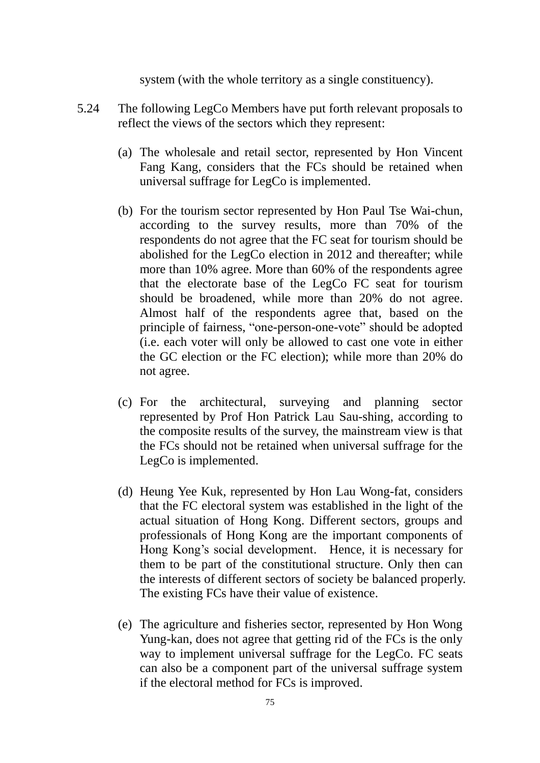system (with the whole territory as a single constituency).

- 5.24 The following LegCo Members have put forth relevant proposals to reflect the views of the sectors which they represent:
	- (a) The wholesale and retail sector, represented by Hon Vincent Fang Kang, considers that the FCs should be retained when universal suffrage for LegCo is implemented.
	- (b) For the tourism sector represented by Hon Paul Tse Wai-chun, according to the survey results, more than 70% of the respondents do not agree that the FC seat for tourism should be abolished for the LegCo election in 2012 and thereafter; while more than 10% agree. More than 60% of the respondents agree that the electorate base of the LegCo FC seat for tourism should be broadened, while more than 20% do not agree. Almost half of the respondents agree that, based on the principle of fairness, "one-person-one-vote" should be adopted (i.e. each voter will only be allowed to cast one vote in either the GC election or the FC election); while more than 20% do not agree.
	- (c) For the architectural, surveying and planning sector represented by Prof Hon Patrick Lau Sau-shing, according to the composite results of the survey, the mainstream view is that the FCs should not be retained when universal suffrage for the LegCo is implemented.
	- (d) Heung Yee Kuk, represented by Hon Lau Wong-fat, considers that the FC electoral system was established in the light of the actual situation of Hong Kong. Different sectors, groups and professionals of Hong Kong are the important components of Hong Kong's social development. Hence, it is necessary for them to be part of the constitutional structure. Only then can the interests of different sectors of society be balanced properly. The existing FCs have their value of existence.
	- (e) The agriculture and fisheries sector, represented by Hon Wong Yung-kan, does not agree that getting rid of the FCs is the only way to implement universal suffrage for the LegCo. FC seats can also be a component part of the universal suffrage system if the electoral method for FCs is improved.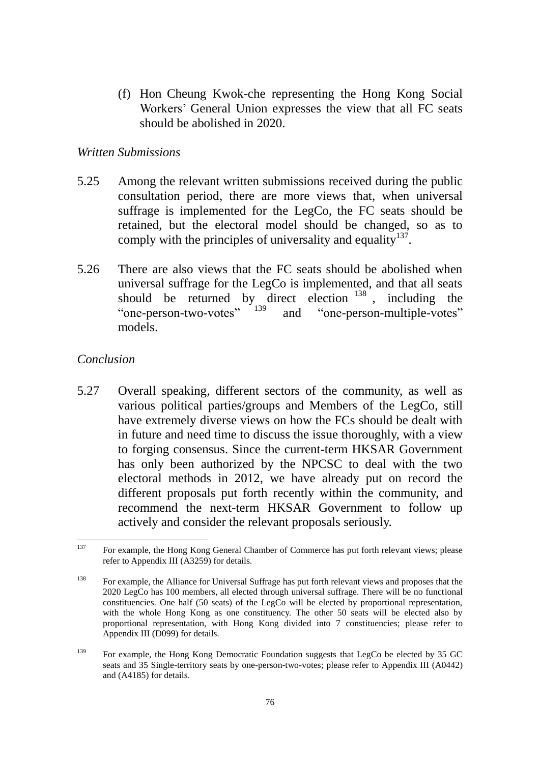(f) Hon Cheung Kwok-che representing the Hong Kong Social Workers' General Union expresses the view that all FC seats should be abolished in 2020.

### *Written Submissions*

- 5.25 Among the relevant written submissions received during the public consultation period, there are more views that, when universal suffrage is implemented for the LegCo, the FC seats should be retained, but the electoral model should be changed, so as to comply with the principles of universality and equality  $137$ .
- 5.26 There are also views that the FC seats should be abolished when universal suffrage for the LegCo is implemented, and that all seats should be returned by direct election  $138$ , including the "one-person-two-votes" <sup>139</sup> and "one-person-multiple-votes" models.

# *Conclusion*

5.27 Overall speaking, different sectors of the community, as well as various political parties/groups and Members of the LegCo, still have extremely diverse views on how the FCs should be dealt with in future and need time to discuss the issue thoroughly, with a view to forging consensus. Since the current-term HKSAR Government has only been authorized by the NPCSC to deal with the two electoral methods in 2012, we have already put on record the different proposals put forth recently within the community, and recommend the next-term HKSAR Government to follow up actively and consider the relevant proposals seriously.

<sup>137</sup> For example, the Hong Kong General Chamber of Commerce has put forth relevant views; please refer to Appendix III (A3259) for details.

<sup>&</sup>lt;sup>138</sup> For example, the Alliance for Universal Suffrage has put forth relevant views and proposes that the 2020 LegCo has 100 members, all elected through universal suffrage. There will be no functional constituencies. One half (50 seats) of the LegCo will be elected by proportional representation, with the whole Hong Kong as one constituency. The other 50 seats will be elected also by proportional representation, with Hong Kong divided into 7 constituencies; please refer to Appendix III (D099) for details.

<sup>&</sup>lt;sup>139</sup> For example, the Hong Kong Democratic Foundation suggests that LegCo be elected by 35 GC seats and 35 Single-territory seats by one-person-two-votes; please refer to Appendix III (A0442) and (A4185) for details.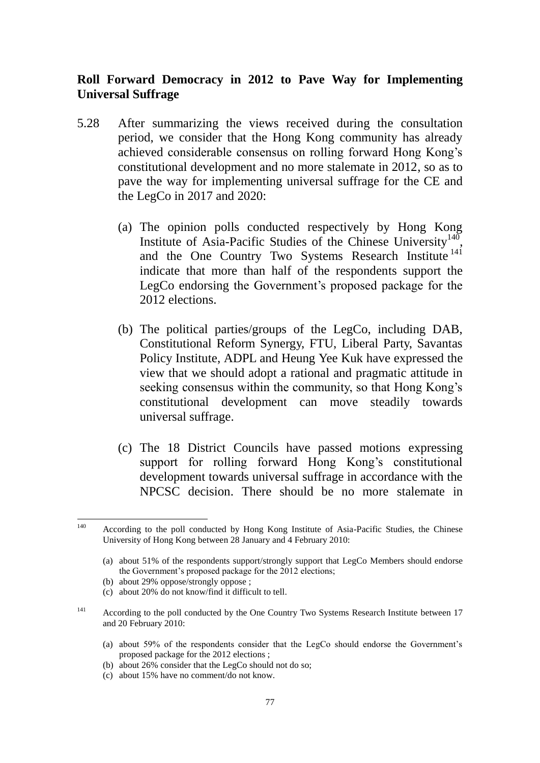## **Roll Forward Democracy in 2012 to Pave Way for Implementing Universal Suffrage**

- 5.28 After summarizing the views received during the consultation period, we consider that the Hong Kong community has already achieved considerable consensus on rolling forward Hong Kong's constitutional development and no more stalemate in 2012, so as to pave the way for implementing universal suffrage for the CE and the LegCo in 2017 and 2020:
	- (a) The opinion polls conducted respectively by Hong Kong Institute of Asia-Pacific Studies of the Chinese University<sup>140</sup>, and the One Country Two Systems Research Institute<sup>141</sup> indicate that more than half of the respondents support the LegCo endorsing the Government's proposed package for the 2012 elections.
	- (b) The political parties/groups of the LegCo, including DAB, Constitutional Reform Synergy, FTU, Liberal Party, Savantas Policy Institute, ADPL and Heung Yee Kuk have expressed the view that we should adopt a rational and pragmatic attitude in seeking consensus within the community, so that Hong Kong's constitutional development can move steadily towards universal suffrage.
	- (c) The 18 District Councils have passed motions expressing support for rolling forward Hong Kong's constitutional development towards universal suffrage in accordance with the NPCSC decision. There should be no more stalemate in

- (b) about 29% oppose/strongly oppose ;
- (c) about 20% do not know/find it difficult to tell.
- <sup>141</sup> According to the poll conducted by the One Country Two Systems Research Institute between 17 and 20 February 2010:
	- (a) about 59% of the respondents consider that the LegCo should endorse the Government's proposed package for the 2012 elections ;
	- (b) about 26% consider that the LegCo should not do so;
	- (c) about 15% have no comment/do not know.

<sup>140</sup> According to the poll conducted by Hong Kong Institute of Asia-Pacific Studies, the Chinese University of Hong Kong between 28 January and 4 February 2010:

<sup>(</sup>a) about 51% of the respondents support/strongly support that LegCo Members should endorse the Government's proposed package for the 2012 elections;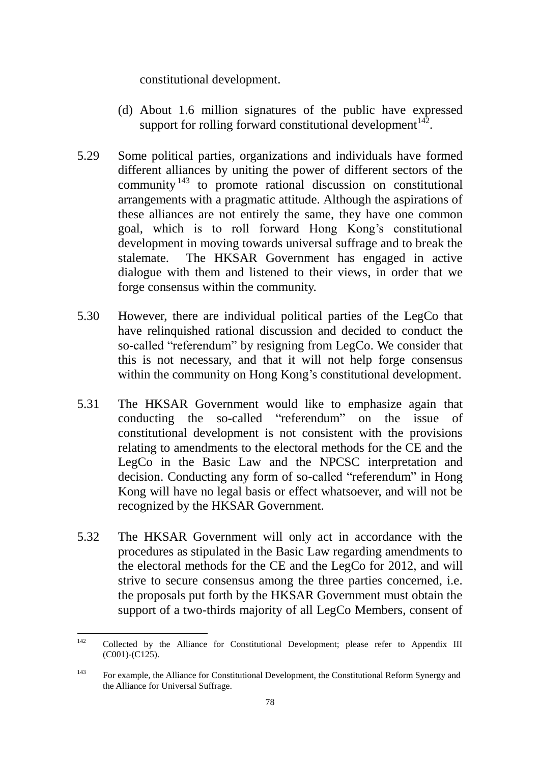constitutional development.

- (d) About 1.6 million signatures of the public have expressed support for rolling forward constitutional development $142$ .
- 5.29 Some political parties, organizations and individuals have formed different alliances by uniting the power of different sectors of the community<sup>143</sup> to promote rational discussion on constitutional arrangements with a pragmatic attitude. Although the aspirations of these alliances are not entirely the same, they have one common goal, which is to roll forward Hong Kong's constitutional development in moving towards universal suffrage and to break the stalemate. The HKSAR Government has engaged in active dialogue with them and listened to their views, in order that we forge consensus within the community.
- 5.30 However, there are individual political parties of the LegCo that have relinquished rational discussion and decided to conduct the so-called "referendum" by resigning from LegCo. We consider that this is not necessary, and that it will not help forge consensus within the community on Hong Kong's constitutional development.
- 5.31 The HKSAR Government would like to emphasize again that conducting the so-called "referendum" on the issue of constitutional development is not consistent with the provisions relating to amendments to the electoral methods for the CE and the LegCo in the Basic Law and the NPCSC interpretation and decision. Conducting any form of so-called "referendum" in Hong Kong will have no legal basis or effect whatsoever, and will not be recognized by the HKSAR Government.
- 5.32 The HKSAR Government will only act in accordance with the procedures as stipulated in the Basic Law regarding amendments to the electoral methods for the CE and the LegCo for 2012, and will strive to secure consensus among the three parties concerned, i.e. the proposals put forth by the HKSAR Government must obtain the support of a two-thirds majority of all LegCo Members, consent of

 $142$ <sup>142</sup> Collected by the Alliance for Constitutional Development; please refer to Appendix III (C001)-(C125).

<sup>&</sup>lt;sup>143</sup> For example, the Alliance for Constitutional Development, the Constitutional Reform Synergy and the Alliance for Universal Suffrage.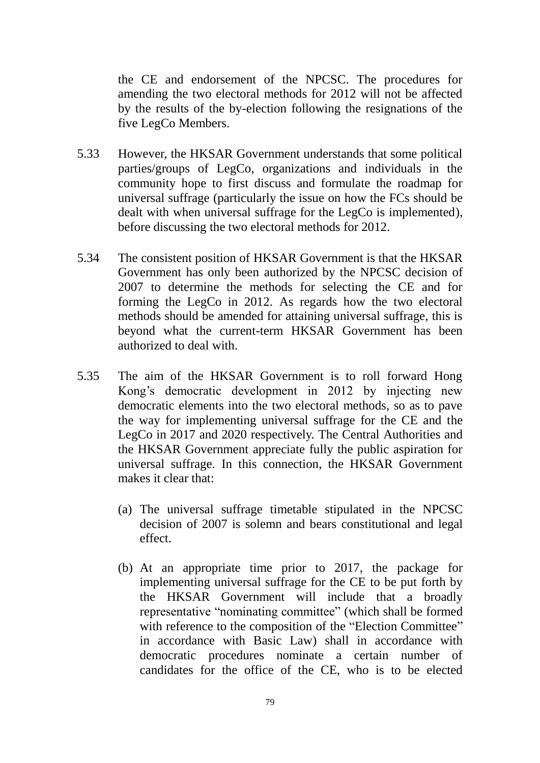the CE and endorsement of the NPCSC. The procedures for amending the two electoral methods for 2012 will not be affected by the results of the by-election following the resignations of the five LegCo Members.

- 5.33 However, the HKSAR Government understands that some political parties/groups of LegCo, organizations and individuals in the community hope to first discuss and formulate the roadmap for universal suffrage (particularly the issue on how the FCs should be dealt with when universal suffrage for the LegCo is implemented), before discussing the two electoral methods for 2012.
- 5.34 The consistent position of HKSAR Government is that the HKSAR Government has only been authorized by the NPCSC decision of 2007 to determine the methods for selecting the CE and for forming the LegCo in 2012. As regards how the two electoral methods should be amended for attaining universal suffrage, this is beyond what the current-term HKSAR Government has been authorized to deal with.
- 5.35 The aim of the HKSAR Government is to roll forward Hong Kong's democratic development in 2012 by injecting new democratic elements into the two electoral methods, so as to pave the way for implementing universal suffrage for the CE and the LegCo in 2017 and 2020 respectively. The Central Authorities and the HKSAR Government appreciate fully the public aspiration for universal suffrage. In this connection, the HKSAR Government makes it clear that:
	- (a) The universal suffrage timetable stipulated in the NPCSC decision of 2007 is solemn and bears constitutional and legal effect.
	- (b) At an appropriate time prior to 2017, the package for implementing universal suffrage for the CE to be put forth by the HKSAR Government will include that a broadly representative "nominating committee" (which shall be formed with reference to the composition of the "Election Committee" in accordance with Basic Law) shall in accordance with democratic procedures nominate a certain number of candidates for the office of the CE, who is to be elected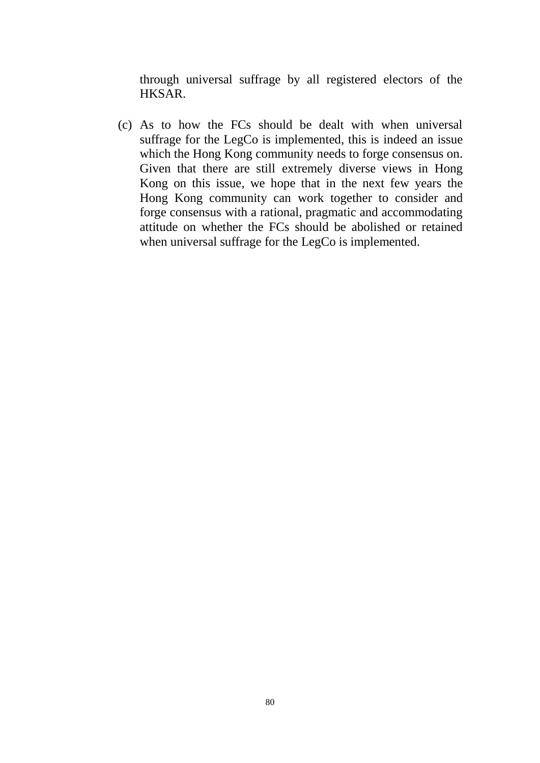through universal suffrage by all registered electors of the HKSAR.

(c) As to how the FCs should be dealt with when universal suffrage for the LegCo is implemented, this is indeed an issue which the Hong Kong community needs to forge consensus on. Given that there are still extremely diverse views in Hong Kong on this issue, we hope that in the next few years the Hong Kong community can work together to consider and forge consensus with a rational, pragmatic and accommodating attitude on whether the FCs should be abolished or retained when universal suffrage for the LegCo is implemented.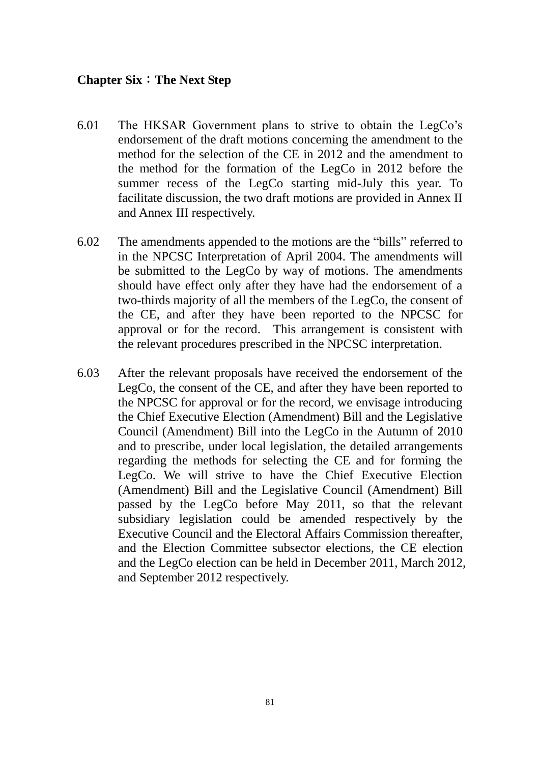#### **Chapter Six**:**The Next Step**

- 6.01 The HKSAR Government plans to strive to obtain the LegCo's endorsement of the draft motions concerning the amendment to the method for the selection of the CE in 2012 and the amendment to the method for the formation of the LegCo in 2012 before the summer recess of the LegCo starting mid-July this year. To facilitate discussion, the two draft motions are provided in Annex II and Annex III respectively.
- 6.02 The amendments appended to the motions are the "bills" referred to in the NPCSC Interpretation of April 2004. The amendments will be submitted to the LegCo by way of motions. The amendments should have effect only after they have had the endorsement of a two-thirds majority of all the members of the LegCo, the consent of the CE, and after they have been reported to the NPCSC for approval or for the record. This arrangement is consistent with the relevant procedures prescribed in the NPCSC interpretation.
- 6.03 After the relevant proposals have received the endorsement of the LegCo, the consent of the CE, and after they have been reported to the NPCSC for approval or for the record, we envisage introducing the Chief Executive Election (Amendment) Bill and the Legislative Council (Amendment) Bill into the LegCo in the Autumn of 2010 and to prescribe, under local legislation, the detailed arrangements regarding the methods for selecting the CE and for forming the LegCo. We will strive to have the Chief Executive Election (Amendment) Bill and the Legislative Council (Amendment) Bill passed by the LegCo before May 2011, so that the relevant subsidiary legislation could be amended respectively by the Executive Council and the Electoral Affairs Commission thereafter, and the Election Committee subsector elections, the CE election and the LegCo election can be held in December 2011, March 2012, and September 2012 respectively.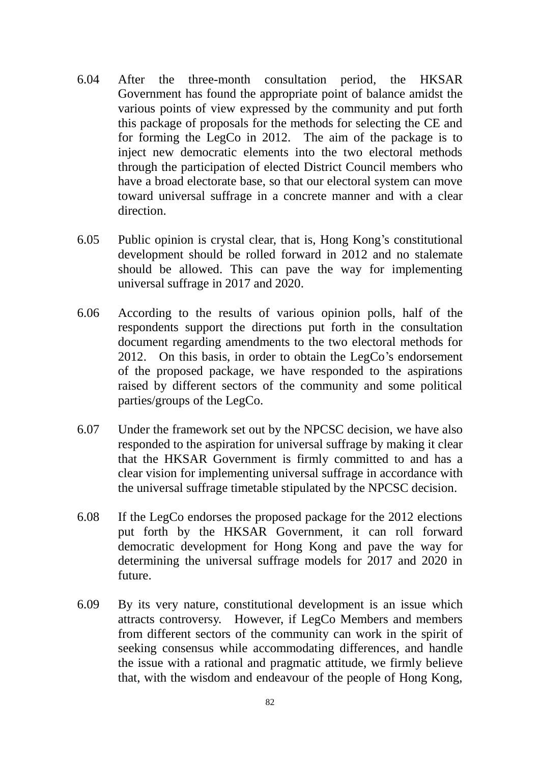- 6.04 After the three-month consultation period, the HKSAR Government has found the appropriate point of balance amidst the various points of view expressed by the community and put forth this package of proposals for the methods for selecting the CE and for forming the LegCo in 2012. The aim of the package is to inject new democratic elements into the two electoral methods through the participation of elected District Council members who have a broad electorate base, so that our electoral system can move toward universal suffrage in a concrete manner and with a clear direction.
- 6.05 Public opinion is crystal clear, that is, Hong Kong's constitutional development should be rolled forward in 2012 and no stalemate should be allowed. This can pave the way for implementing universal suffrage in 2017 and 2020.
- 6.06 According to the results of various opinion polls, half of the respondents support the directions put forth in the consultation document regarding amendments to the two electoral methods for 2012. On this basis, in order to obtain the LegCo's endorsement of the proposed package, we have responded to the aspirations raised by different sectors of the community and some political parties/groups of the LegCo.
- 6.07 Under the framework set out by the NPCSC decision, we have also responded to the aspiration for universal suffrage by making it clear that the HKSAR Government is firmly committed to and has a clear vision for implementing universal suffrage in accordance with the universal suffrage timetable stipulated by the NPCSC decision.
- 6.08 If the LegCo endorses the proposed package for the 2012 elections put forth by the HKSAR Government, it can roll forward democratic development for Hong Kong and pave the way for determining the universal suffrage models for 2017 and 2020 in future.
- 6.09 By its very nature, constitutional development is an issue which attracts controversy. However, if LegCo Members and members from different sectors of the community can work in the spirit of seeking consensus while accommodating differences, and handle the issue with a rational and pragmatic attitude, we firmly believe that, with the wisdom and endeavour of the people of Hong Kong,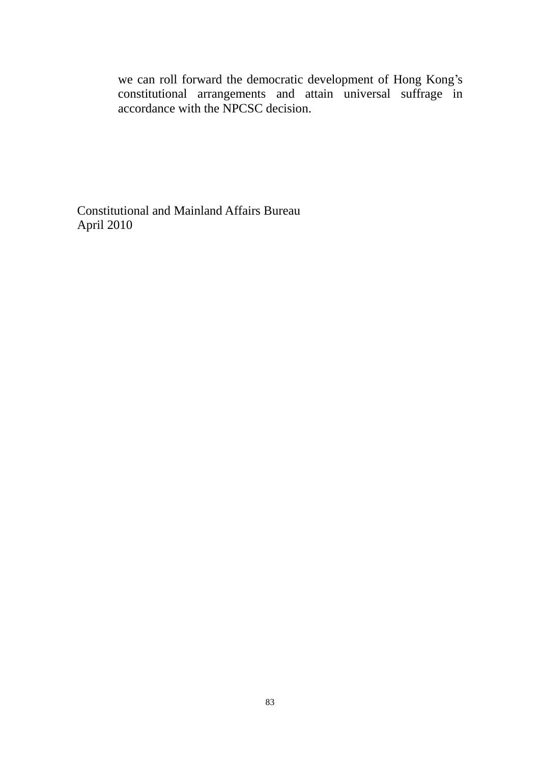we can roll forward the democratic development of Hong Kong's constitutional arrangements and attain universal suffrage in accordance with the NPCSC decision.

Constitutional and Mainland Affairs Bureau April 2010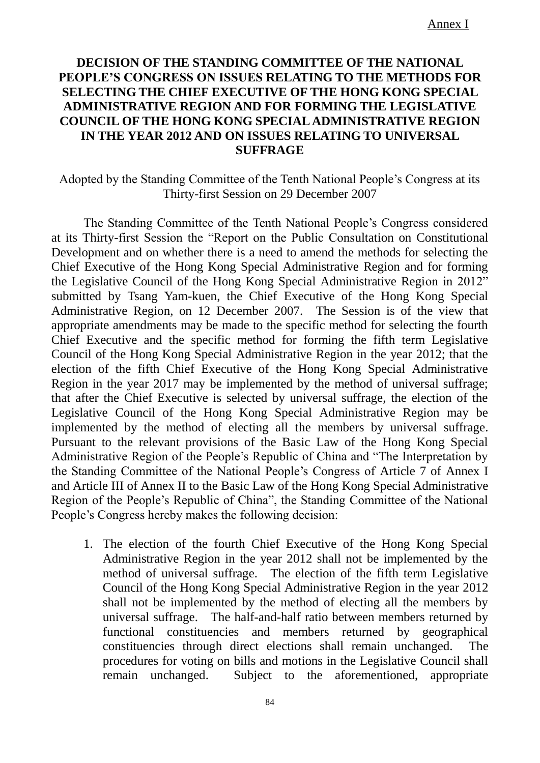## **DECISION OF THE STANDING COMMITTEE OF THE NATIONAL PEOPLE'S CONGRESS ON ISSUES RELATING TO THE METHODS FOR SELECTING THE CHIEF EXECUTIVE OF THE HONG KONG SPECIAL ADMINISTRATIVE REGION AND FOR FORMING THE LEGISLATIVE COUNCIL OF THE HONG KONG SPECIAL ADMINISTRATIVE REGION IN THE YEAR 2012 AND ON ISSUES RELATING TO UNIVERSAL SUFFRAGE**

Adopted by the Standing Committee of the Tenth National People's Congress at its Thirty-first Session on 29 December 2007

The Standing Committee of the Tenth National People's Congress considered at its Thirty-first Session the "Report on the Public Consultation on Constitutional Development and on whether there is a need to amend the methods for selecting the Chief Executive of the Hong Kong Special Administrative Region and for forming the Legislative Council of the Hong Kong Special Administrative Region in 2012" submitted by Tsang Yam-kuen, the Chief Executive of the Hong Kong Special Administrative Region, on 12 December 2007. The Session is of the view that appropriate amendments may be made to the specific method for selecting the fourth Chief Executive and the specific method for forming the fifth term Legislative Council of the Hong Kong Special Administrative Region in the year 2012; that the election of the fifth Chief Executive of the Hong Kong Special Administrative Region in the year 2017 may be implemented by the method of universal suffrage; that after the Chief Executive is selected by universal suffrage, the election of the Legislative Council of the Hong Kong Special Administrative Region may be implemented by the method of electing all the members by universal suffrage. Pursuant to the relevant provisions of the Basic Law of the Hong Kong Special Administrative Region of the People's Republic of China and "The Interpretation by the Standing Committee of the National People's Congress of Article 7 of Annex I and Article III of Annex II to the Basic Law of the Hong Kong Special Administrative Region of the People's Republic of China", the Standing Committee of the National People's Congress hereby makes the following decision:

1. The election of the fourth Chief Executive of the Hong Kong Special Administrative Region in the year 2012 shall not be implemented by the method of universal suffrage. The election of the fifth term Legislative Council of the Hong Kong Special Administrative Region in the year 2012 shall not be implemented by the method of electing all the members by universal suffrage. The half-and-half ratio between members returned by functional constituencies and members returned by geographical constituencies through direct elections shall remain unchanged. The procedures for voting on bills and motions in the Legislative Council shall remain unchanged. Subject to the aforementioned, appropriate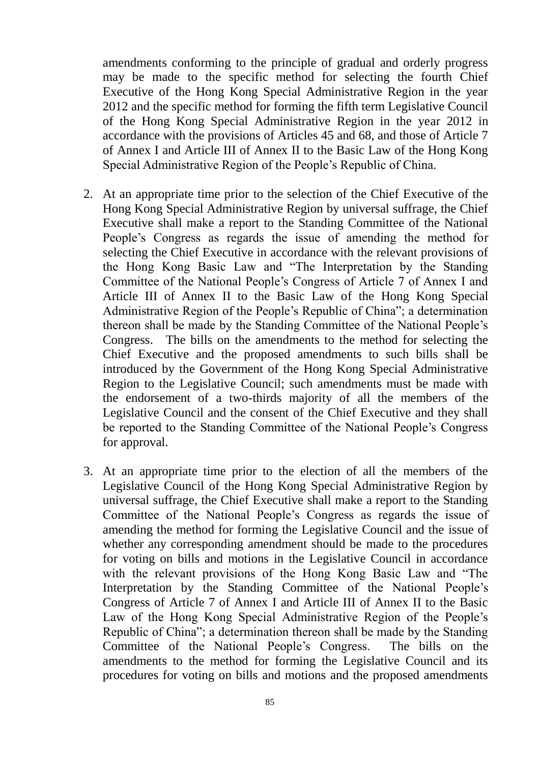amendments conforming to the principle of gradual and orderly progress may be made to the specific method for selecting the fourth Chief Executive of the Hong Kong Special Administrative Region in the year 2012 and the specific method for forming the fifth term Legislative Council of the Hong Kong Special Administrative Region in the year 2012 in accordance with the provisions of Articles 45 and 68, and those of Article 7 of Annex I and Article III of Annex II to the Basic Law of the Hong Kong Special Administrative Region of the People's Republic of China.

- 2. At an appropriate time prior to the selection of the Chief Executive of the Hong Kong Special Administrative Region by universal suffrage, the Chief Executive shall make a report to the Standing Committee of the National People's Congress as regards the issue of amending the method for selecting the Chief Executive in accordance with the relevant provisions of the Hong Kong Basic Law and "The Interpretation by the Standing Committee of the National People's Congress of Article 7 of Annex I and Article III of Annex II to the Basic Law of the Hong Kong Special Administrative Region of the People's Republic of China"; a determination thereon shall be made by the Standing Committee of the National People's Congress. The bills on the amendments to the method for selecting the Chief Executive and the proposed amendments to such bills shall be introduced by the Government of the Hong Kong Special Administrative Region to the Legislative Council; such amendments must be made with the endorsement of a two-thirds majority of all the members of the Legislative Council and the consent of the Chief Executive and they shall be reported to the Standing Committee of the National People's Congress for approval.
- 3. At an appropriate time prior to the election of all the members of the Legislative Council of the Hong Kong Special Administrative Region by universal suffrage, the Chief Executive shall make a report to the Standing Committee of the National People's Congress as regards the issue of amending the method for forming the Legislative Council and the issue of whether any corresponding amendment should be made to the procedures for voting on bills and motions in the Legislative Council in accordance with the relevant provisions of the Hong Kong Basic Law and "The Interpretation by the Standing Committee of the National People's Congress of Article 7 of Annex I and Article III of Annex II to the Basic Law of the Hong Kong Special Administrative Region of the People's Republic of China"; a determination thereon shall be made by the Standing Committee of the National People's Congress. The bills on the amendments to the method for forming the Legislative Council and its procedures for voting on bills and motions and the proposed amendments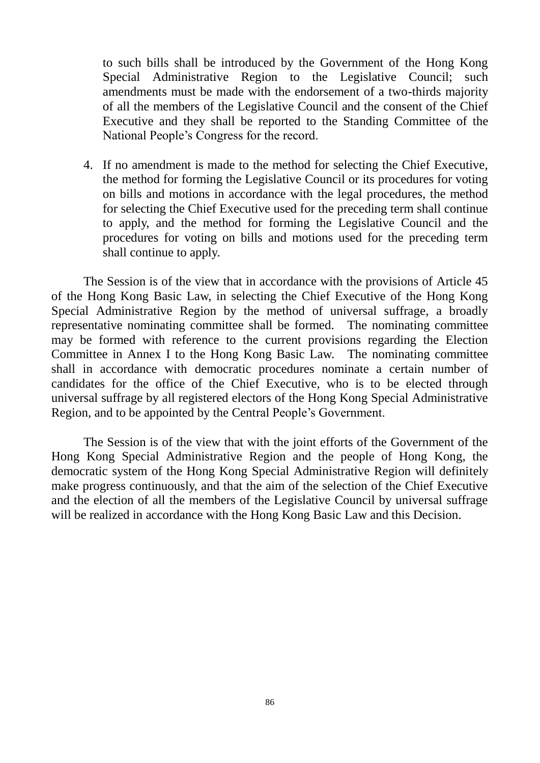to such bills shall be introduced by the Government of the Hong Kong Special Administrative Region to the Legislative Council; such amendments must be made with the endorsement of a two-thirds majority of all the members of the Legislative Council and the consent of the Chief Executive and they shall be reported to the Standing Committee of the National People's Congress for the record.

4. If no amendment is made to the method for selecting the Chief Executive, the method for forming the Legislative Council or its procedures for voting on bills and motions in accordance with the legal procedures, the method for selecting the Chief Executive used for the preceding term shall continue to apply, and the method for forming the Legislative Council and the procedures for voting on bills and motions used for the preceding term shall continue to apply.

The Session is of the view that in accordance with the provisions of Article 45 of the Hong Kong Basic Law, in selecting the Chief Executive of the Hong Kong Special Administrative Region by the method of universal suffrage, a broadly representative nominating committee shall be formed. The nominating committee may be formed with reference to the current provisions regarding the Election Committee in Annex I to the Hong Kong Basic Law. The nominating committee shall in accordance with democratic procedures nominate a certain number of candidates for the office of the Chief Executive, who is to be elected through universal suffrage by all registered electors of the Hong Kong Special Administrative Region, and to be appointed by the Central People's Government.

The Session is of the view that with the joint efforts of the Government of the Hong Kong Special Administrative Region and the people of Hong Kong, the democratic system of the Hong Kong Special Administrative Region will definitely make progress continuously, and that the aim of the selection of the Chief Executive and the election of all the members of the Legislative Council by universal suffrage will be realized in accordance with the Hong Kong Basic Law and this Decision.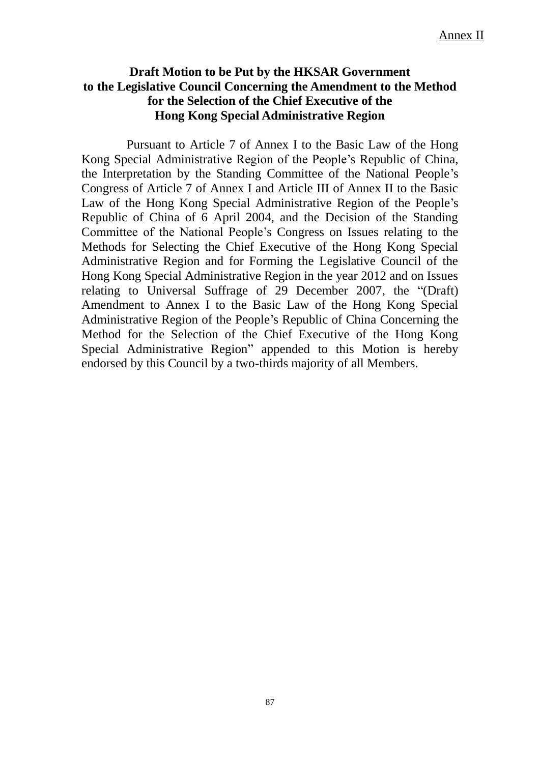### **Draft Motion to be Put by the HKSAR Government to the Legislative Council Concerning the Amendment to the Method for the Selection of the Chief Executive of the Hong Kong Special Administrative Region**

Pursuant to Article 7 of Annex I to the Basic Law of the Hong Kong Special Administrative Region of the People's Republic of China, the Interpretation by the Standing Committee of the National People's Congress of Article 7 of Annex I and Article III of Annex II to the Basic Law of the Hong Kong Special Administrative Region of the People's Republic of China of 6 April 2004, and the Decision of the Standing Committee of the National People's Congress on Issues relating to the Methods for Selecting the Chief Executive of the Hong Kong Special Administrative Region and for Forming the Legislative Council of the Hong Kong Special Administrative Region in the year 2012 and on Issues relating to Universal Suffrage of 29 December 2007, the "(Draft) Amendment to Annex I to the Basic Law of the Hong Kong Special Administrative Region of the People's Republic of China Concerning the Method for the Selection of the Chief Executive of the Hong Kong Special Administrative Region" appended to this Motion is hereby endorsed by this Council by a two-thirds majority of all Members.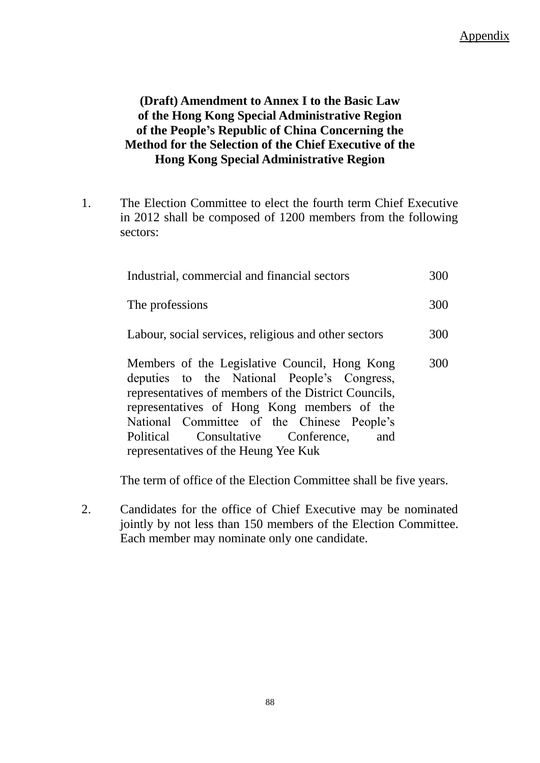# **(Draft) Amendment to Annex I to the Basic Law of the Hong Kong Special Administrative Region of the People's Republic of China Concerning the Method for the Selection of the Chief Executive of the Hong Kong Special Administrative Region**

1. The Election Committee to elect the fourth term Chief Executive in 2012 shall be composed of 1200 members from the following sectors:

| Industrial, commercial and financial sectors                                                                                                                                                                                                                                                   |     |
|------------------------------------------------------------------------------------------------------------------------------------------------------------------------------------------------------------------------------------------------------------------------------------------------|-----|
| The professions                                                                                                                                                                                                                                                                                | 300 |
| Labour, social services, religious and other sectors                                                                                                                                                                                                                                           | 300 |
| Members of the Legislative Council, Hong Kong<br>deputies to the National People's Congress,<br>representatives of members of the District Councils,<br>representatives of Hong Kong members of the<br>National Committee of the Chinese People's<br>Political Consultative Conference,<br>and | 300 |

The term of office of the Election Committee shall be five years.

2. Candidates for the office of Chief Executive may be nominated jointly by not less than 150 members of the Election Committee. Each member may nominate only one candidate.

representatives of the Heung Yee Kuk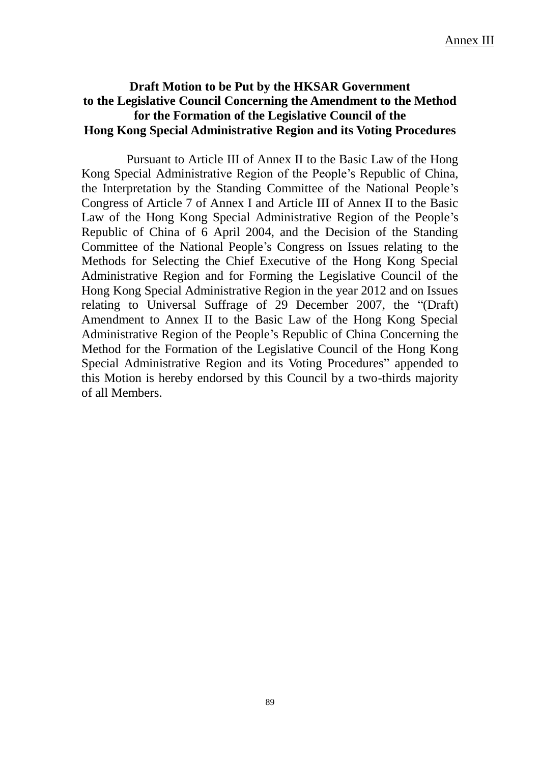## **Draft Motion to be Put by the HKSAR Government to the Legislative Council Concerning the Amendment to the Method for the Formation of the Legislative Council of the Hong Kong Special Administrative Region and its Voting Procedures**

Pursuant to Article III of Annex II to the Basic Law of the Hong Kong Special Administrative Region of the People's Republic of China, the Interpretation by the Standing Committee of the National People's Congress of Article 7 of Annex I and Article III of Annex II to the Basic Law of the Hong Kong Special Administrative Region of the People's Republic of China of 6 April 2004, and the Decision of the Standing Committee of the National People's Congress on Issues relating to the Methods for Selecting the Chief Executive of the Hong Kong Special Administrative Region and for Forming the Legislative Council of the Hong Kong Special Administrative Region in the year 2012 and on Issues relating to Universal Suffrage of 29 December 2007, the "(Draft) Amendment to Annex II to the Basic Law of the Hong Kong Special Administrative Region of the People's Republic of China Concerning the Method for the Formation of the Legislative Council of the Hong Kong Special Administrative Region and its Voting Procedures" appended to this Motion is hereby endorsed by this Council by a two-thirds majority of all Members.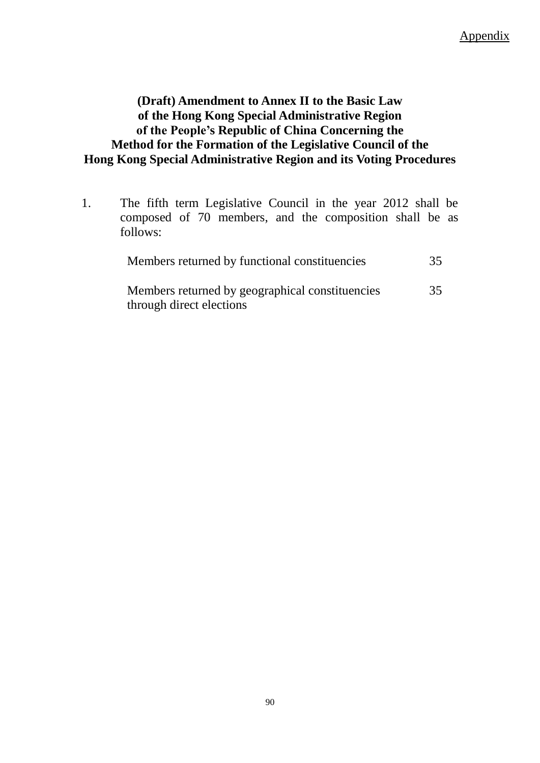# **(Draft) Amendment to Annex II to the Basic Law of the Hong Kong Special Administrative Region of the People's Republic of China Concerning the Method for the Formation of the Legislative Council of the Hong Kong Special Administrative Region and its Voting Procedures**

1. The fifth term Legislative Council in the year 2012 shall be composed of 70 members, and the composition shall be as follows:

| Members returned by functional constituencies                               | 35 |
|-----------------------------------------------------------------------------|----|
| Members returned by geographical constituencies<br>through direct elections | 35 |